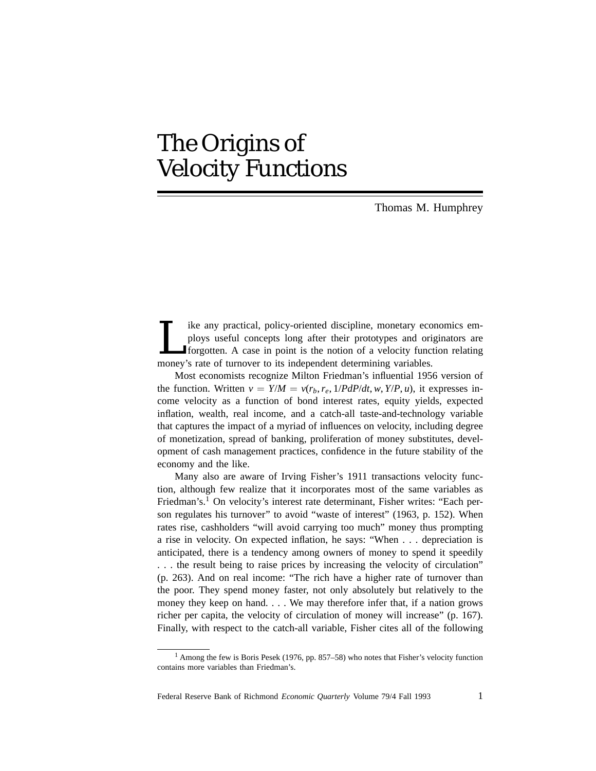# The Origins of Velocity Functions

Thomas M. Humphrey

Ike any practical, policy-oriented discipline, monetary economics em-<br>ploys useful concepts long after their prototypes and originators are<br>forgotten. A case in point is the notion of a velocity function relating<br>money's r ploys useful concepts long after their prototypes and originators are forgotten. A case in point is the notion of a velocity function relating money's rate of turnover to its independent determining variables.

Most economists recognize Milton Friedman's influential 1956 version of the function. Written  $v = Y/M = v(r_b, r_e, 1/PdP/dt, w, Y/P, u)$ , it expresses income velocity as a function of bond interest rates, equity yields, expected inflation, wealth, real income, and a catch-all taste-and-technology variable that captures the impact of a myriad of influences on velocity, including degree of monetization, spread of banking, proliferation of money substitutes, development of cash management practices, confidence in the future stability of the economy and the like.

Many also are aware of Irving Fisher's 1911 transactions velocity function, although few realize that it incorporates most of the same variables as Friedman's.<sup>1</sup> On velocity's interest rate determinant, Fisher writes: "Each person regulates his turnover" to avoid "waste of interest" (1963, p. 152). When rates rise, cashholders "will avoid carrying too much" money thus prompting a rise in velocity. On expected inflation, he says: "When... depreciation is anticipated, there is a tendency among owners of money to spend it speedily . . . the result being to raise prices by increasing the velocity of circulation" (p. 263). And on real income: "The rich have a higher rate of turnover than the poor. They spend money faster, not only absolutely but relatively to the money they keep on hand. . . . We may therefore infer that, if a nation grows richer per capita, the velocity of circulation of money will increase" (p. 167). Finally, with respect to the catch-all variable, Fisher cites all of the following

Federal Reserve Bank of Richmond *Economic Quarterly* Volume 79/4 Fall 1993 1

<sup>1</sup> Among the few is Boris Pesek (1976, pp. 857–58) who notes that Fisher's velocity function contains more variables than Friedman's.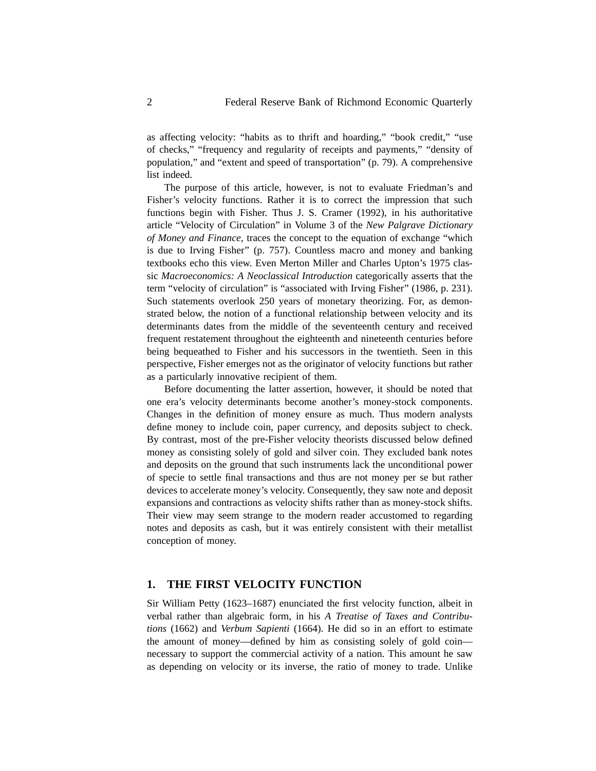as affecting velocity: "habits as to thrift and hoarding," "book credit," "use of checks," "frequency and regularity of receipts and payments," "density of population," and "extent and speed of transportation" (p. 79). A comprehensive list indeed.

The purpose of this article, however, is not to evaluate Friedman's and Fisher's velocity functions. Rather it is to correct the impression that such functions begin with Fisher. Thus J. S. Cramer (1992), in his authoritative article "Velocity of Circulation" in Volume 3 of the *New Palgrave Dictionary of Money and Finance,* traces the concept to the equation of exchange "which is due to Irving Fisher" (p. 757). Countless macro and money and banking textbooks echo this view. Even Merton Miller and Charles Upton's 1975 classic *Macroeconomics: A Neoclassical Introduction* categorically asserts that the term "velocity of circulation" is "associated with Irving Fisher" (1986, p. 231). Such statements overlook 250 years of monetary theorizing. For, as demonstrated below, the notion of a functional relationship between velocity and its determinants dates from the middle of the seventeenth century and received frequent restatement throughout the eighteenth and nineteenth centuries before being bequeathed to Fisher and his successors in the twentieth. Seen in this perspective, Fisher emerges not as the originator of velocity functions but rather as a particularly innovative recipient of them.

Before documenting the latter assertion, however, it should be noted that one era's velocity determinants become another's money-stock components. Changes in the definition of money ensure as much. Thus modern analysts define money to include coin, paper currency, and deposits subject to check. By contrast, most of the pre-Fisher velocity theorists discussed below defined money as consisting solely of gold and silver coin. They excluded bank notes and deposits on the ground that such instruments lack the unconditional power of specie to settle final transactions and thus are not money per se but rather devices to accelerate money's velocity. Consequently, they saw note and deposit expansions and contractions as velocity shifts rather than as money-stock shifts. Their view may seem strange to the modern reader accustomed to regarding notes and deposits as cash, but it was entirely consistent with their metallist conception of money.

# **1. THE FIRST VELOCITY FUNCTION**

Sir William Petty (1623–1687) enunciated the first velocity function, albeit in verbal rather than algebraic form, in his *A Treatise of Taxes and Contributions* (1662) and *Verbum Sapienti* (1664). He did so in an effort to estimate the amount of money—defined by him as consisting solely of gold coin necessary to support the commercial activity of a nation. This amount he saw as depending on velocity or its inverse, the ratio of money to trade. Unlike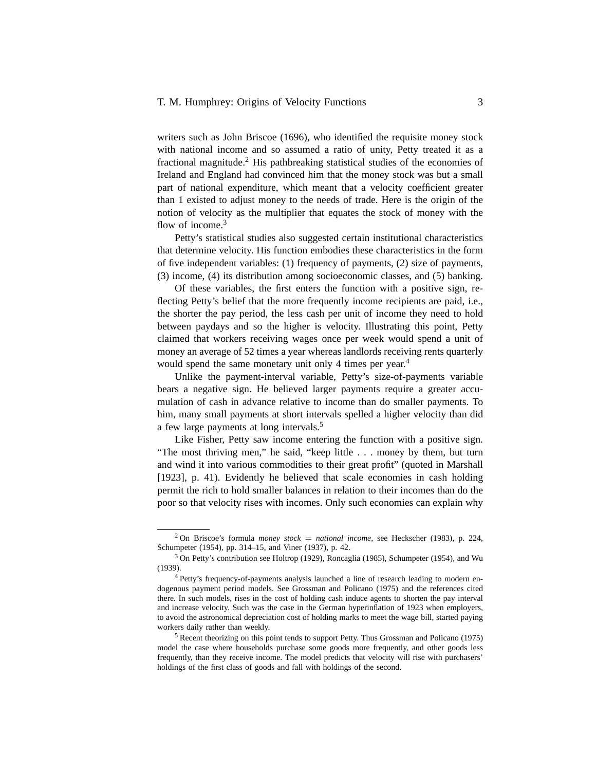writers such as John Briscoe (1696), who identified the requisite money stock with national income and so assumed a ratio of unity, Petty treated it as a fractional magnitude.<sup>2</sup> His pathbreaking statistical studies of the economies of Ireland and England had convinced him that the money stock was but a small part of national expenditure, which meant that a velocity coefficient greater than 1 existed to adjust money to the needs of trade. Here is the origin of the notion of velocity as the multiplier that equates the stock of money with the flow of income.<sup>3</sup>

Petty's statistical studies also suggested certain institutional characteristics that determine velocity. His function embodies these characteristics in the form of five independent variables: (1) frequency of payments, (2) size of payments, (3) income, (4) its distribution among socioeconomic classes, and (5) banking.

Of these variables, the first enters the function with a positive sign, reflecting Petty's belief that the more frequently income recipients are paid, i.e., the shorter the pay period, the less cash per unit of income they need to hold between paydays and so the higher is velocity. Illustrating this point, Petty claimed that workers receiving wages once per week would spend a unit of money an average of 52 times a year whereas landlords receiving rents quarterly would spend the same monetary unit only 4 times per year.<sup>4</sup>

Unlike the payment-interval variable, Petty's size-of-payments variable bears a negative sign. He believed larger payments require a greater accumulation of cash in advance relative to income than do smaller payments. To him, many small payments at short intervals spelled a higher velocity than did a few large payments at long intervals.<sup>5</sup>

Like Fisher, Petty saw income entering the function with a positive sign. "The most thriving men," he said, "keep little . . . money by them, but turn and wind it into various commodities to their great profit" (quoted in Marshall [1923], p. 41). Evidently he believed that scale economies in cash holding permit the rich to hold smaller balances in relation to their incomes than do the poor so that velocity rises with incomes. Only such economies can explain why

<sup>&</sup>lt;sup>2</sup> On Briscoe's formula *money stock* = *national income*, see Heckscher (1983), p. 224, Schumpeter (1954), pp. 314–15, and Viner (1937), p. 42.

<sup>&</sup>lt;sup>3</sup> On Petty's contribution see Holtrop (1929), Roncaglia (1985), Schumpeter (1954), and Wu (1939).

<sup>&</sup>lt;sup>4</sup> Petty's frequency-of-payments analysis launched a line of research leading to modern endogenous payment period models. See Grossman and Policano (1975) and the references cited there. In such models, rises in the cost of holding cash induce agents to shorten the pay interval and increase velocity. Such was the case in the German hyperinflation of 1923 when employers, to avoid the astronomical depreciation cost of holding marks to meet the wage bill, started paying workers daily rather than weekly.

<sup>5</sup> Recent theorizing on this point tends to support Petty. Thus Grossman and Policano (1975) model the case where households purchase some goods more frequently, and other goods less frequently, than they receive income. The model predicts that velocity will rise with purchasers' holdings of the first class of goods and fall with holdings of the second.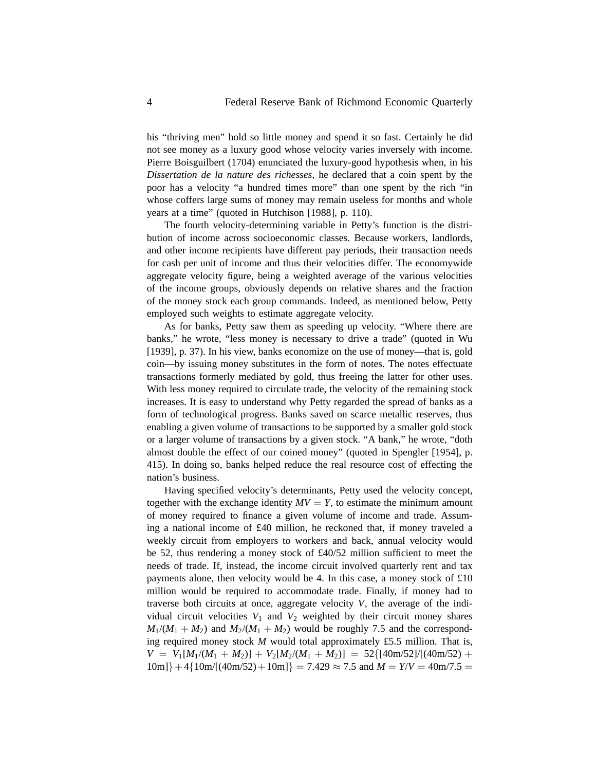his "thriving men" hold so little money and spend it so fast. Certainly he did not see money as a luxury good whose velocity varies inversely with income. Pierre Boisguilbert (1704) enunciated the luxury-good hypothesis when, in his *Dissertation de la nature des richesses,* he declared that a coin spent by the poor has a velocity "a hundred times more" than one spent by the rich "in whose coffers large sums of money may remain useless for months and whole years at a time" (quoted in Hutchison [1988], p. 110).

The fourth velocity-determining variable in Petty's function is the distribution of income across socioeconomic classes. Because workers, landlords, and other income recipients have different pay periods, their transaction needs for cash per unit of income and thus their velocities differ. The economywide aggregate velocity figure, being a weighted average of the various velocities of the income groups, obviously depends on relative shares and the fraction of the money stock each group commands. Indeed, as mentioned below, Petty employed such weights to estimate aggregate velocity.

As for banks, Petty saw them as speeding up velocity. "Where there are banks," he wrote, "less money is necessary to drive a trade" (quoted in Wu [1939], p. 37). In his view, banks economize on the use of money—that is, gold coin—by issuing money substitutes in the form of notes. The notes effectuate transactions formerly mediated by gold, thus freeing the latter for other uses. With less money required to circulate trade, the velocity of the remaining stock increases. It is easy to understand why Petty regarded the spread of banks as a form of technological progress. Banks saved on scarce metallic reserves, thus enabling a given volume of transactions to be supported by a smaller gold stock or a larger volume of transactions by a given stock. "A bank," he wrote, "doth almost double the effect of our coined money" (quoted in Spengler [1954], p. 415). In doing so, banks helped reduce the real resource cost of effecting the nation's business.

Having specified velocity's determinants, Petty used the velocity concept, together with the exchange identity  $MV = Y$ , to estimate the minimum amount of money required to finance a given volume of income and trade. Assuming a national income of £40 million, he reckoned that, if money traveled a weekly circuit from employers to workers and back, annual velocity would be 52, thus rendering a money stock of £40/52 million sufficient to meet the needs of trade. If, instead, the income circuit involved quarterly rent and tax payments alone, then velocity would be 4. In this case, a money stock of £10 million would be required to accommodate trade. Finally, if money had to traverse both circuits at once, aggregate velocity *V*, the average of the individual circuit velocities  $V_1$  and  $V_2$  weighted by their circuit money shares  $M_1/(M_1 + M_2)$  and  $M_2/(M_1 + M_2)$  would be roughly 7.5 and the corresponding required money stock *M* would total approximately £5.5 million. That is,  $V = V_1[M_1/(M_1 + M_2)] + V_2[M_2/(M_1 + M_2)] = 52\{[40m/52]/[(40m/52) +$  $10m$ } + 4{ $10m/[(40m/52) + 10m]$ } = 7.429  $\approx$  7.5 and  $M = Y/V = 40m/7.5$  =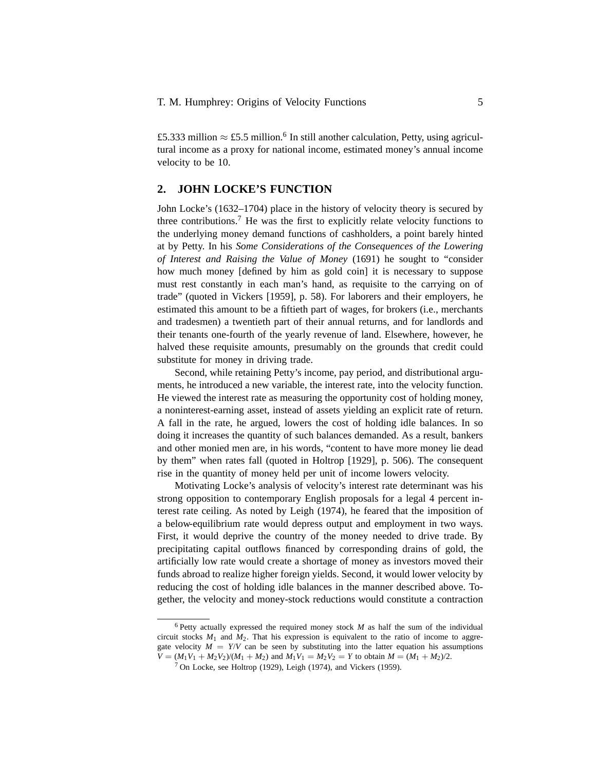£5.333 million  $\approx$  £5.5 million.<sup>6</sup> In still another calculation, Petty, using agricultural income as a proxy for national income, estimated money's annual income velocity to be 10.

# **2. JOHN LOCKE'S FUNCTION**

John Locke's (1632–1704) place in the history of velocity theory is secured by three contributions.<sup>7</sup> He was the first to explicitly relate velocity functions to the underlying money demand functions of cashholders, a point barely hinted at by Petty. In his *Some Considerations of the Consequences of the Lowering of Interest and Raising the Value of Money* (1691) he sought to "consider how much money [defined by him as gold coin] it is necessary to suppose must rest constantly in each man's hand, as requisite to the carrying on of trade" (quoted in Vickers [1959], p. 58). For laborers and their employers, he estimated this amount to be a fiftieth part of wages, for brokers (i.e., merchants and tradesmen) a twentieth part of their annual returns, and for landlords and their tenants one-fourth of the yearly revenue of land. Elsewhere, however, he halved these requisite amounts, presumably on the grounds that credit could substitute for money in driving trade.

Second, while retaining Petty's income, pay period, and distributional arguments, he introduced a new variable, the interest rate, into the velocity function. He viewed the interest rate as measuring the opportunity cost of holding money, a noninterest-earning asset, instead of assets yielding an explicit rate of return. A fall in the rate, he argued, lowers the cost of holding idle balances. In so doing it increases the quantity of such balances demanded. As a result, bankers and other monied men are, in his words, "content to have more money lie dead by them" when rates fall (quoted in Holtrop [1929], p. 506). The consequent rise in the quantity of money held per unit of income lowers velocity.

Motivating Locke's analysis of velocity's interest rate determinant was his strong opposition to contemporary English proposals for a legal 4 percent interest rate ceiling. As noted by Leigh (1974), he feared that the imposition of a below-equilibrium rate would depress output and employment in two ways. First, it would deprive the country of the money needed to drive trade. By precipitating capital outflows financed by corresponding drains of gold, the artificially low rate would create a shortage of money as investors moved their funds abroad to realize higher foreign yields. Second, it would lower velocity by reducing the cost of holding idle balances in the manner described above. Together, the velocity and money-stock reductions would constitute a contraction

 $6$  Petty actually expressed the required money stock  $M$  as half the sum of the individual circuit stocks  $M_1$  and  $M_2$ . That his expression is equivalent to the ratio of income to aggregate velocity  $M = Y/V$  can be seen by substituting into the latter equation his assumptions  $V = (M_1V_1 + M_2V_2)/(M_1 + M_2)$  and  $M_1V_1 = M_2V_2 = Y$  to obtain  $M = (M_1 + M_2)/2$ .

 $7$  On Locke, see Holtrop (1929), Leigh (1974), and Vickers (1959).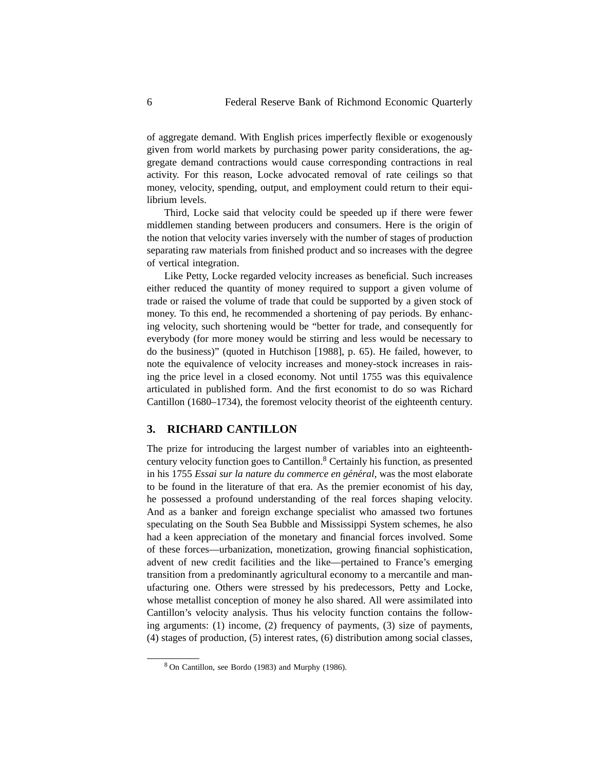of aggregate demand. With English prices imperfectly flexible or exogenously given from world markets by purchasing power parity considerations, the aggregate demand contractions would cause corresponding contractions in real activity. For this reason, Locke advocated removal of rate ceilings so that money, velocity, spending, output, and employment could return to their equilibrium levels.

Third, Locke said that velocity could be speeded up if there were fewer middlemen standing between producers and consumers. Here is the origin of the notion that velocity varies inversely with the number of stages of production separating raw materials from finished product and so increases with the degree of vertical integration.

Like Petty, Locke regarded velocity increases as beneficial. Such increases either reduced the quantity of money required to support a given volume of trade or raised the volume of trade that could be supported by a given stock of money. To this end, he recommended a shortening of pay periods. By enhancing velocity, such shortening would be "better for trade, and consequently for everybody (for more money would be stirring and less would be necessary to do the business)" (quoted in Hutchison [1988], p. 65). He failed, however, to note the equivalence of velocity increases and money-stock increases in raising the price level in a closed economy. Not until 1755 was this equivalence articulated in published form. And the first economist to do so was Richard Cantillon (1680–1734), the foremost velocity theorist of the eighteenth century.

# **3. RICHARD CANTILLON**

The prize for introducing the largest number of variables into an eighteenthcentury velocity function goes to Cantillon.<sup>8</sup> Certainly his function, as presented in his 1755 *Essai sur la nature du commerce en général*, was the most elaborate to be found in the literature of that era. As the premier economist of his day, he possessed a profound understanding of the real forces shaping velocity. And as a banker and foreign exchange specialist who amassed two fortunes speculating on the South Sea Bubble and Mississippi System schemes, he also had a keen appreciation of the monetary and financial forces involved. Some of these forces—urbanization, monetization, growing financial sophistication, advent of new credit facilities and the like—pertained to France's emerging transition from a predominantly agricultural economy to a mercantile and manufacturing one. Others were stressed by his predecessors, Petty and Locke, whose metallist conception of money he also shared. All were assimilated into Cantillon's velocity analysis. Thus his velocity function contains the following arguments: (1) income, (2) frequency of payments, (3) size of payments, (4) stages of production, (5) interest rates, (6) distribution among social classes,

<sup>8</sup> On Cantillon, see Bordo (1983) and Murphy (1986).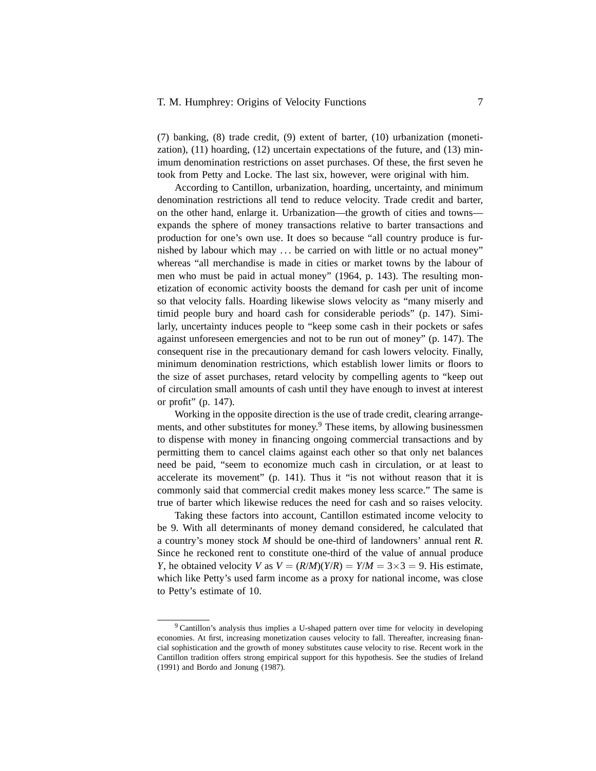# T. M. Humphrey: Origins of Velocity Functions 7

(7) banking, (8) trade credit, (9) extent of barter, (10) urbanization (monetization), (11) hoarding, (12) uncertain expectations of the future, and (13) minimum denomination restrictions on asset purchases. Of these, the first seven he took from Petty and Locke. The last six, however, were original with him.

According to Cantillon, urbanization, hoarding, uncertainty, and minimum denomination restrictions all tend to reduce velocity. Trade credit and barter, on the other hand, enlarge it. Urbanization—the growth of cities and towns expands the sphere of money transactions relative to barter transactions and production for one's own use. It does so because "all country produce is furnished by labour which may . . . be carried on with little or no actual money" whereas "all merchandise is made in cities or market towns by the labour of men who must be paid in actual money" (1964, p. 143). The resulting monetization of economic activity boosts the demand for cash per unit of income so that velocity falls. Hoarding likewise slows velocity as "many miserly and timid people bury and hoard cash for considerable periods" (p. 147). Similarly, uncertainty induces people to "keep some cash in their pockets or safes against unforeseen emergencies and not to be run out of money" (p. 147). The consequent rise in the precautionary demand for cash lowers velocity. Finally, minimum denomination restrictions, which establish lower limits or floors to the size of asset purchases, retard velocity by compelling agents to "keep out of circulation small amounts of cash until they have enough to invest at interest or profit" (p. 147).

Working in the opposite direction is the use of trade credit, clearing arrangements, and other substitutes for money.<sup>9</sup> These items, by allowing businessmen to dispense with money in financing ongoing commercial transactions and by permitting them to cancel claims against each other so that only net balances need be paid, "seem to economize much cash in circulation, or at least to accelerate its movement" (p. 141). Thus it "is not without reason that it is commonly said that commercial credit makes money less scarce." The same is true of barter which likewise reduces the need for cash and so raises velocity.

Taking these factors into account, Cantillon estimated income velocity to be 9. With all determinants of money demand considered, he calculated that a country's money stock *M* should be one-third of landowners' annual rent *R*. Since he reckoned rent to constitute one-third of the value of annual produce *Y*, he obtained velocity *V* as  $V = (R/M)(Y/R) = Y/M = 3 \times 3 = 9$ . His estimate, which like Petty's used farm income as a proxy for national income, was close to Petty's estimate of 10.

<sup>9</sup> Cantillon's analysis thus implies a U-shaped pattern over time for velocity in developing economies. At first, increasing monetization causes velocity to fall. Thereafter, increasing financial sophistication and the growth of money substitutes cause velocity to rise. Recent work in the Cantillon tradition offers strong empirical support for this hypothesis. See the studies of Ireland (1991) and Bordo and Jonung (1987).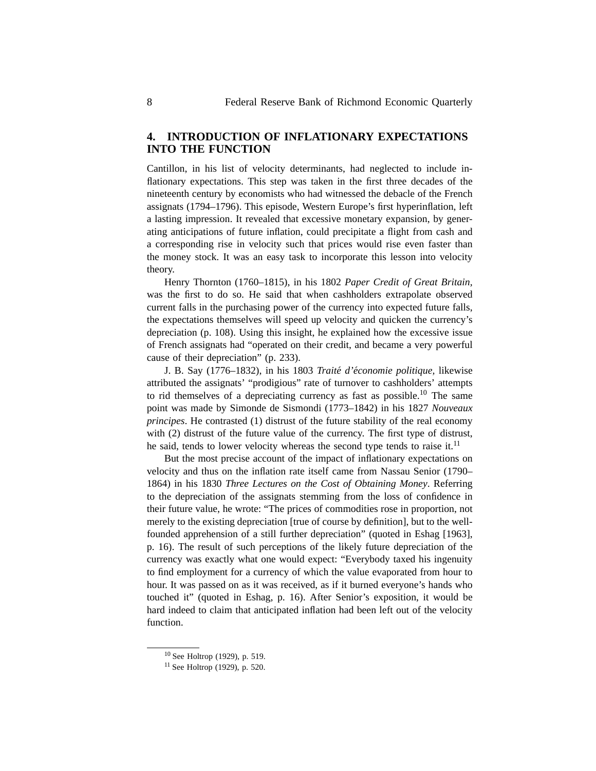# **4. INTRODUCTION OF INFLATIONARY EXPECTATIONS INTO THE FUNCTION**

Cantillon, in his list of velocity determinants, had neglected to include inflationary expectations. This step was taken in the first three decades of the nineteenth century by economists who had witnessed the debacle of the French assignats (1794–1796). This episode, Western Europe's first hyperinflation, left a lasting impression. It revealed that excessive monetary expansion, by generating anticipations of future inflation, could precipitate a flight from cash and a corresponding rise in velocity such that prices would rise even faster than the money stock. It was an easy task to incorporate this lesson into velocity theory.

Henry Thornton (1760–1815), in his 1802 *Paper Credit of Great Britain,* was the first to do so. He said that when cashholders extrapolate observed current falls in the purchasing power of the currency into expected future falls, the expectations themselves will speed up velocity and quicken the currency's depreciation (p. 108). Using this insight, he explained how the excessive issue of French assignats had "operated on their credit, and became a very powerful cause of their depreciation" (p. 233).

J. B. Say (1776–1832), in his 1803 *Traité d'économie politique*, likewise attributed the assignats' "prodigious" rate of turnover to cashholders' attempts to rid themselves of a depreciating currency as fast as possible.<sup>10</sup> The same point was made by Simonde de Sismondi (1773–1842) in his 1827 *Nouveaux principes*. He contrasted (1) distrust of the future stability of the real economy with (2) distrust of the future value of the currency. The first type of distrust, he said, tends to lower velocity whereas the second type tends to raise it.<sup>11</sup>

But the most precise account of the impact of inflationary expectations on velocity and thus on the inflation rate itself came from Nassau Senior (1790– 1864) in his 1830 *Three Lectures on the Cost of Obtaining Money*. Referring to the depreciation of the assignats stemming from the loss of confidence in their future value, he wrote: "The prices of commodities rose in proportion, not merely to the existing depreciation [true of course by definition], but to the wellfounded apprehension of a still further depreciation" (quoted in Eshag [1963], p. 16). The result of such perceptions of the likely future depreciation of the currency was exactly what one would expect: "Everybody taxed his ingenuity to find employment for a currency of which the value evaporated from hour to hour. It was passed on as it was received, as if it burned everyone's hands who touched it" (quoted in Eshag, p. 16). After Senior's exposition, it would be hard indeed to claim that anticipated inflation had been left out of the velocity function.

<sup>10</sup> See Holtrop (1929), p. 519.

<sup>11</sup> See Holtrop (1929), p. 520.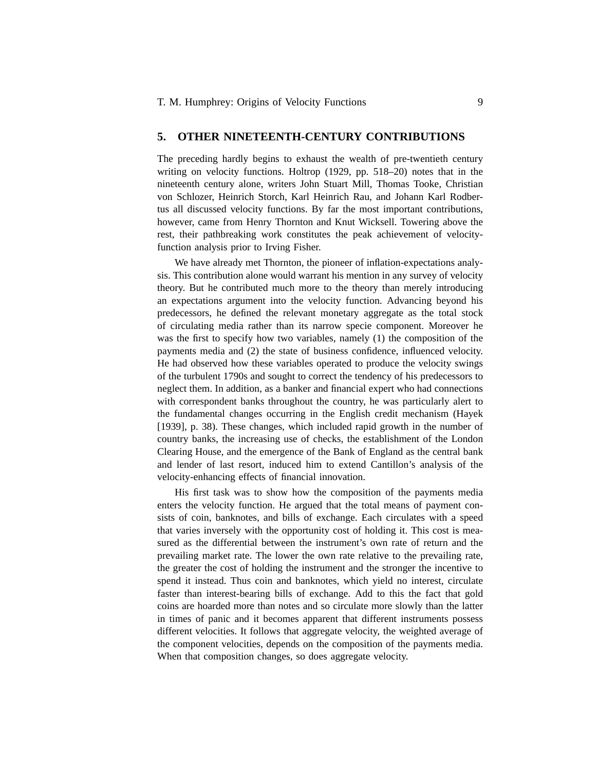#### **5. OTHER NINETEENTH-CENTURY CONTRIBUTIONS**

The preceding hardly begins to exhaust the wealth of pre-twentieth century writing on velocity functions. Holtrop (1929, pp. 518–20) notes that in the nineteenth century alone, writers John Stuart Mill, Thomas Tooke, Christian von Schlozer, Heinrich Storch, Karl Heinrich Rau, and Johann Karl Rodbertus all discussed velocity functions. By far the most important contributions, however, came from Henry Thornton and Knut Wicksell. Towering above the rest, their pathbreaking work constitutes the peak achievement of velocityfunction analysis prior to Irving Fisher.

We have already met Thornton, the pioneer of inflation-expectations analysis. This contribution alone would warrant his mention in any survey of velocity theory. But he contributed much more to the theory than merely introducing an expectations argument into the velocity function. Advancing beyond his predecessors, he defined the relevant monetary aggregate as the total stock of circulating media rather than its narrow specie component. Moreover he was the first to specify how two variables, namely (1) the composition of the payments media and (2) the state of business confidence, influenced velocity. He had observed how these variables operated to produce the velocity swings of the turbulent 1790s and sought to correct the tendency of his predecessors to neglect them. In addition, as a banker and financial expert who had connections with correspondent banks throughout the country, he was particularly alert to the fundamental changes occurring in the English credit mechanism (Hayek [1939], p. 38). These changes, which included rapid growth in the number of country banks, the increasing use of checks, the establishment of the London Clearing House, and the emergence of the Bank of England as the central bank and lender of last resort, induced him to extend Cantillon's analysis of the velocity-enhancing effects of financial innovation.

His first task was to show how the composition of the payments media enters the velocity function. He argued that the total means of payment consists of coin, banknotes, and bills of exchange. Each circulates with a speed that varies inversely with the opportunity cost of holding it. This cost is measured as the differential between the instrument's own rate of return and the prevailing market rate. The lower the own rate relative to the prevailing rate, the greater the cost of holding the instrument and the stronger the incentive to spend it instead. Thus coin and banknotes, which yield no interest, circulate faster than interest-bearing bills of exchange. Add to this the fact that gold coins are hoarded more than notes and so circulate more slowly than the latter in times of panic and it becomes apparent that different instruments possess different velocities. It follows that aggregate velocity, the weighted average of the component velocities, depends on the composition of the payments media. When that composition changes, so does aggregate velocity.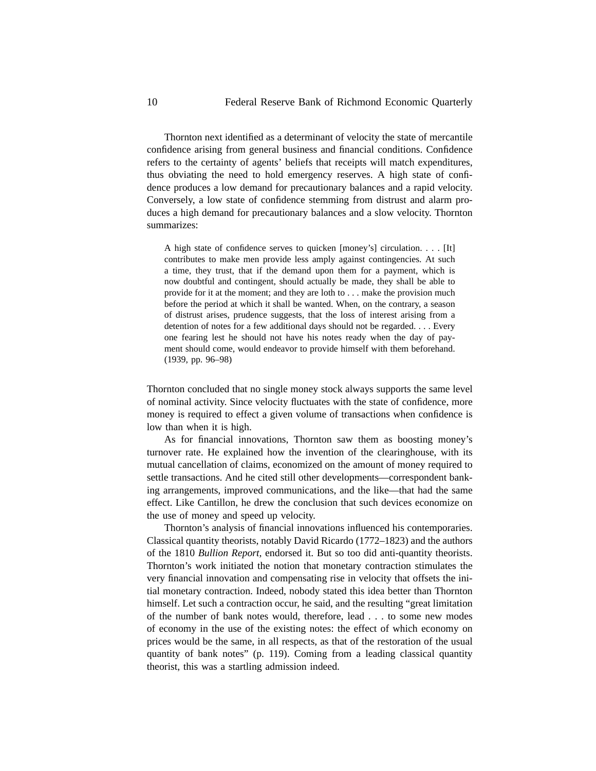Thornton next identified as a determinant of velocity the state of mercantile confidence arising from general business and financial conditions. Confidence refers to the certainty of agents' beliefs that receipts will match expenditures, thus obviating the need to hold emergency reserves. A high state of confidence produces a low demand for precautionary balances and a rapid velocity. Conversely, a low state of confidence stemming from distrust and alarm produces a high demand for precautionary balances and a slow velocity. Thornton summarizes:

A high state of confidence serves to quicken [money's] circulation. . . . [It] contributes to make men provide less amply against contingencies. At such a time, they trust, that if the demand upon them for a payment, which is now doubtful and contingent, should actually be made, they shall be able to provide for it at the moment; and they are loth to... make the provision much before the period at which it shall be wanted. When, on the contrary, a season of distrust arises, prudence suggests, that the loss of interest arising from a detention of notes for a few additional days should not be regarded. . . . Every one fearing lest he should not have his notes ready when the day of payment should come, would endeavor to provide himself with them beforehand. (1939, pp. 96–98)

Thornton concluded that no single money stock always supports the same level of nominal activity. Since velocity fluctuates with the state of confidence, more money is required to effect a given volume of transactions when confidence is low than when it is high.

As for financial innovations, Thornton saw them as boosting money's turnover rate. He explained how the invention of the clearinghouse, with its mutual cancellation of claims, economized on the amount of money required to settle transactions. And he cited still other developments—correspondent banking arrangements, improved communications, and the like—that had the same effect. Like Cantillon, he drew the conclusion that such devices economize on the use of money and speed up velocity.

Thornton's analysis of financial innovations influenced his contemporaries. Classical quantity theorists, notably David Ricardo (1772–1823) and the authors of the 1810 *Bullion Report,* endorsed it. But so too did anti-quantity theorists. Thornton's work initiated the notion that monetary contraction stimulates the very financial innovation and compensating rise in velocity that offsets the initial monetary contraction. Indeed, nobody stated this idea better than Thornton himself. Let such a contraction occur, he said, and the resulting "great limitation of the number of bank notes would, therefore, lead . . . to some new modes of economy in the use of the existing notes: the effect of which economy on prices would be the same, in all respects, as that of the restoration of the usual quantity of bank notes" (p. 119). Coming from a leading classical quantity theorist, this was a startling admission indeed.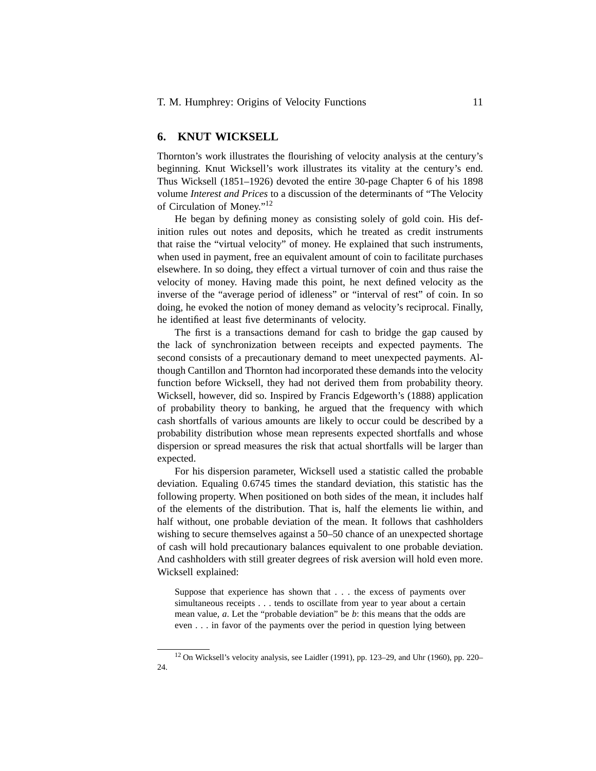## **6. KNUT WICKSELL**

Thornton's work illustrates the flourishing of velocity analysis at the century's beginning. Knut Wicksell's work illustrates its vitality at the century's end. Thus Wicksell (1851–1926) devoted the entire 30-page Chapter 6 of his 1898 volume *Interest and Prices* to a discussion of the determinants of "The Velocity of Circulation of Money."12

He began by defining money as consisting solely of gold coin. His definition rules out notes and deposits, which he treated as credit instruments that raise the "virtual velocity" of money. He explained that such instruments, when used in payment, free an equivalent amount of coin to facilitate purchases elsewhere. In so doing, they effect a virtual turnover of coin and thus raise the velocity of money. Having made this point, he next defined velocity as the inverse of the "average period of idleness" or "interval of rest" of coin. In so doing, he evoked the notion of money demand as velocity's reciprocal. Finally, he identified at least five determinants of velocity.

The first is a transactions demand for cash to bridge the gap caused by the lack of synchronization between receipts and expected payments. The second consists of a precautionary demand to meet unexpected payments. Although Cantillon and Thornton had incorporated these demands into the velocity function before Wicksell, they had not derived them from probability theory. Wicksell, however, did so. Inspired by Francis Edgeworth's (1888) application of probability theory to banking, he argued that the frequency with which cash shortfalls of various amounts are likely to occur could be described by a probability distribution whose mean represents expected shortfalls and whose dispersion or spread measures the risk that actual shortfalls will be larger than expected.

For his dispersion parameter, Wicksell used a statistic called the probable deviation. Equaling 0.6745 times the standard deviation, this statistic has the following property. When positioned on both sides of the mean, it includes half of the elements of the distribution. That is, half the elements lie within, and half without, one probable deviation of the mean. It follows that cashholders wishing to secure themselves against a 50–50 chance of an unexpected shortage of cash will hold precautionary balances equivalent to one probable deviation. And cashholders with still greater degrees of risk aversion will hold even more. Wicksell explained:

Suppose that experience has shown that . . . the excess of payments over simultaneous receipts . . . tends to oscillate from year to year about a certain mean value, *a*. Let the "probable deviation" be *b*: this means that the odds are even . . . in favor of the payments over the period in question lying between

<sup>12</sup> On Wicksell's velocity analysis, see Laidler (1991), pp. 123–29, and Uhr (1960), pp. 220– 24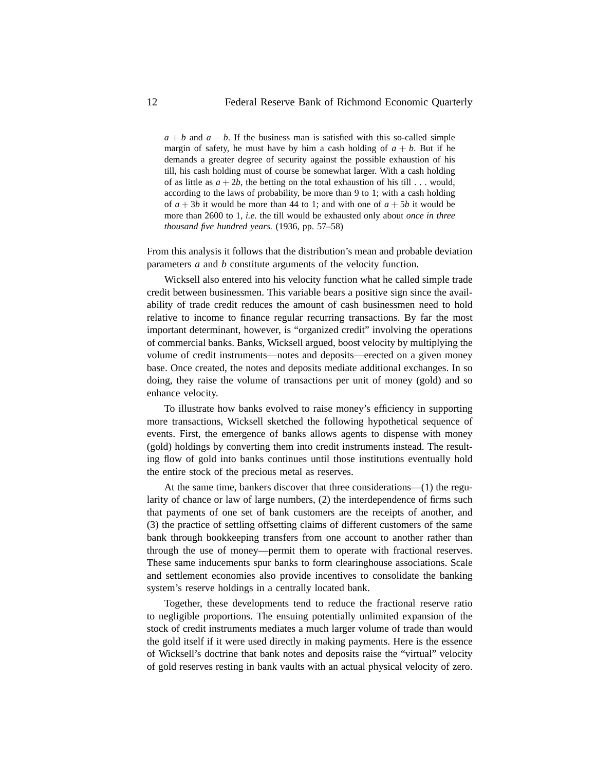$a + b$  and  $a - b$ . If the business man is satisfied with this so-called simple margin of safety, he must have by him a cash holding of  $a + b$ . But if he demands a greater degree of security against the possible exhaustion of his till, his cash holding must of course be somewhat larger. With a cash holding of as little as  $a + 2b$ , the betting on the total exhaustion of his till . . . would, according to the laws of probability, be more than 9 to 1; with a cash holding of  $a + 3b$  it would be more than 44 to 1; and with one of  $a + 5b$  it would be more than 2600 to 1, *i.e.* the till would be exhausted only about *once in three thousand five hundred years.* (1936, pp. 57–58)

From this analysis it follows that the distribution's mean and probable deviation parameters *a* and *b* constitute arguments of the velocity function.

Wicksell also entered into his velocity function what he called simple trade credit between businessmen. This variable bears a positive sign since the availability of trade credit reduces the amount of cash businessmen need to hold relative to income to finance regular recurring transactions. By far the most important determinant, however, is "organized credit" involving the operations of commercial banks. Banks, Wicksell argued, boost velocity by multiplying the volume of credit instruments—notes and deposits—erected on a given money base. Once created, the notes and deposits mediate additional exchanges. In so doing, they raise the volume of transactions per unit of money (gold) and so enhance velocity.

To illustrate how banks evolved to raise money's efficiency in supporting more transactions, Wicksell sketched the following hypothetical sequence of events. First, the emergence of banks allows agents to dispense with money (gold) holdings by converting them into credit instruments instead. The resulting flow of gold into banks continues until those institutions eventually hold the entire stock of the precious metal as reserves.

At the same time, bankers discover that three considerations—(1) the regularity of chance or law of large numbers, (2) the interdependence of firms such that payments of one set of bank customers are the receipts of another, and (3) the practice of settling offsetting claims of different customers of the same bank through bookkeeping transfers from one account to another rather than through the use of money—permit them to operate with fractional reserves. These same inducements spur banks to form clearinghouse associations. Scale and settlement economies also provide incentives to consolidate the banking system's reserve holdings in a centrally located bank.

Together, these developments tend to reduce the fractional reserve ratio to negligible proportions. The ensuing potentially unlimited expansion of the stock of credit instruments mediates a much larger volume of trade than would the gold itself if it were used directly in making payments. Here is the essence of Wicksell's doctrine that bank notes and deposits raise the "virtual" velocity of gold reserves resting in bank vaults with an actual physical velocity of zero.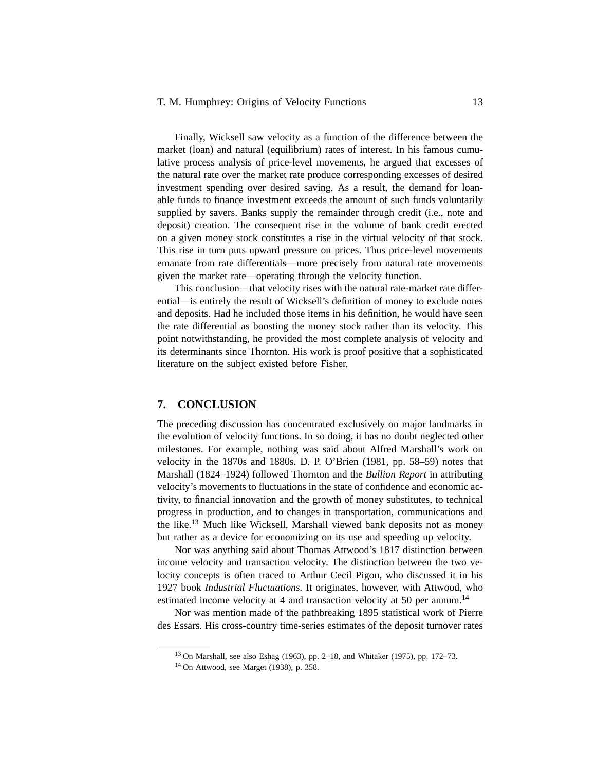#### T. M. Humphrey: Origins of Velocity Functions 13

Finally, Wicksell saw velocity as a function of the difference between the market (loan) and natural (equilibrium) rates of interest. In his famous cumulative process analysis of price-level movements, he argued that excesses of the natural rate over the market rate produce corresponding excesses of desired investment spending over desired saving. As a result, the demand for loanable funds to finance investment exceeds the amount of such funds voluntarily supplied by savers. Banks supply the remainder through credit (i.e., note and deposit) creation. The consequent rise in the volume of bank credit erected on a given money stock constitutes a rise in the virtual velocity of that stock. This rise in turn puts upward pressure on prices. Thus price-level movements emanate from rate differentials—more precisely from natural rate movements given the market rate—operating through the velocity function.

This conclusion—that velocity rises with the natural rate-market rate differential—is entirely the result of Wicksell's definition of money to exclude notes and deposits. Had he included those items in his definition, he would have seen the rate differential as boosting the money stock rather than its velocity. This point notwithstanding, he provided the most complete analysis of velocity and its determinants since Thornton. His work is proof positive that a sophisticated literature on the subject existed before Fisher.

### **7. CONCLUSION**

The preceding discussion has concentrated exclusively on major landmarks in the evolution of velocity functions. In so doing, it has no doubt neglected other milestones. For example, nothing was said about Alfred Marshall's work on velocity in the 1870s and 1880s. D. P. O'Brien (1981, pp. 58–59) notes that Marshall (1824–1924) followed Thornton and the *Bullion Report* in attributing velocity's movements to fluctuations in the state of confidence and economic activity, to financial innovation and the growth of money substitutes, to technical progress in production, and to changes in transportation, communications and the like.<sup>13</sup> Much like Wicksell, Marshall viewed bank deposits not as money but rather as a device for economizing on its use and speeding up velocity.

Nor was anything said about Thomas Attwood's 1817 distinction between income velocity and transaction velocity. The distinction between the two velocity concepts is often traced to Arthur Cecil Pigou, who discussed it in his 1927 book *Industrial Fluctuations.* It originates, however, with Attwood, who estimated income velocity at 4 and transaction velocity at 50 per annum.<sup>14</sup>

Nor was mention made of the pathbreaking 1895 statistical work of Pierre des Essars. His cross-country time-series estimates of the deposit turnover rates

<sup>13</sup> On Marshall, see also Eshag (1963), pp. 2–18, and Whitaker (1975), pp. 172–73.

<sup>14</sup> On Attwood, see Marget (1938), p. 358.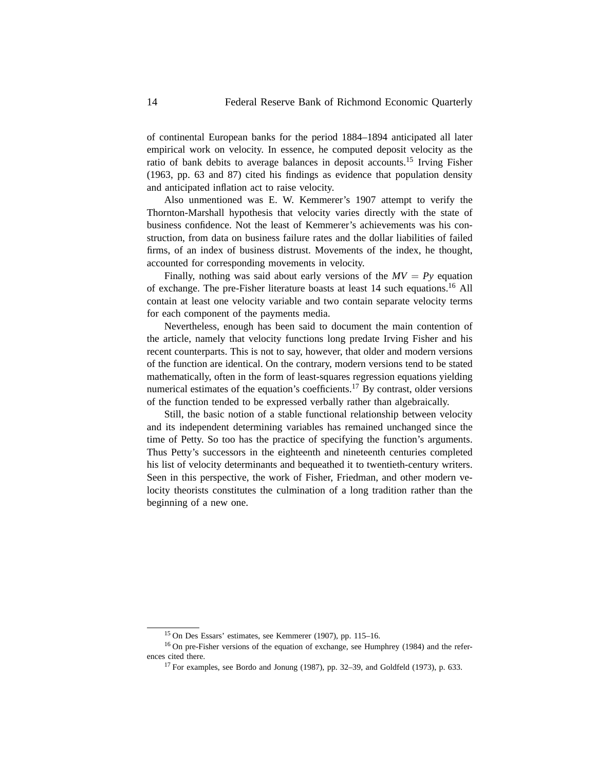of continental European banks for the period 1884–1894 anticipated all later empirical work on velocity. In essence, he computed deposit velocity as the ratio of bank debits to average balances in deposit accounts.15 Irving Fisher (1963, pp. 63 and 87) cited his findings as evidence that population density and anticipated inflation act to raise velocity.

Also unmentioned was E. W. Kemmerer's 1907 attempt to verify the Thornton-Marshall hypothesis that velocity varies directly with the state of business confidence. Not the least of Kemmerer's achievements was his construction, from data on business failure rates and the dollar liabilities of failed firms, of an index of business distrust. Movements of the index, he thought, accounted for corresponding movements in velocity.

Finally, nothing was said about early versions of the  $MV = Py$  equation of exchange. The pre-Fisher literature boasts at least 14 such equations.16 All contain at least one velocity variable and two contain separate velocity terms for each component of the payments media.

Nevertheless, enough has been said to document the main contention of the article, namely that velocity functions long predate Irving Fisher and his recent counterparts. This is not to say, however, that older and modern versions of the function are identical. On the contrary, modern versions tend to be stated mathematically, often in the form of least-squares regression equations yielding numerical estimates of the equation's coefficients.<sup>17</sup> By contrast, older versions of the function tended to be expressed verbally rather than algebraically.

Still, the basic notion of a stable functional relationship between velocity and its independent determining variables has remained unchanged since the time of Petty. So too has the practice of specifying the function's arguments. Thus Petty's successors in the eighteenth and nineteenth centuries completed his list of velocity determinants and bequeathed it to twentieth-century writers. Seen in this perspective, the work of Fisher, Friedman, and other modern velocity theorists constitutes the culmination of a long tradition rather than the beginning of a new one.

<sup>15</sup> On Des Essars' estimates, see Kemmerer (1907), pp. 115–16.

<sup>16</sup> On pre-Fisher versions of the equation of exchange, see Humphrey (1984) and the references cited there.

<sup>17</sup> For examples, see Bordo and Jonung (1987), pp. 32–39, and Goldfeld (1973), p. 633.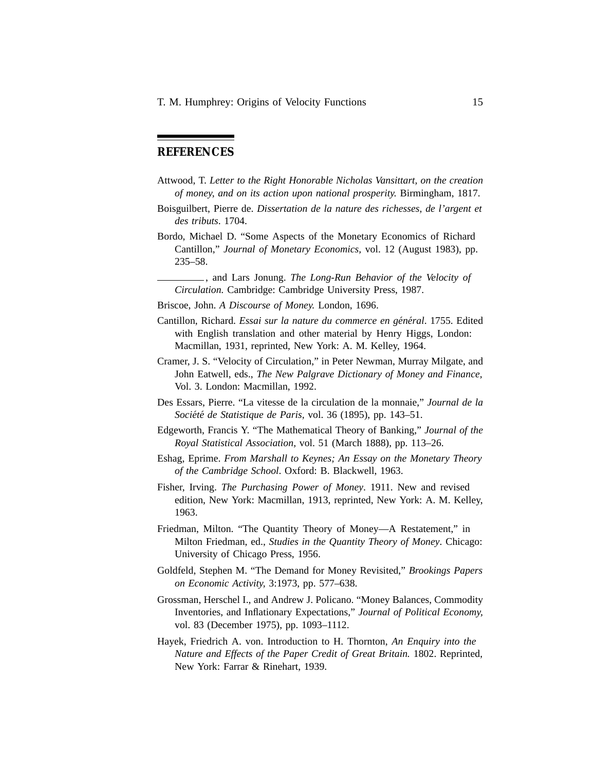# **REFERENCES**

- Attwood, T. *Letter to the Right Honorable Nicholas Vansittart, on the creation of money, and on its action upon national prosperity.* Birmingham, 1817.
- Boisguilbert, Pierre de. *Dissertation de la nature des richesses, de l'argent et des tributs*. 1704.
- Bordo, Michael D. "Some Aspects of the Monetary Economics of Richard Cantillon," *Journal of Monetary Economics,* vol. 12 (August 1983), pp. 235–58.

, and Lars Jonung. *The Long-Run Behavior of the Velocity of Circulation.* Cambridge: Cambridge University Press, 1987.

- Briscoe, John. *A Discourse of Money.* London, 1696.
- Cantillon, Richard. *Essai sur la nature du commerce en général*. 1755. Edited with English translation and other material by Henry Higgs, London: Macmillan, 1931, reprinted, New York: A. M. Kelley, 1964.
- Cramer, J. S. "Velocity of Circulation," in Peter Newman, Murray Milgate, and John Eatwell, eds., *The New Palgrave Dictionary of Money and Finance,* Vol. 3. London: Macmillan, 1992.
- Des Essars, Pierre. "La vitesse de la circulation de la monnaie," *Journal de la Soci´et´e de Statistique de Paris,* vol. 36 (1895), pp. 143–51.
- Edgeworth, Francis Y. "The Mathematical Theory of Banking," *Journal of the Royal Statistical Association,* vol. 51 (March 1888), pp. 113–26.
- Eshag, Eprime. *From Marshall to Keynes; An Essay on the Monetary Theory of the Cambridge School*. Oxford: B. Blackwell, 1963.
- Fisher, Irving. *The Purchasing Power of Money*. 1911. New and revised edition, New York: Macmillan, 1913, reprinted, New York: A. M. Kelley, 1963.
- Friedman, Milton. "The Quantity Theory of Money—A Restatement," in Milton Friedman, ed., *Studies in the Quantity Theory of Money*. Chicago: University of Chicago Press, 1956.
- Goldfeld, Stephen M. "The Demand for Money Revisited," *Brookings Papers on Economic Activity,* 3:1973, pp. 577–638.
- Grossman, Herschel I., and Andrew J. Policano. "Money Balances, Commodity Inventories, and Inflationary Expectations," *Journal of Political Economy,* vol. 83 (December 1975), pp. 1093–1112.
- Hayek, Friedrich A. von. Introduction to H. Thornton, *An Enquiry into the Nature and Effects of the Paper Credit of Great Britain.* 1802. Reprinted, New York: Farrar & Rinehart, 1939.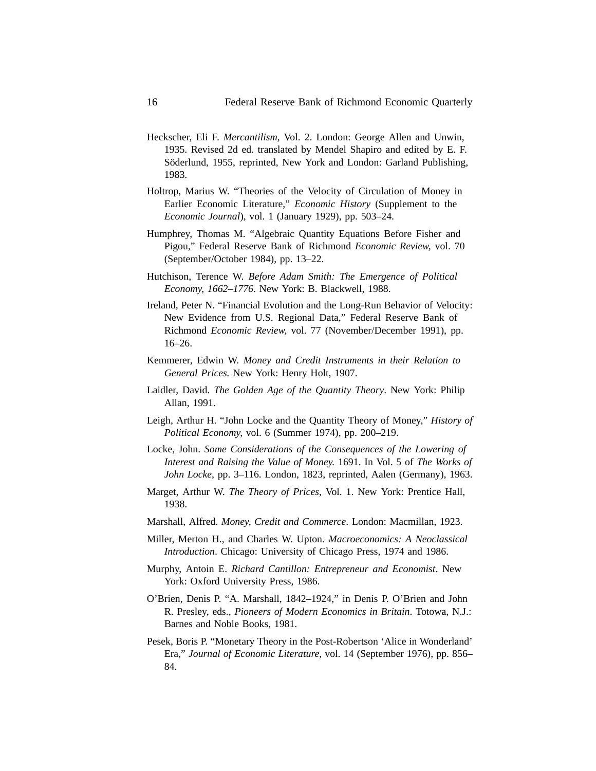- Heckscher, Eli F. *Mercantilism,* Vol. 2. London: George Allen and Unwin, 1935. Revised 2d ed. translated by Mendel Shapiro and edited by E. F. Söderlund, 1955, reprinted, New York and London: Garland Publishing, 1983.
- Holtrop, Marius W. "Theories of the Velocity of Circulation of Money in Earlier Economic Literature," *Economic History* (Supplement to the *Economic Journal*), vol. 1 (January 1929), pp. 503–24.
- Humphrey, Thomas M. "Algebraic Quantity Equations Before Fisher and Pigou," Federal Reserve Bank of Richmond *Economic Review,* vol. 70 (September/October 1984), pp. 13–22.
- Hutchison, Terence W. *Before Adam Smith: The Emergence of Political Economy, 1662–1776*. New York: B. Blackwell, 1988.
- Ireland, Peter N. "Financial Evolution and the Long-Run Behavior of Velocity: New Evidence from U.S. Regional Data," Federal Reserve Bank of Richmond *Economic Review,* vol. 77 (November/December 1991), pp. 16–26.
- Kemmerer, Edwin W. *Money and Credit Instruments in their Relation to General Prices.* New York: Henry Holt, 1907.
- Laidler, David. *The Golden Age of the Quantity Theory*. New York: Philip Allan, 1991.
- Leigh, Arthur H. "John Locke and the Quantity Theory of Money," *History of Political Economy,* vol. 6 (Summer 1974), pp. 200–219.
- Locke, John. *Some Considerations of the Consequences of the Lowering of Interest and Raising the Value of Money.* 1691. In Vol. 5 of *The Works of John Locke,* pp. 3–116. London, 1823, reprinted, Aalen (Germany), 1963.
- Marget, Arthur W. *The Theory of Prices,* Vol. 1. New York: Prentice Hall, 1938.
- Marshall, Alfred. *Money, Credit and Commerce*. London: Macmillan, 1923.
- Miller, Merton H., and Charles W. Upton. *Macroeconomics: A Neoclassical Introduction*. Chicago: University of Chicago Press, 1974 and 1986.
- Murphy, Antoin E. *Richard Cantillon: Entrepreneur and Economist*. New York: Oxford University Press, 1986.
- O'Brien, Denis P. "A. Marshall, 1842–1924," in Denis P. O'Brien and John R. Presley, eds., *Pioneers of Modern Economics in Britain*. Totowa, N.J.: Barnes and Noble Books, 1981.
- Pesek, Boris P. "Monetary Theory in the Post-Robertson 'Alice in Wonderland' Era," *Journal of Economic Literature,* vol. 14 (September 1976), pp. 856– 84.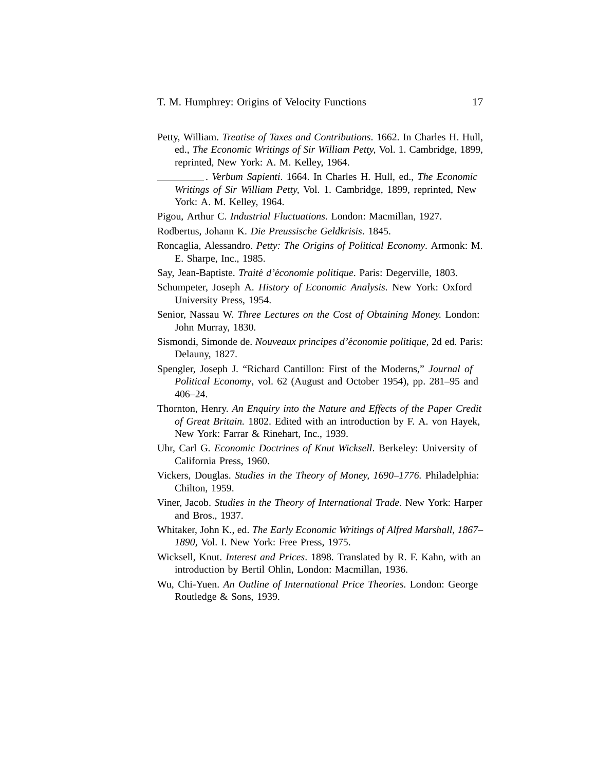- Petty, William. *Treatise of Taxes and Contributions*. 1662. In Charles H. Hull, ed., *The Economic Writings of Sir William Petty,* Vol. 1. Cambridge, 1899, reprinted, New York: A. M. Kelley, 1964.
	- . *Verbum Sapienti*. 1664. In Charles H. Hull, ed., *The Economic Writings of Sir William Petty,* Vol. 1. Cambridge, 1899, reprinted, New York: A. M. Kelley, 1964.

Pigou, Arthur C. *Industrial Fluctuations*. London: Macmillan, 1927.

- Rodbertus, Johann K. *Die Preussische Geldkrisis*. 1845.
- Roncaglia, Alessandro. *Petty: The Origins of Political Economy*. Armonk: M. E. Sharpe, Inc., 1985.
- Say, Jean-Baptiste. *Traité d'économie politique*. Paris: Degerville, 1803.
- Schumpeter, Joseph A. *History of Economic Analysis*. New York: Oxford University Press, 1954.
- Senior, Nassau W. *Three Lectures on the Cost of Obtaining Money.* London: John Murray, 1830.
- Sismondi, Simonde de. *Nouveaux principes d'´economie politique,* 2d ed. Paris: Delauny, 1827.
- Spengler, Joseph J. "Richard Cantillon: First of the Moderns," *Journal of Political Economy*, vol. 62 (August and October 1954), pp. 281–95 and 406–24.
- Thornton, Henry. *An Enquiry into the Nature and Effects of the Paper Credit of Great Britain.* 1802. Edited with an introduction by F. A. von Hayek, New York: Farrar & Rinehart, Inc., 1939.
- Uhr, Carl G. *Economic Doctrines of Knut Wicksell*. Berkeley: University of California Press, 1960.
- Vickers, Douglas. *Studies in the Theory of Money, 1690–1776.* Philadelphia: Chilton, 1959.
- Viner, Jacob. *Studies in the Theory of International Trade*. New York: Harper and Bros., 1937.
- Whitaker, John K., ed. *The Early Economic Writings of Alfred Marshall, 1867– 1890,* Vol. I. New York: Free Press, 1975.
- Wicksell, Knut. *Interest and Prices*. 1898. Translated by R. F. Kahn, with an introduction by Bertil Ohlin, London: Macmillan, 1936.
- Wu, Chi-Yuen. *An Outline of International Price Theories*. London: George Routledge & Sons, 1939.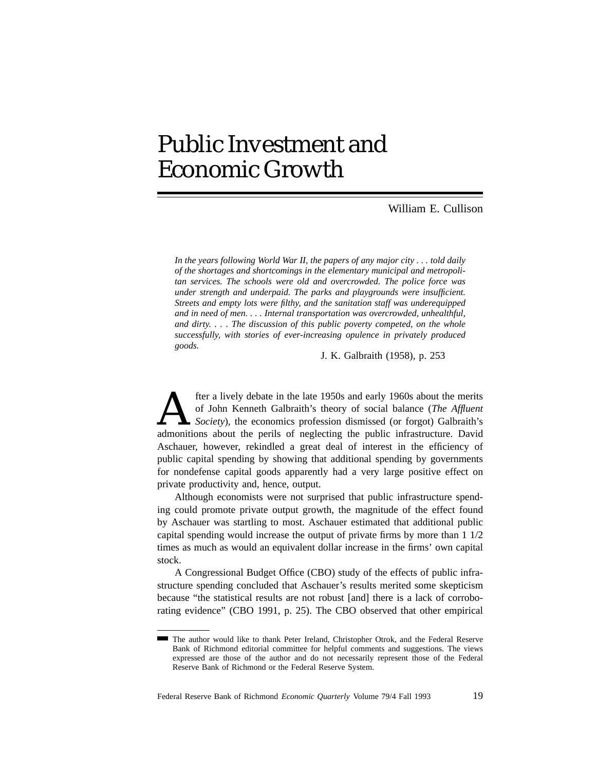# Public Investment and Economic Growth

## William E. Cullison

*In the years following World War II, the papers of any major city . . . told daily of the shortages and shortcomings in the elementary municipal and metropolitan services. The schools were old and overcrowded. The police force was under strength and underpaid. The parks and playgrounds were insufficient. Streets and empty lots were filthy, and the sanitation staff was underequipped and in need of men. . . . Internal transportation was overcrowded, unhealthful, and dirty. . . . The discussion of this public poverty competed, on the whole successfully, with stories of ever-increasing opulence in privately produced goods.*

J. K. Galbraith (1958), p. 253

**Alternatively debate in the late 1950s and early 1960s about the merits** of John Kenneth Galbraith's theory of social balance (*The Affluent* admonitions about the perils of neglecting the public infrastructure. David of John Kenneth Galbraith's theory of social balance (*The Affluent Society*), the economics profession dismissed (or forgot) Galbraith's admonitions about the perils of neglecting the public infrastructure. David Aschauer, however, rekindled a great deal of interest in the efficiency of public capital spending by showing that additional spending by governments for nondefense capital goods apparently had a very large positive effect on private productivity and, hence, output.

Although economists were not surprised that public infrastructure spending could promote private output growth, the magnitude of the effect found by Aschauer was startling to most. Aschauer estimated that additional public capital spending would increase the output of private firms by more than 1 1/2 times as much as would an equivalent dollar increase in the firms' own capital stock.

A Congressional Budget Office (CBO) study of the effects of public infrastructure spending concluded that Aschauer's results merited some skepticism because "the statistical results are not robust [and] there is a lack of corroborating evidence" (CBO 1991, p. 25). The CBO observed that other empirical

The author would like to thank Peter Ireland, Christopher Otrok, and the Federal Reserve Bank of Richmond editorial committee for helpful comments and suggestions. The views expressed are those of the author and do not necessarily represent those of the Federal Reserve Bank of Richmond or the Federal Reserve System.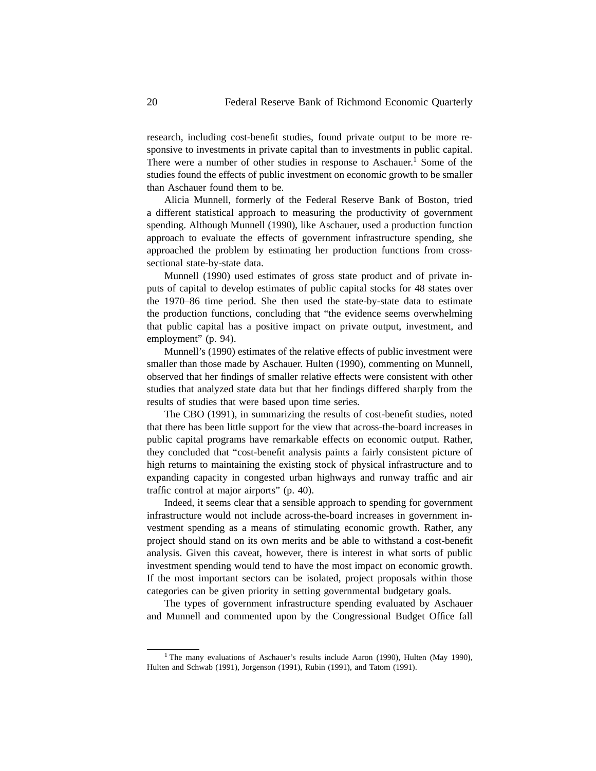research, including cost-benefit studies, found private output to be more responsive to investments in private capital than to investments in public capital. There were a number of other studies in response to Aschauer.<sup>1</sup> Some of the studies found the effects of public investment on economic growth to be smaller than Aschauer found them to be.

Alicia Munnell, formerly of the Federal Reserve Bank of Boston, tried a different statistical approach to measuring the productivity of government spending. Although Munnell (1990), like Aschauer, used a production function approach to evaluate the effects of government infrastructure spending, she approached the problem by estimating her production functions from crosssectional state-by-state data.

Munnell (1990) used estimates of gross state product and of private inputs of capital to develop estimates of public capital stocks for 48 states over the 1970–86 time period. She then used the state-by-state data to estimate the production functions, concluding that "the evidence seems overwhelming that public capital has a positive impact on private output, investment, and employment" (p. 94).

Munnell's (1990) estimates of the relative effects of public investment were smaller than those made by Aschauer. Hulten (1990), commenting on Munnell, observed that her findings of smaller relative effects were consistent with other studies that analyzed state data but that her findings differed sharply from the results of studies that were based upon time series.

The CBO (1991), in summarizing the results of cost-benefit studies, noted that there has been little support for the view that across-the-board increases in public capital programs have remarkable effects on economic output. Rather, they concluded that "cost-benefit analysis paints a fairly consistent picture of high returns to maintaining the existing stock of physical infrastructure and to expanding capacity in congested urban highways and runway traffic and air traffic control at major airports" (p. 40).

Indeed, it seems clear that a sensible approach to spending for government infrastructure would not include across-the-board increases in government investment spending as a means of stimulating economic growth. Rather, any project should stand on its own merits and be able to withstand a cost-benefit analysis. Given this caveat, however, there is interest in what sorts of public investment spending would tend to have the most impact on economic growth. If the most important sectors can be isolated, project proposals within those categories can be given priority in setting governmental budgetary goals.

The types of government infrastructure spending evaluated by Aschauer and Munnell and commented upon by the Congressional Budget Office fall

<sup>&</sup>lt;sup>1</sup> The many evaluations of Aschauer's results include Aaron (1990), Hulten (May 1990), Hulten and Schwab (1991), Jorgenson (1991), Rubin (1991), and Tatom (1991).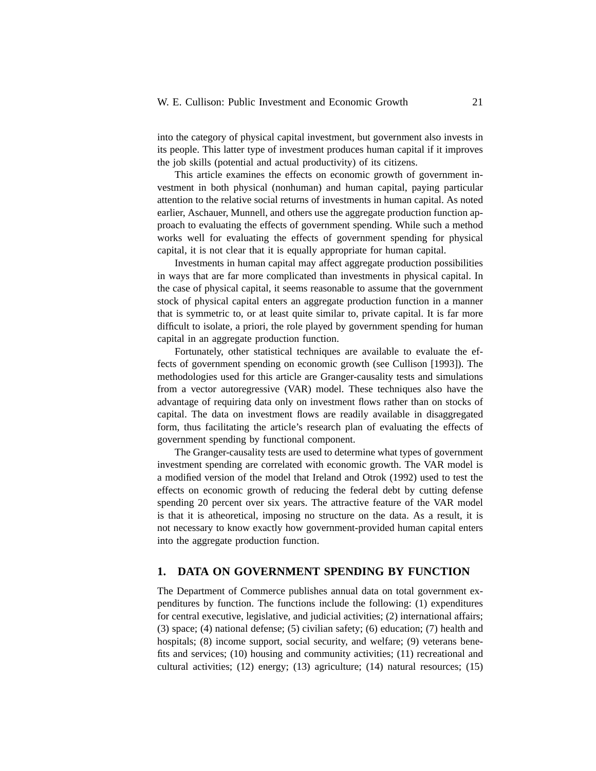into the category of physical capital investment, but government also invests in its people. This latter type of investment produces human capital if it improves the job skills (potential and actual productivity) of its citizens.

This article examines the effects on economic growth of government investment in both physical (nonhuman) and human capital, paying particular attention to the relative social returns of investments in human capital. As noted earlier, Aschauer, Munnell, and others use the aggregate production function approach to evaluating the effects of government spending. While such a method works well for evaluating the effects of government spending for physical capital, it is not clear that it is equally appropriate for human capital.

Investments in human capital may affect aggregate production possibilities in ways that are far more complicated than investments in physical capital. In the case of physical capital, it seems reasonable to assume that the government stock of physical capital enters an aggregate production function in a manner that is symmetric to, or at least quite similar to, private capital. It is far more difficult to isolate, a priori, the role played by government spending for human capital in an aggregate production function.

Fortunately, other statistical techniques are available to evaluate the effects of government spending on economic growth (see Cullison [1993]). The methodologies used for this article are Granger-causality tests and simulations from a vector autoregressive (VAR) model. These techniques also have the advantage of requiring data only on investment flows rather than on stocks of capital. The data on investment flows are readily available in disaggregated form, thus facilitating the article's research plan of evaluating the effects of government spending by functional component.

The Granger-causality tests are used to determine what types of government investment spending are correlated with economic growth. The VAR model is a modified version of the model that Ireland and Otrok (1992) used to test the effects on economic growth of reducing the federal debt by cutting defense spending 20 percent over six years. The attractive feature of the VAR model is that it is atheoretical, imposing no structure on the data. As a result, it is not necessary to know exactly how government-provided human capital enters into the aggregate production function.

#### **1. DATA ON GOVERNMENT SPENDING BY FUNCTION**

The Department of Commerce publishes annual data on total government expenditures by function. The functions include the following: (1) expenditures for central executive, legislative, and judicial activities; (2) international affairs; (3) space; (4) national defense; (5) civilian safety; (6) education; (7) health and hospitals; (8) income support, social security, and welfare; (9) veterans benefits and services; (10) housing and community activities; (11) recreational and cultural activities; (12) energy; (13) agriculture; (14) natural resources; (15)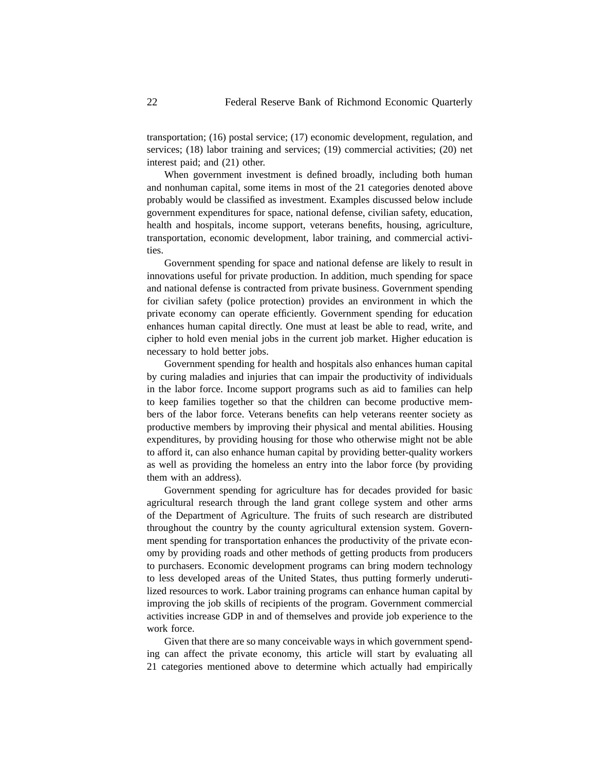transportation; (16) postal service; (17) economic development, regulation, and services; (18) labor training and services; (19) commercial activities; (20) net interest paid; and (21) other.

When government investment is defined broadly, including both human and nonhuman capital, some items in most of the 21 categories denoted above probably would be classified as investment. Examples discussed below include government expenditures for space, national defense, civilian safety, education, health and hospitals, income support, veterans benefits, housing, agriculture, transportation, economic development, labor training, and commercial activities.

Government spending for space and national defense are likely to result in innovations useful for private production. In addition, much spending for space and national defense is contracted from private business. Government spending for civilian safety (police protection) provides an environment in which the private economy can operate efficiently. Government spending for education enhances human capital directly. One must at least be able to read, write, and cipher to hold even menial jobs in the current job market. Higher education is necessary to hold better jobs.

Government spending for health and hospitals also enhances human capital by curing maladies and injuries that can impair the productivity of individuals in the labor force. Income support programs such as aid to families can help to keep families together so that the children can become productive members of the labor force. Veterans benefits can help veterans reenter society as productive members by improving their physical and mental abilities. Housing expenditures, by providing housing for those who otherwise might not be able to afford it, can also enhance human capital by providing better-quality workers as well as providing the homeless an entry into the labor force (by providing them with an address).

Government spending for agriculture has for decades provided for basic agricultural research through the land grant college system and other arms of the Department of Agriculture. The fruits of such research are distributed throughout the country by the county agricultural extension system. Government spending for transportation enhances the productivity of the private economy by providing roads and other methods of getting products from producers to purchasers. Economic development programs can bring modern technology to less developed areas of the United States, thus putting formerly underutilized resources to work. Labor training programs can enhance human capital by improving the job skills of recipients of the program. Government commercial activities increase GDP in and of themselves and provide job experience to the work force.

Given that there are so many conceivable ways in which government spending can affect the private economy, this article will start by evaluating all 21 categories mentioned above to determine which actually had empirically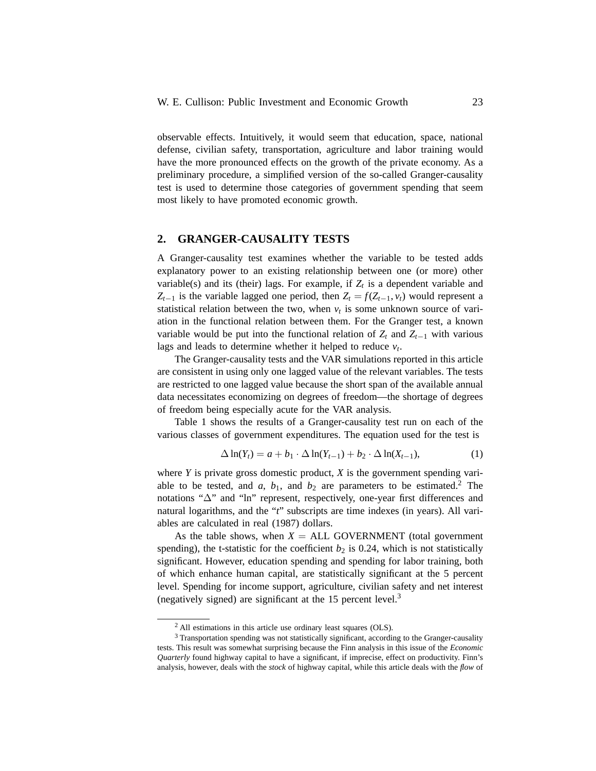observable effects. Intuitively, it would seem that education, space, national defense, civilian safety, transportation, agriculture and labor training would have the more pronounced effects on the growth of the private economy. As a preliminary procedure, a simplified version of the so-called Granger-causality test is used to determine those categories of government spending that seem most likely to have promoted economic growth.

### **2. GRANGER-CAUSALITY TESTS**

A Granger-causality test examines whether the variable to be tested adds explanatory power to an existing relationship between one (or more) other variable(s) and its (their) lags. For example, if  $Z_t$  is a dependent variable and  $Z_{t-1}$  is the variable lagged one period, then  $Z_t = f(Z_{t-1}, v_t)$  would represent a statistical relation between the two, when  $v_t$  is some unknown source of variation in the functional relation between them. For the Granger test, a known variable would be put into the functional relation of  $Z_t$  and  $Z_{t-1}$  with various lags and leads to determine whether it helped to reduce  $v_t$ .

The Granger-causality tests and the VAR simulations reported in this article are consistent in using only one lagged value of the relevant variables. The tests are restricted to one lagged value because the short span of the available annual data necessitates economizing on degrees of freedom—the shortage of degrees of freedom being especially acute for the VAR analysis.

Table 1 shows the results of a Granger-causality test run on each of the various classes of government expenditures. The equation used for the test is

$$
\Delta \ln(Y_t) = a + b_1 \cdot \Delta \ln(Y_{t-1}) + b_2 \cdot \Delta \ln(X_{t-1}), \tag{1}
$$

where *Y* is private gross domestic product, *X* is the government spending variable to be tested, and  $a$ ,  $b_1$ , and  $b_2$  are parameters to be estimated.<sup>2</sup> The notations "∆" and "ln" represent, respectively, one-year first differences and natural logarithms, and the "*t*" subscripts are time indexes (in years). All variables are calculated in real (1987) dollars.

As the table shows, when  $X = ALL GOVERNMENT$  (total government spending), the t-statistic for the coefficient  $b_2$  is 0.24, which is not statistically significant. However, education spending and spending for labor training, both of which enhance human capital, are statistically significant at the 5 percent level. Spending for income support, agriculture, civilian safety and net interest (negatively signed) are significant at the 15 percent level.<sup>3</sup>

<sup>2</sup> All estimations in this article use ordinary least squares (OLS).

<sup>&</sup>lt;sup>3</sup> Transportation spending was not statistically significant, according to the Granger-causality tests. This result was somewhat surprising because the Finn analysis in this issue of the *Economic Quarterly* found highway capital to have a significant, if imprecise, effect on productivity. Finn's analysis, however, deals with the *stock* of highway capital, while this article deals with the *flow* of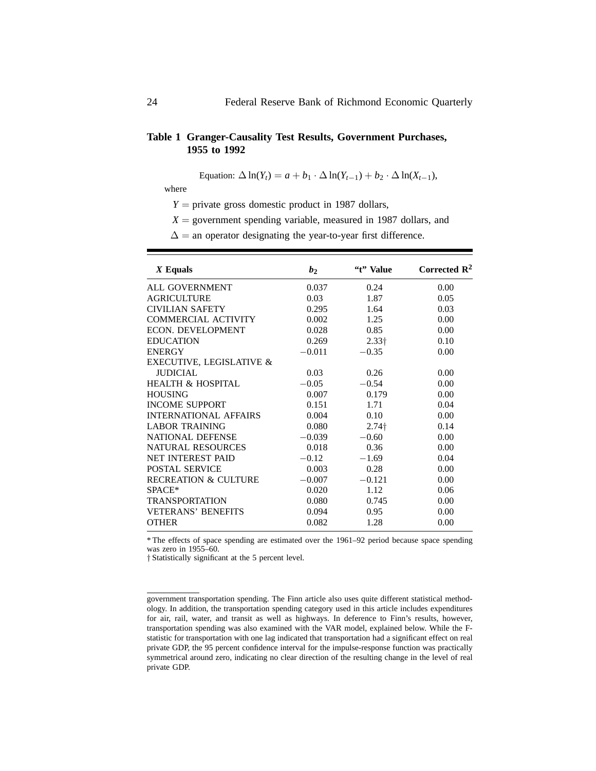### **Table 1 Granger-Causality Test Results, Government Purchases, 1955 to 1992**

Equation:  $\Delta \ln(Y_t) = a + b_1 \cdot \Delta \ln(Y_{t-1}) + b_2 \cdot \Delta \ln(X_{t-1}),$ 

where

 $Y =$  private gross domestic product in 1987 dollars,

 $X =$  government spending variable, measured in 1987 dollars, and

 $\Delta$  = an operator designating the year-to-year first difference.

| $X$ Equals                      | b <sub>2</sub> | "t" Value     | Corrected $\mathbb{R}^2$ |
|---------------------------------|----------------|---------------|--------------------------|
| <b>ALL GOVERNMENT</b>           | 0.037          | 0.24          | 0.00                     |
| <b>AGRICULTURE</b>              | 0.03           | 1.87          | 0.05                     |
| <b>CIVILIAN SAFETY</b>          | 0.295          | 1.64          | 0.03                     |
| <b>COMMERCIAL ACTIVITY</b>      | 0.002          | 1.25          | 0.00                     |
| <b>ECON. DEVELOPMENT</b>        | 0.028          | 0.85          | 0.00                     |
| <b>EDUCATION</b>                | 0.269          | $2.33\dagger$ | 0.10                     |
| <b>ENERGY</b>                   | $-0.011$       | $-0.35$       | 0.00                     |
| EXECUTIVE, LEGISLATIVE &        |                |               |                          |
| <b>IUDICIAL</b>                 | 0.03           | 0.26          | 0.00                     |
| <b>HEALTH &amp; HOSPITAL</b>    | $-0.05$        | $-0.54$       | 0.00                     |
| <b>HOUSING</b>                  | 0.007          | 0.179         | 0.00                     |
| <b>INCOME SUPPORT</b>           | 0.151          | 1.71          | 0.04                     |
| <b>INTERNATIONAL AFFAIRS</b>    | 0.004          | 0.10          | 0.00                     |
| <b>LABOR TRAINING</b>           | 0.080          | $2.74\dagger$ | 0.14                     |
| <b>NATIONAL DEFENSE</b>         | $-0.039$       | $-0.60$       | 0.00                     |
| <b>NATURAL RESOURCES</b>        | 0.018          | 0.36          | 0.00                     |
| <b>NET INTEREST PAID</b>        | $-0.12$        | $-1.69$       | 0.04                     |
| <b>POSTAL SERVICE</b>           | 0.003          | 0.28          | 0.00                     |
| <b>RECREATION &amp; CULTURE</b> | $-0.007$       | $-0.121$      | 0.00                     |
| SPACE*                          | 0.020          | 1.12          | 0.06                     |
| <b>TRANSPORTATION</b>           | 0.080          | 0.745         | 0.00                     |
| <b>VETERANS' BENEFITS</b>       | 0.094          | 0.95          | 0.00                     |
| <b>OTHER</b>                    | 0.082          | 1.28          | 0.00                     |

\* The effects of space spending are estimated over the 1961–92 period because space spending was zero in 1955–60.

† Statistically significant at the 5 percent level.

government transportation spending. The Finn article also uses quite different statistical methodology. In addition, the transportation spending category used in this article includes expenditures for air, rail, water, and transit as well as highways. In deference to Finn's results, however, transportation spending was also examined with the VAR model, explained below. While the Fstatistic for transportation with one lag indicated that transportation had a significant effect on real private GDP, the 95 percent confidence interval for the impulse-response function was practically symmetrical around zero, indicating no clear direction of the resulting change in the level of real private GDP.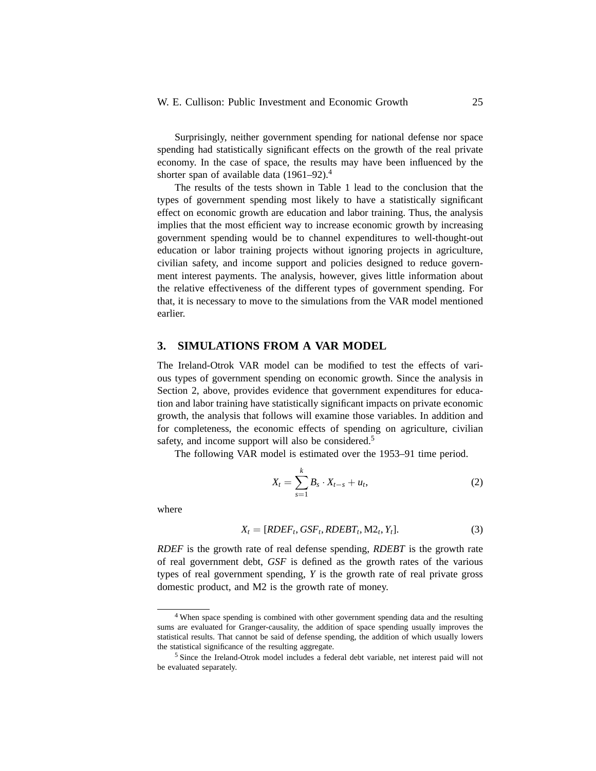Surprisingly, neither government spending for national defense nor space spending had statistically significant effects on the growth of the real private economy. In the case of space, the results may have been influenced by the shorter span of available data  $(1961-92).<sup>4</sup>$ 

The results of the tests shown in Table 1 lead to the conclusion that the types of government spending most likely to have a statistically significant effect on economic growth are education and labor training. Thus, the analysis implies that the most efficient way to increase economic growth by increasing government spending would be to channel expenditures to well-thought-out education or labor training projects without ignoring projects in agriculture, civilian safety, and income support and policies designed to reduce government interest payments. The analysis, however, gives little information about the relative effectiveness of the different types of government spending. For that, it is necessary to move to the simulations from the VAR model mentioned earlier.

#### **3. SIMULATIONS FROM A VAR MODEL**

The Ireland-Otrok VAR model can be modified to test the effects of various types of government spending on economic growth. Since the analysis in Section 2, above, provides evidence that government expenditures for education and labor training have statistically significant impacts on private economic growth, the analysis that follows will examine those variables. In addition and for completeness, the economic effects of spending on agriculture, civilian safety, and income support will also be considered.<sup>5</sup>

The following VAR model is estimated over the 1953–91 time period.

$$
X_{t} = \sum_{s=1}^{k} B_{s} \cdot X_{t-s} + u_{t},
$$
\n(2)

where

$$
X_t = [RDEF_t, GSF_t, RDEBT_t, M2_t, Y_t].
$$
\n(3)

*RDEF* is the growth rate of real defense spending, *RDEBT* is the growth rate of real government debt, *GSF* is defined as the growth rates of the various types of real government spending, *Y* is the growth rate of real private gross domestic product, and M2 is the growth rate of money.

<sup>&</sup>lt;sup>4</sup> When space spending is combined with other government spending data and the resulting sums are evaluated for Granger-causality, the addition of space spending usually improves the statistical results. That cannot be said of defense spending, the addition of which usually lowers the statistical significance of the resulting aggregate.

<sup>5</sup> Since the Ireland-Otrok model includes a federal debt variable, net interest paid will not be evaluated separately.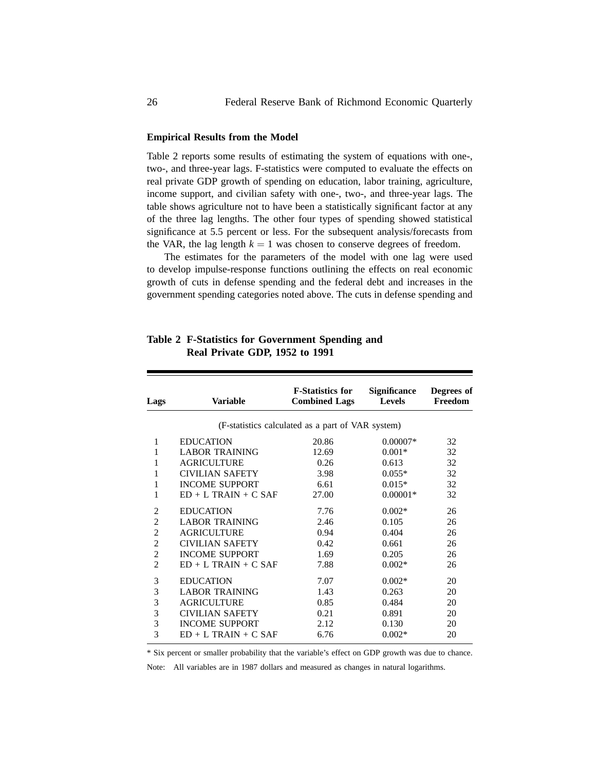#### **Empirical Results from the Model**

Table 2 reports some results of estimating the system of equations with one-, two-, and three-year lags. F-statistics were computed to evaluate the effects on real private GDP growth of spending on education, labor training, agriculture, income support, and civilian safety with one-, two-, and three-year lags. The table shows agriculture not to have been a statistically significant factor at any of the three lag lengths. The other four types of spending showed statistical significance at 5.5 percent or less. For the subsequent analysis/forecasts from the VAR, the lag length  $k = 1$  was chosen to conserve degrees of freedom.

The estimates for the parameters of the model with one lag were used to develop impulse-response functions outlining the effects on real economic growth of cuts in defense spending and the federal debt and increases in the government spending categories noted above. The cuts in defense spending and

| <b>Lags</b>    | <b>Variable</b>        | <b>F-Statistics for</b><br><b>Combined Lags</b>   | <b>Significance</b><br><b>Levels</b> | Degrees of<br>Freedom |
|----------------|------------------------|---------------------------------------------------|--------------------------------------|-----------------------|
|                |                        | (F-statistics calculated as a part of VAR system) |                                      |                       |
| $\mathbf{1}$   | <b>EDUCATION</b>       | 20.86                                             | $0.00007*$                           | 32                    |
| 1              | <b>LABOR TRAINING</b>  | 12.69                                             | $0.001*$                             | 32                    |
| 1              | <b>AGRICULTURE</b>     | 0.26                                              | 0.613                                | 32                    |
| 1              | <b>CIVILIAN SAFETY</b> | 3.98                                              | $0.055*$                             | 32                    |
| 1              | <b>INCOME SUPPORT</b>  | 6.61                                              | $0.015*$                             | 32                    |
| 1              | $ED + L TRAIN + C SAF$ | 27.00                                             | $0.00001*$                           | 32                    |
| $\overline{2}$ | <b>EDUCATION</b>       | 7.76                                              | $0.002*$                             | 26                    |
| $\overline{2}$ | <b>LABOR TRAINING</b>  | 2.46                                              | 0.105                                | 26                    |
| $\overline{2}$ | <b>AGRICULTURE</b>     | 0.94                                              | 0.404                                | 26                    |
| $\overline{2}$ | <b>CIVILIAN SAFETY</b> | 0.42                                              | 0.661                                | 26                    |
| $\overline{2}$ | <b>INCOME SUPPORT</b>  | 1.69                                              | 0.205                                | 26                    |
| $\overline{2}$ | $ED + L TRAIN + C SAF$ | 7.88                                              | $0.002*$                             | 26                    |
| 3              | <b>EDUCATION</b>       | 7.07                                              | $0.002*$                             | 20                    |
| 3              | <b>LABOR TRAINING</b>  | 1.43                                              | 0.263                                | 20                    |
| 3              | <b>AGRICULTURE</b>     | 0.85                                              | 0.484                                | 20                    |
| 3              | <b>CIVILIAN SAFETY</b> | 0.21                                              | 0.891                                | 20                    |
| 3              | <b>INCOME SUPPORT</b>  | 2.12                                              | 0.130                                | 20                    |
| 3              | $ED + L TRAIN + C SAF$ | 6.76                                              | $0.002*$                             | 20                    |

# **Table 2 F-Statistics for Government Spending and Real Private GDP, 1952 to 1991**

\* Six percent or smaller probability that the variable's effect on GDP growth was due to chance.

Note: All variables are in 1987 dollars and measured as changes in natural logarithms.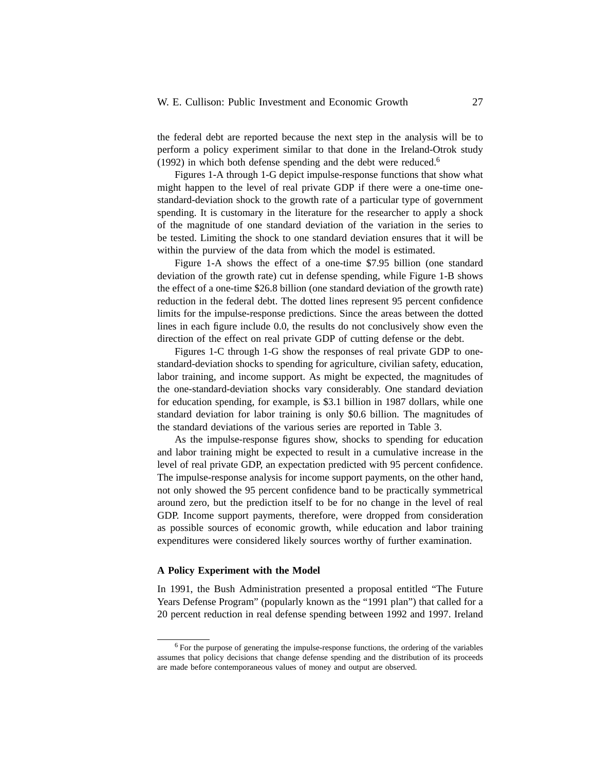the federal debt are reported because the next step in the analysis will be to perform a policy experiment similar to that done in the Ireland-Otrok study  $(1992)$  in which both defense spending and the debt were reduced.<sup>6</sup>

Figures 1-A through 1-G depict impulse-response functions that show what might happen to the level of real private GDP if there were a one-time onestandard-deviation shock to the growth rate of a particular type of government spending. It is customary in the literature for the researcher to apply a shock of the magnitude of one standard deviation of the variation in the series to be tested. Limiting the shock to one standard deviation ensures that it will be within the purview of the data from which the model is estimated.

Figure 1-A shows the effect of a one-time \$7.95 billion (one standard deviation of the growth rate) cut in defense spending, while Figure 1-B shows the effect of a one-time \$26.8 billion (one standard deviation of the growth rate) reduction in the federal debt. The dotted lines represent 95 percent confidence limits for the impulse-response predictions. Since the areas between the dotted lines in each figure include 0.0, the results do not conclusively show even the direction of the effect on real private GDP of cutting defense or the debt.

Figures 1-C through 1-G show the responses of real private GDP to onestandard-deviation shocks to spending for agriculture, civilian safety, education, labor training, and income support. As might be expected, the magnitudes of the one-standard-deviation shocks vary considerably. One standard deviation for education spending, for example, is \$3.1 billion in 1987 dollars, while one standard deviation for labor training is only \$0.6 billion. The magnitudes of the standard deviations of the various series are reported in Table 3.

As the impulse-response figures show, shocks to spending for education and labor training might be expected to result in a cumulative increase in the level of real private GDP, an expectation predicted with 95 percent confidence. The impulse-response analysis for income support payments, on the other hand, not only showed the 95 percent confidence band to be practically symmetrical around zero, but the prediction itself to be for no change in the level of real GDP. Income support payments, therefore, were dropped from consideration as possible sources of economic growth, while education and labor training expenditures were considered likely sources worthy of further examination.

#### **A Policy Experiment with the Model**

In 1991, the Bush Administration presented a proposal entitled "The Future Years Defense Program" (popularly known as the "1991 plan") that called for a 20 percent reduction in real defense spending between 1992 and 1997. Ireland

<sup>&</sup>lt;sup>6</sup> For the purpose of generating the impulse-response functions, the ordering of the variables assumes that policy decisions that change defense spending and the distribution of its proceeds are made before contemporaneous values of money and output are observed.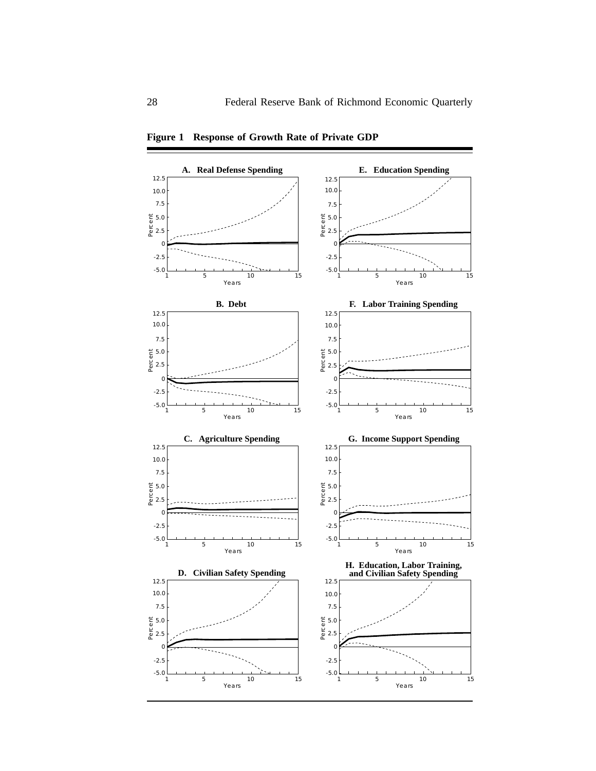

**Figure 1 Response of Growth Rate of Private GDP**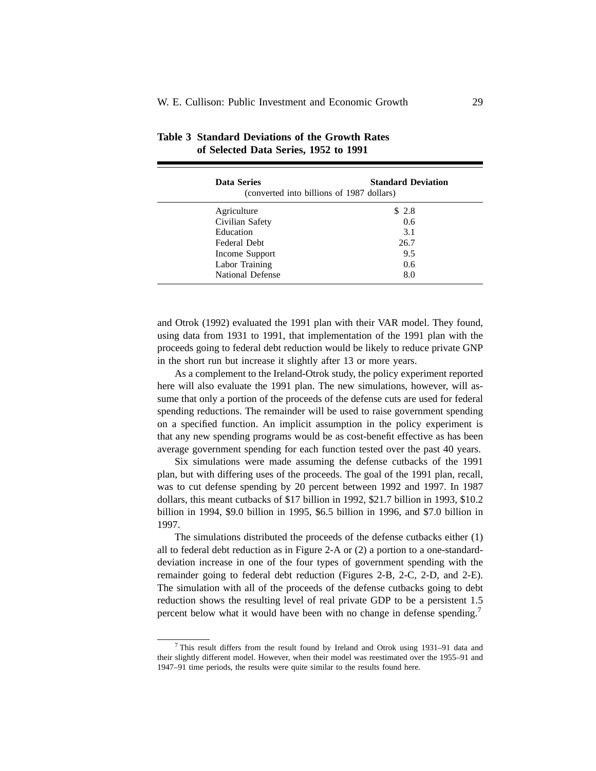| <b>Data Series</b><br>(converted into billions of 1987 dollars) | <b>Standard Deviation</b> |
|-----------------------------------------------------------------|---------------------------|
| Agriculture                                                     | \$2.8                     |
| Civilian Safety                                                 | 0.6                       |
| Education                                                       | 3.1                       |
| Federal Debt                                                    | 26.7                      |
| Income Support                                                  | 9.5                       |
| Labor Training                                                  | 0.6                       |
| <b>National Defense</b>                                         | 8.0                       |
|                                                                 |                           |

## **Table 3 Standard Deviations of the Growth Rates of Selected Data Series, 1952 to 1991**

and Otrok (1992) evaluated the 1991 plan with their VAR model. They found, using data from 1931 to 1991, that implementation of the 1991 plan with the proceeds going to federal debt reduction would be likely to reduce private GNP in the short run but increase it slightly after 13 or more years.

As a complement to the Ireland-Otrok study, the policy experiment reported here will also evaluate the 1991 plan. The new simulations, however, will assume that only a portion of the proceeds of the defense cuts are used for federal spending reductions. The remainder will be used to raise government spending on a specified function. An implicit assumption in the policy experiment is that any new spending programs would be as cost-benefit effective as has been average government spending for each function tested over the past 40 years.

Six simulations were made assuming the defense cutbacks of the 1991 plan, but with differing uses of the proceeds. The goal of the 1991 plan, recall, was to cut defense spending by 20 percent between 1992 and 1997. In 1987 dollars, this meant cutbacks of \$17 billion in 1992, \$21.7 billion in 1993, \$10.2 billion in 1994, \$9.0 billion in 1995, \$6.5 billion in 1996, and \$7.0 billion in 1997.

The simulations distributed the proceeds of the defense cutbacks either (1) all to federal debt reduction as in Figure 2-A or (2) a portion to a one-standarddeviation increase in one of the four types of government spending with the remainder going to federal debt reduction (Figures 2-B, 2-C, 2-D, and 2-E). The simulation with all of the proceeds of the defense cutbacks going to debt reduction shows the resulting level of real private GDP to be a persistent 1.5 percent below what it would have been with no change in defense spending.<sup>7</sup>

<sup>7</sup> This result differs from the result found by Ireland and Otrok using 1931–91 data and their slightly different model. However, when their model was reestimated over the 1955–91 and 1947–91 time periods, the results were quite similar to the results found here.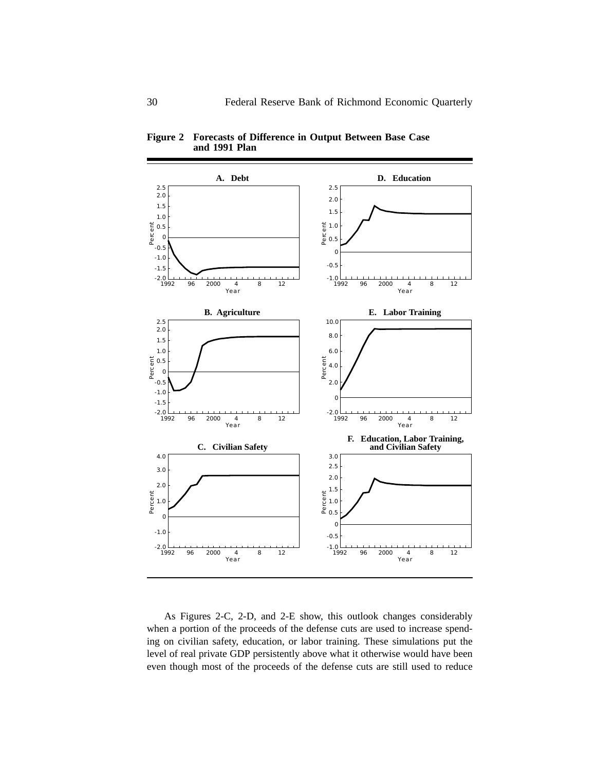

**Figure 2 Forecasts of Difference in Output Between Base Case and 1991 Plan**

As Figures 2-C, 2-D, and 2-E show, this outlook changes considerably when a portion of the proceeds of the defense cuts are used to increase spending on civilian safety, education, or labor training. These simulations put the level of real private GDP persistently above what it otherwise would have been even though most of the proceeds of the defense cuts are still used to reduce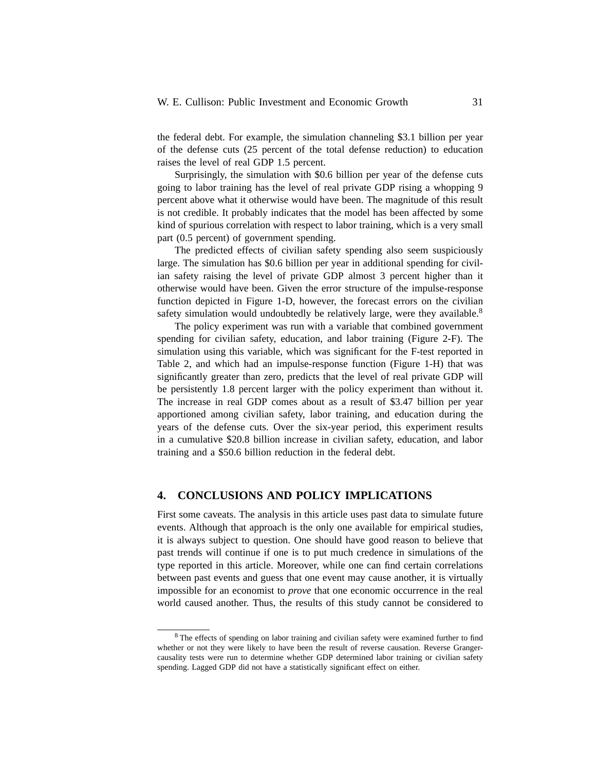the federal debt. For example, the simulation channeling \$3.1 billion per year of the defense cuts (25 percent of the total defense reduction) to education raises the level of real GDP 1.5 percent.

Surprisingly, the simulation with \$0.6 billion per year of the defense cuts going to labor training has the level of real private GDP rising a whopping 9 percent above what it otherwise would have been. The magnitude of this result is not credible. It probably indicates that the model has been affected by some kind of spurious correlation with respect to labor training, which is a very small part (0.5 percent) of government spending.

The predicted effects of civilian safety spending also seem suspiciously large. The simulation has \$0.6 billion per year in additional spending for civilian safety raising the level of private GDP almost 3 percent higher than it otherwise would have been. Given the error structure of the impulse-response function depicted in Figure 1-D, however, the forecast errors on the civilian safety simulation would undoubtedly be relatively large, were they available.<sup>8</sup>

The policy experiment was run with a variable that combined government spending for civilian safety, education, and labor training (Figure 2-F). The simulation using this variable, which was significant for the F-test reported in Table 2, and which had an impulse-response function (Figure 1-H) that was significantly greater than zero, predicts that the level of real private GDP will be persistently 1.8 percent larger with the policy experiment than without it. The increase in real GDP comes about as a result of \$3.47 billion per year apportioned among civilian safety, labor training, and education during the years of the defense cuts. Over the six-year period, this experiment results in a cumulative \$20.8 billion increase in civilian safety, education, and labor training and a \$50.6 billion reduction in the federal debt.

#### **4. CONCLUSIONS AND POLICY IMPLICATIONS**

First some caveats. The analysis in this article uses past data to simulate future events. Although that approach is the only one available for empirical studies, it is always subject to question. One should have good reason to believe that past trends will continue if one is to put much credence in simulations of the type reported in this article. Moreover, while one can find certain correlations between past events and guess that one event may cause another, it is virtually impossible for an economist to *prove* that one economic occurrence in the real world caused another. Thus, the results of this study cannot be considered to

<sup>&</sup>lt;sup>8</sup> The effects of spending on labor training and civilian safety were examined further to find whether or not they were likely to have been the result of reverse causation. Reverse Grangercausality tests were run to determine whether GDP determined labor training or civilian safety spending. Lagged GDP did not have a statistically significant effect on either.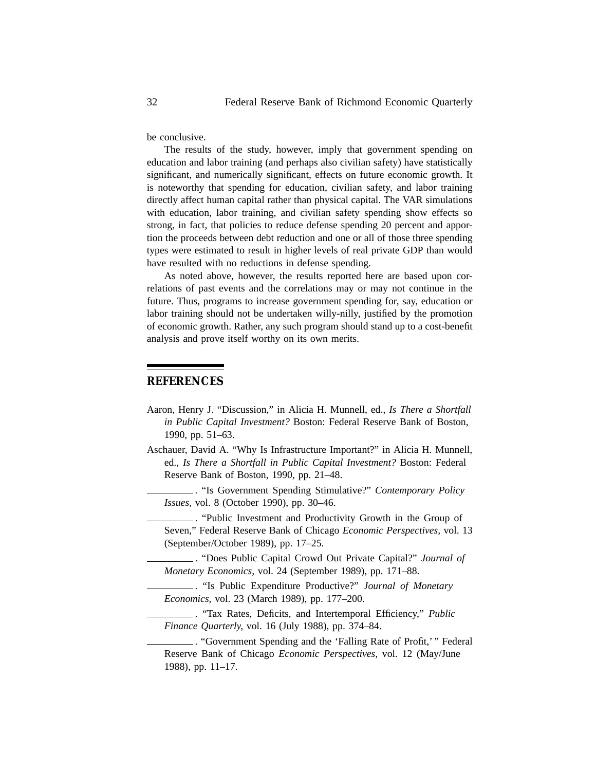be conclusive.

The results of the study, however, imply that government spending on education and labor training (and perhaps also civilian safety) have statistically significant, and numerically significant, effects on future economic growth. It is noteworthy that spending for education, civilian safety, and labor training directly affect human capital rather than physical capital. The VAR simulations with education, labor training, and civilian safety spending show effects so strong, in fact, that policies to reduce defense spending 20 percent and apportion the proceeds between debt reduction and one or all of those three spending types were estimated to result in higher levels of real private GDP than would have resulted with no reductions in defense spending.

As noted above, however, the results reported here are based upon correlations of past events and the correlations may or may not continue in the future. Thus, programs to increase government spending for, say, education or labor training should not be undertaken willy-nilly, justified by the promotion of economic growth. Rather, any such program should stand up to a cost-benefit analysis and prove itself worthy on its own merits.

## **REFERENCES**

- Aaron, Henry J. "Discussion," in Alicia H. Munnell, ed., *Is There a Shortfall in Public Capital Investment?* Boston: Federal Reserve Bank of Boston, 1990, pp. 51–63.
- Aschauer, David A. "Why Is Infrastructure Important?" in Alicia H. Munnell, ed., *Is There a Shortfall in Public Capital Investment?* Boston: Federal Reserve Bank of Boston, 1990, pp. 21–48.
	- . "Is Government Spending Stimulative?" *Contemporary Policy Issues,* vol. 8 (October 1990), pp. 30–46.

. "Public Investment and Productivity Growth in the Group of Seven," Federal Reserve Bank of Chicago *Economic Perspectives,* vol. 13 (September/October 1989), pp. 17–25.

. "Does Public Capital Crowd Out Private Capital?" *Journal of Monetary Economics,* vol. 24 (September 1989), pp. 171–88.

. "Is Public Expenditure Productive?" *Journal of Monetary Economics,* vol. 23 (March 1989), pp. 177–200.

. "Tax Rates, Deficits, and Intertemporal Efficiency," *Public Finance Quarterly,* vol. 16 (July 1988), pp. 374–84.

. "Government Spending and the 'Falling Rate of Profit,' " Federal Reserve Bank of Chicago *Economic Perspectives,* vol. 12 (May/June 1988), pp. 11–17.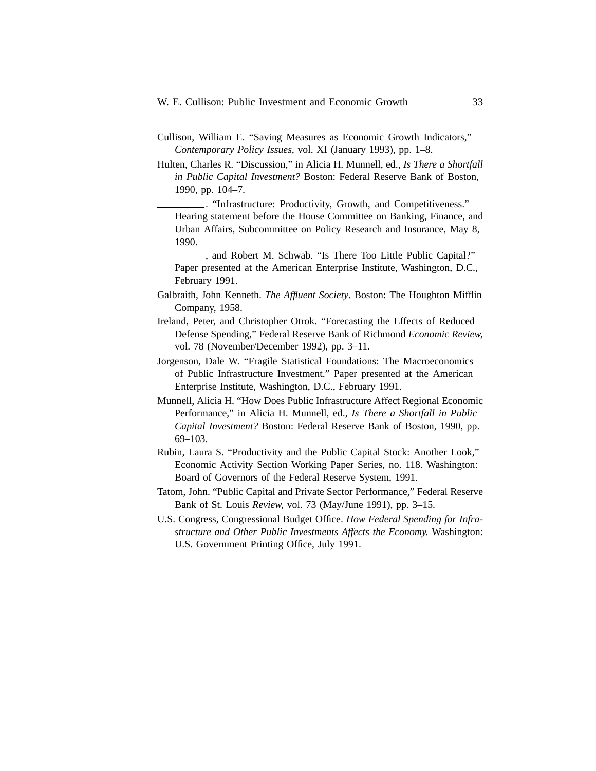- Cullison, William E. "Saving Measures as Economic Growth Indicators," *Contemporary Policy Issues,* vol. XI (January 1993), pp. 1–8.
- Hulten, Charles R. "Discussion," in Alicia H. Munnell, ed., *Is There a Shortfall in Public Capital Investment?* Boston: Federal Reserve Bank of Boston, 1990, pp. 104–7.

. "Infrastructure: Productivity, Growth, and Competitiveness." Hearing statement before the House Committee on Banking, Finance, and Urban Affairs, Subcommittee on Policy Research and Insurance, May 8, 1990.

, and Robert M. Schwab. "Is There Too Little Public Capital?" Paper presented at the American Enterprise Institute, Washington, D.C., February 1991.

- Galbraith, John Kenneth. *The Affluent Society*. Boston: The Houghton Mifflin Company, 1958.
- Ireland, Peter, and Christopher Otrok. "Forecasting the Effects of Reduced Defense Spending," Federal Reserve Bank of Richmond *Economic Review,* vol. 78 (November/December 1992), pp. 3–11.
- Jorgenson, Dale W. "Fragile Statistical Foundations: The Macroeconomics of Public Infrastructure Investment." Paper presented at the American Enterprise Institute, Washington, D.C., February 1991.
- Munnell, Alicia H. "How Does Public Infrastructure Affect Regional Economic Performance," in Alicia H. Munnell, ed., *Is There a Shortfall in Public Capital Investment?* Boston: Federal Reserve Bank of Boston, 1990, pp. 69–103.
- Rubin, Laura S. "Productivity and the Public Capital Stock: Another Look," Economic Activity Section Working Paper Series, no. 118. Washington: Board of Governors of the Federal Reserve System, 1991.
- Tatom, John. "Public Capital and Private Sector Performance," Federal Reserve Bank of St. Louis *Review,* vol. 73 (May/June 1991), pp. 3–15.
- U.S. Congress, Congressional Budget Office. *How Federal Spending for Infrastructure and Other Public Investments Affects the Economy.* Washington: U.S. Government Printing Office, July 1991.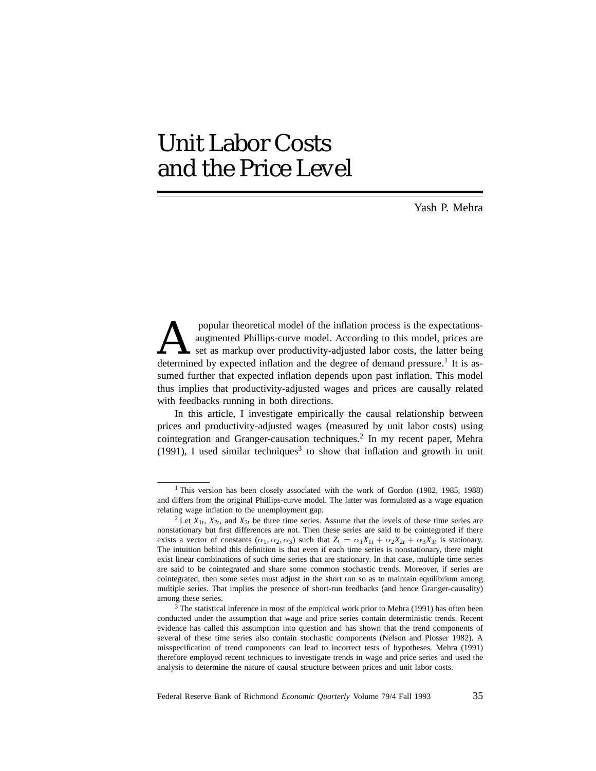# Unit Labor Costs and the Price Level

Yash P. Mehra

popular theoretical model of the inflation process is the expectations-<br>augmented Phillips-curve model. According to this model, prices are<br>set as markup over productivity-adjusted labor costs, the latter being<br>determined augmented Phillips-curve model. According to this model, prices are set as markup over productivity-adjusted labor costs, the latter being determined by expected inflation and the degree of demand pressure.<sup>1</sup> It is assumed further that expected inflation depends upon past inflation. This model thus implies that productivity-adjusted wages and prices are causally related with feedbacks running in both directions.

In this article, I investigate empirically the causal relationship between prices and productivity-adjusted wages (measured by unit labor costs) using cointegration and Granger-causation techniques.<sup>2</sup> In my recent paper, Mehra (1991), I used similar techniques<sup>3</sup> to show that inflation and growth in unit

<sup>&</sup>lt;sup>1</sup> This version has been closely associated with the work of Gordon (1982, 1985, 1988) and differs from the original Phillips-curve model. The latter was formulated as a wage equation relating wage inflation to the unemployment gap.

<sup>&</sup>lt;sup>2</sup> Let  $X_{1t}$ ,  $X_{2t}$ , and  $X_{3t}$  be three time series. Assume that the levels of these time series are nonstationary but first differences are not. Then these series are said to be cointegrated if there exists a vector of constants  $(\alpha_1, \alpha_2, \alpha_3)$  such that  $Z_t = \alpha_1 X_{1t} + \alpha_2 X_{2t} + \alpha_3 X_{3t}$  is stationary. The intuition behind this definition is that even if each time series is nonstationary, there might exist linear combinations of such time series that are stationary. In that case, multiple time series are said to be cointegrated and share some common stochastic trends. Moreover, if series are cointegrated, then some series must adjust in the short run so as to maintain equilibrium among multiple series. That implies the presence of short-run feedbacks (and hence Granger-causality) among these series.

<sup>&</sup>lt;sup>3</sup> The statistical inference in most of the empirical work prior to Mehra (1991) has often been conducted under the assumption that wage and price series contain deterministic trends. Recent evidence has called this assumption into question and has shown that the trend components of several of these time series also contain stochastic components (Nelson and Plosser 1982). A misspecification of trend components can lead to incorrect tests of hypotheses. Mehra (1991) therefore employed recent techniques to investigate trends in wage and price series and used the analysis to determine the nature of causal structure between prices and unit labor costs.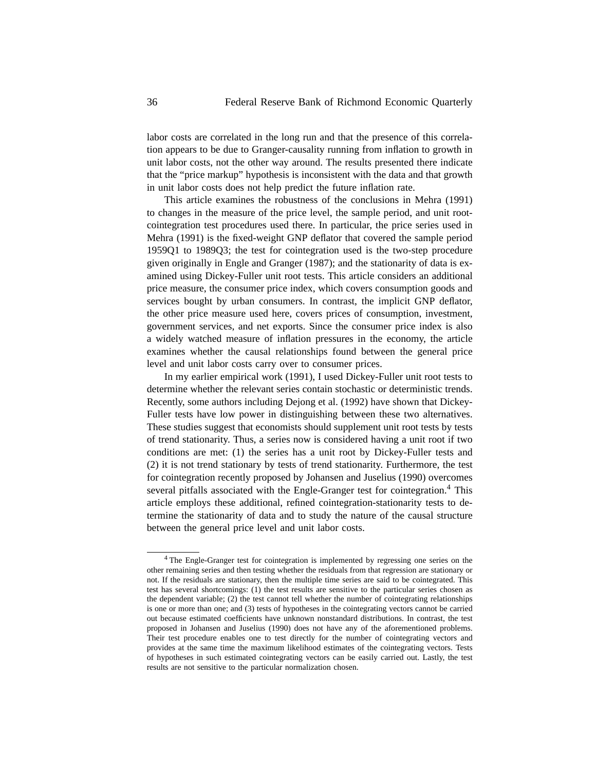labor costs are correlated in the long run and that the presence of this correlation appears to be due to Granger-causality running from inflation to growth in unit labor costs, not the other way around. The results presented there indicate that the "price markup" hypothesis is inconsistent with the data and that growth in unit labor costs does not help predict the future inflation rate.

This article examines the robustness of the conclusions in Mehra (1991) to changes in the measure of the price level, the sample period, and unit rootcointegration test procedures used there. In particular, the price series used in Mehra (1991) is the fixed-weight GNP deflator that covered the sample period 1959Q1 to 1989Q3; the test for cointegration used is the two-step procedure given originally in Engle and Granger (1987); and the stationarity of data is examined using Dickey-Fuller unit root tests. This article considers an additional price measure, the consumer price index, which covers consumption goods and services bought by urban consumers. In contrast, the implicit GNP deflator, the other price measure used here, covers prices of consumption, investment, government services, and net exports. Since the consumer price index is also a widely watched measure of inflation pressures in the economy, the article examines whether the causal relationships found between the general price level and unit labor costs carry over to consumer prices.

In my earlier empirical work (1991), I used Dickey-Fuller unit root tests to determine whether the relevant series contain stochastic or deterministic trends. Recently, some authors including Dejong et al. (1992) have shown that Dickey-Fuller tests have low power in distinguishing between these two alternatives. These studies suggest that economists should supplement unit root tests by tests of trend stationarity. Thus, a series now is considered having a unit root if two conditions are met: (1) the series has a unit root by Dickey-Fuller tests and (2) it is not trend stationary by tests of trend stationarity. Furthermore, the test for cointegration recently proposed by Johansen and Juselius (1990) overcomes several pitfalls associated with the Engle-Granger test for cointegration.<sup>4</sup> This article employs these additional, refined cointegration-stationarity tests to determine the stationarity of data and to study the nature of the causal structure between the general price level and unit labor costs.

<sup>4</sup> The Engle-Granger test for cointegration is implemented by regressing one series on the other remaining series and then testing whether the residuals from that regression are stationary or not. If the residuals are stationary, then the multiple time series are said to be cointegrated. This test has several shortcomings: (1) the test results are sensitive to the particular series chosen as the dependent variable; (2) the test cannot tell whether the number of cointegrating relationships is one or more than one; and (3) tests of hypotheses in the cointegrating vectors cannot be carried out because estimated coefficients have unknown nonstandard distributions. In contrast, the test proposed in Johansen and Juselius (1990) does not have any of the aforementioned problems. Their test procedure enables one to test directly for the number of cointegrating vectors and provides at the same time the maximum likelihood estimates of the cointegrating vectors. Tests of hypotheses in such estimated cointegrating vectors can be easily carried out. Lastly, the test results are not sensitive to the particular normalization chosen.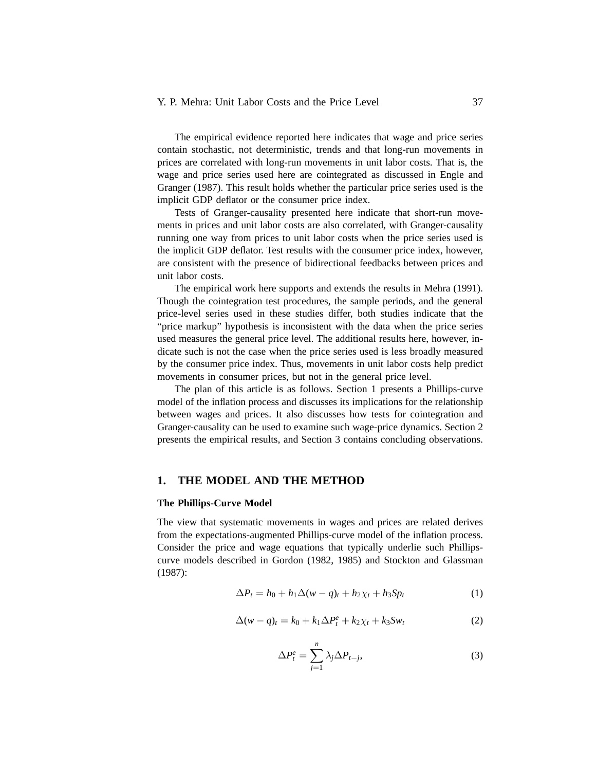## Y. P. Mehra: Unit Labor Costs and the Price Level 37

The empirical evidence reported here indicates that wage and price series contain stochastic, not deterministic, trends and that long-run movements in prices are correlated with long-run movements in unit labor costs. That is, the wage and price series used here are cointegrated as discussed in Engle and Granger (1987). This result holds whether the particular price series used is the implicit GDP deflator or the consumer price index.

Tests of Granger-causality presented here indicate that short-run movements in prices and unit labor costs are also correlated, with Granger-causality running one way from prices to unit labor costs when the price series used is the implicit GDP deflator. Test results with the consumer price index, however, are consistent with the presence of bidirectional feedbacks between prices and unit labor costs.

The empirical work here supports and extends the results in Mehra (1991). Though the cointegration test procedures, the sample periods, and the general price-level series used in these studies differ, both studies indicate that the "price markup" hypothesis is inconsistent with the data when the price series used measures the general price level. The additional results here, however, indicate such is not the case when the price series used is less broadly measured by the consumer price index. Thus, movements in unit labor costs help predict movements in consumer prices, but not in the general price level.

The plan of this article is as follows. Section 1 presents a Phillips-curve model of the inflation process and discusses its implications for the relationship between wages and prices. It also discusses how tests for cointegration and Granger-causality can be used to examine such wage-price dynamics. Section 2 presents the empirical results, and Section 3 contains concluding observations.

### **1. THE MODEL AND THE METHOD**

### **The Phillips-Curve Model**

The view that systematic movements in wages and prices are related derives from the expectations-augmented Phillips-curve model of the inflation process. Consider the price and wage equations that typically underlie such Phillipscurve models described in Gordon (1982, 1985) and Stockton and Glassman (1987):

$$
\Delta P_t = h_0 + h_1 \Delta (w - q)_t + h_2 \chi_t + h_3 Sp_t \tag{1}
$$

$$
\Delta(w-q)_t = k_0 + k_1 \Delta P_t^e + k_2 \chi_t + k_3 S w_t \tag{2}
$$

$$
\Delta P_t^e = \sum_{j=1}^n \lambda_j \Delta P_{t-j},\tag{3}
$$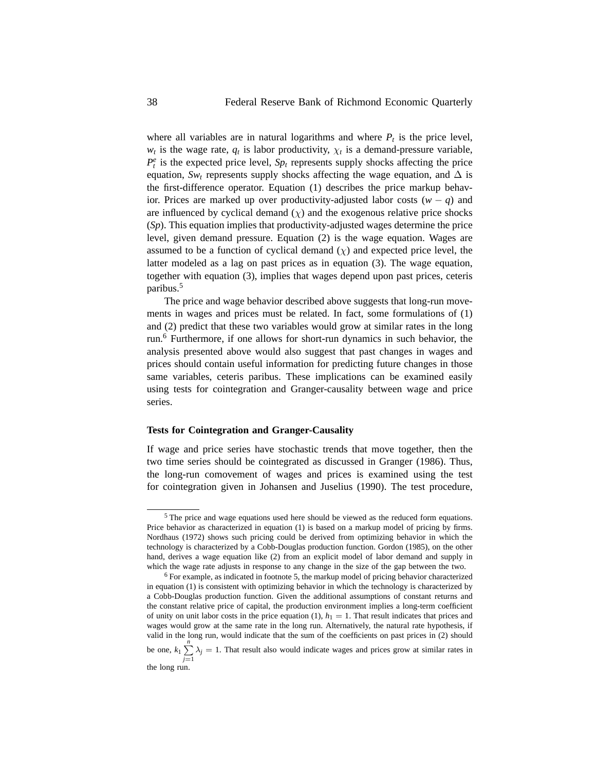where all variables are in natural logarithms and where  $P_t$  is the price level,  $w_t$  is the wage rate,  $q_t$  is labor productivity,  $\chi_t$  is a demand-pressure variable,  $P_t^e$  is the expected price level,  $Sp_t$  represents supply shocks affecting the price equation,  $Sw_t$  represents supply shocks affecting the wage equation, and  $\Delta$  is the first-difference operator. Equation (1) describes the price markup behavior. Prices are marked up over productivity-adjusted labor costs (*w* − *q*) and are influenced by cyclical demand  $(\chi)$  and the exogenous relative price shocks (*Sp*). This equation implies that productivity-adjusted wages determine the price level, given demand pressure. Equation (2) is the wage equation. Wages are assumed to be a function of cyclical demand  $(\chi)$  and expected price level, the latter modeled as a lag on past prices as in equation (3). The wage equation, together with equation (3), implies that wages depend upon past prices, ceteris paribus.<sup>5</sup>

The price and wage behavior described above suggests that long-run movements in wages and prices must be related. In fact, some formulations of (1) and (2) predict that these two variables would grow at similar rates in the long run.<sup>6</sup> Furthermore, if one allows for short-run dynamics in such behavior, the analysis presented above would also suggest that past changes in wages and prices should contain useful information for predicting future changes in those same variables, ceteris paribus. These implications can be examined easily using tests for cointegration and Granger-causality between wage and price series.

### **Tests for Cointegration and Granger-Causality**

If wage and price series have stochastic trends that move together, then the two time series should be cointegrated as discussed in Granger (1986). Thus, the long-run comovement of wages and prices is examined using the test for cointegration given in Johansen and Juselius (1990). The test procedure,

<sup>&</sup>lt;sup>5</sup> The price and wage equations used here should be viewed as the reduced form equations. Price behavior as characterized in equation (1) is based on a markup model of pricing by firms. Nordhaus (1972) shows such pricing could be derived from optimizing behavior in which the technology is characterized by a Cobb-Douglas production function. Gordon (1985), on the other hand, derives a wage equation like (2) from an explicit model of labor demand and supply in which the wage rate adjusts in response to any change in the size of the gap between the two.

<sup>6</sup> For example, as indicated in footnote 5, the markup model of pricing behavior characterized in equation (1) is consistent with optimizing behavior in which the technology is characterized by a Cobb-Douglas production function. Given the additional assumptions of constant returns and the constant relative price of capital, the production environment implies a long-term coefficient of unity on unit labor costs in the price equation  $(1)$ ,  $h_1 = 1$ . That result indicates that prices and wages would grow at the same rate in the long run. Alternatively, the natural rate hypothesis, if valid in the long run, would indicate that the sum of the coefficients on past prices in (2) should be one,  $k_1 \sum_{n=1}^n$  $\sum_{j=1}$   $\lambda_j = 1$ . That result also would indicate wages and prices grow at similar rates in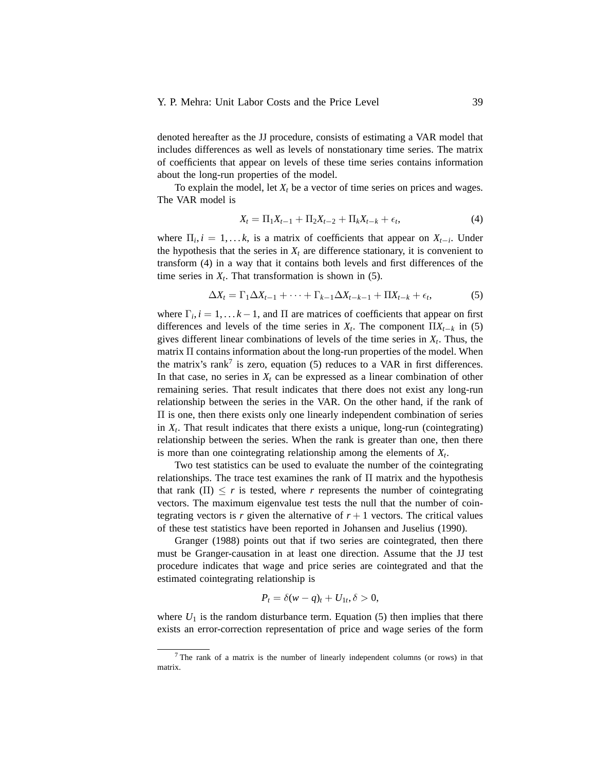denoted hereafter as the JJ procedure, consists of estimating a VAR model that includes differences as well as levels of nonstationary time series. The matrix of coefficients that appear on levels of these time series contains information about the long-run properties of the model.

To explain the model, let  $X_t$  be a vector of time series on prices and wages. The VAR model is

$$
X_t = \Pi_1 X_{t-1} + \Pi_2 X_{t-2} + \Pi_k X_{t-k} + \epsilon_t, \tag{4}
$$

where  $\Pi_i$ ,  $i = 1, \ldots k$ , is a matrix of coefficients that appear on  $X_{t-i}$ . Under the hypothesis that the series in  $X_t$  are difference stationary, it is convenient to transform (4) in a way that it contains both levels and first differences of the time series in  $X_t$ . That transformation is shown in (5).

$$
\Delta X_t = \Gamma_1 \Delta X_{t-1} + \dots + \Gamma_{k-1} \Delta X_{t-k-1} + \Pi X_{t-k} + \epsilon_t, \tag{5}
$$

where  $\Gamma_i$ ,  $i = 1, \ldots k - 1$ , and  $\Pi$  are matrices of coefficients that appear on first differences and levels of the time series in  $X_t$ . The component  $\prod X_{t-k}$  in (5) gives different linear combinations of levels of the time series in  $X_t$ . Thus, the matrix Π contains information about the long-run properties of the model. When the matrix's rank<sup>7</sup> is zero, equation (5) reduces to a VAR in first differences. In that case, no series in  $X_t$  can be expressed as a linear combination of other remaining series. That result indicates that there does not exist any long-run relationship between the series in the VAR. On the other hand, if the rank of Π is one, then there exists only one linearly independent combination of series in  $X_t$ . That result indicates that there exists a unique, long-run (cointegrating) relationship between the series. When the rank is greater than one, then there is more than one cointegrating relationship among the elements of  $X_t$ .

Two test statistics can be used to evaluate the number of the cointegrating relationships. The trace test examines the rank of  $\Pi$  matrix and the hypothesis that rank  $(\Pi) \leq r$  is tested, where r represents the number of cointegrating vectors. The maximum eigenvalue test tests the null that the number of cointegrating vectors is *r* given the alternative of  $r + 1$  vectors. The critical values of these test statistics have been reported in Johansen and Juselius (1990).

Granger (1988) points out that if two series are cointegrated, then there must be Granger-causation in at least one direction. Assume that the JJ test procedure indicates that wage and price series are cointegrated and that the estimated cointegrating relationship is

$$
P_t = \delta(w - q)_t + U_{1t}, \delta > 0,
$$

where  $U_1$  is the random disturbance term. Equation (5) then implies that there exists an error-correction representation of price and wage series of the form

<sup>7</sup> The rank of a matrix is the number of linearly independent columns (or rows) in that matrix.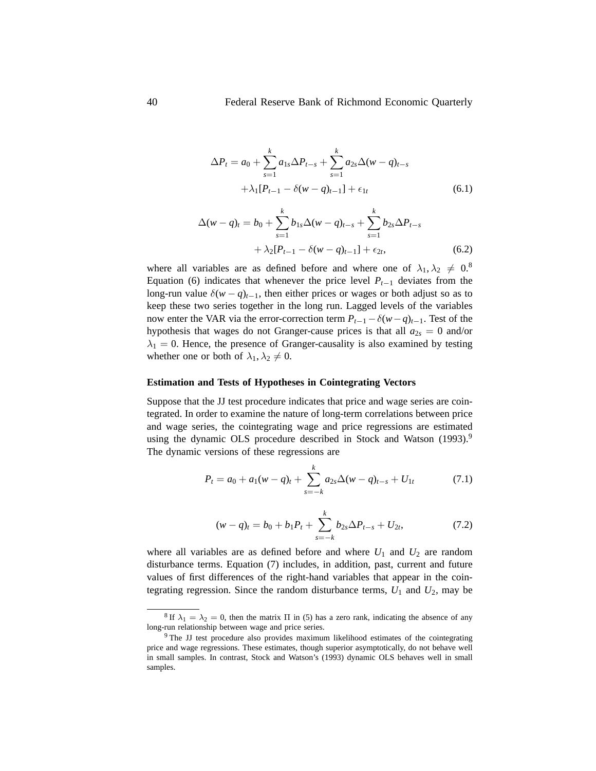$$
\Delta P_t = a_0 + \sum_{s=1}^k a_{1s} \Delta P_{t-s} + \sum_{s=1}^k a_{2s} \Delta (w - q)_{t-s}
$$
  
 
$$
+ \lambda_1 [P_{t-1} - \delta (w - q)_{t-1}] + \epsilon_{1t}
$$
(6.1)

$$
\Delta(w - q)_t = b_0 + \sum_{s=1}^k b_{1s} \Delta(w - q)_{t-s} + \sum_{s=1}^k b_{2s} \Delta P_{t-s} + \lambda_2 [P_{t-1} - \delta(w - q)_{t-1}] + \epsilon_{2t},
$$
(6.2)

where all variables are as defined before and where one of  $\lambda_1, \lambda_2 \neq 0.8$ Equation (6) indicates that whenever the price level  $P_{t-1}$  deviates from the long-run value  $\delta(w - q)$ <sub>t-1</sub>, then either prices or wages or both adjust so as to keep these two series together in the long run. Lagged levels of the variables now enter the VAR via the error-correction term  $P_{t-1} - \delta(w-q)_{t-1}$ . Test of the hypothesis that wages do not Granger-cause prices is that all  $a_{2s} = 0$  and/or  $\lambda_1 = 0$ . Hence, the presence of Granger-causality is also examined by testing whether one or both of  $\lambda_1, \lambda_2 \neq 0$ .

### **Estimation and Tests of Hypotheses in Cointegrating Vectors**

Suppose that the JJ test procedure indicates that price and wage series are cointegrated. In order to examine the nature of long-term correlations between price and wage series, the cointegrating wage and price regressions are estimated using the dynamic OLS procedure described in Stock and Watson (1993).<sup>9</sup> The dynamic versions of these regressions are

$$
P_t = a_0 + a_1(w - q)_t + \sum_{s=-k}^{k} a_{2s} \Delta(w - q)_{t-s} + U_{1t}
$$
 (7.1)

$$
(w-q)_t = b_0 + b_1 P_t + \sum_{s=-k}^k b_{2s} \Delta P_{t-s} + U_{2t}, \qquad (7.2)
$$

where all variables are as defined before and where  $U_1$  and  $U_2$  are random disturbance terms. Equation (7) includes, in addition, past, current and future values of first differences of the right-hand variables that appear in the cointegrating regression. Since the random disturbance terms,  $U_1$  and  $U_2$ , may be

<sup>&</sup>lt;sup>8</sup> If  $\lambda_1 = \lambda_2 = 0$ , then the matrix  $\Pi$  in (5) has a zero rank, indicating the absence of any long-run relationship between wage and price series.

<sup>&</sup>lt;sup>9</sup> The JJ test procedure also provides maximum likelihood estimates of the cointegrating price and wage regressions. These estimates, though superior asymptotically, do not behave well in small samples. In contrast, Stock and Watson's (1993) dynamic OLS behaves well in small samples.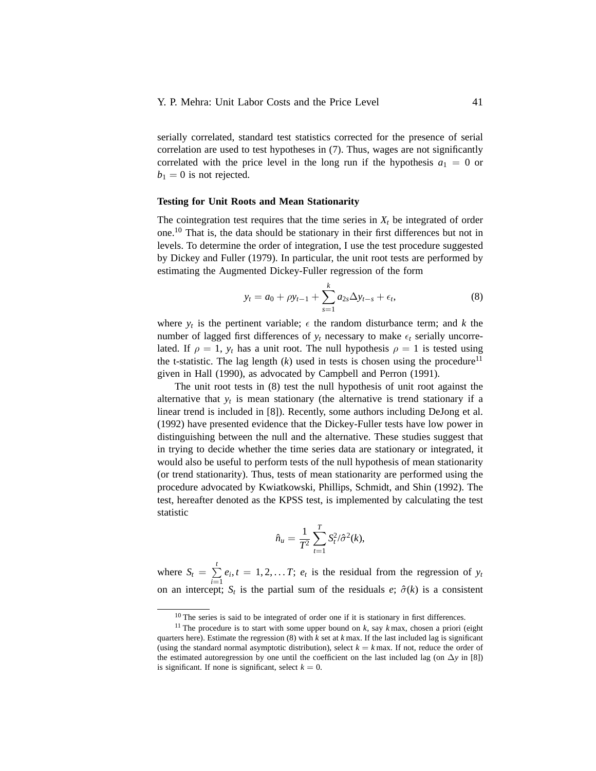serially correlated, standard test statistics corrected for the presence of serial correlation are used to test hypotheses in (7). Thus, wages are not significantly correlated with the price level in the long run if the hypothesis  $a_1 = 0$  or  $b_1 = 0$  is not rejected.

### **Testing for Unit Roots and Mean Stationarity**

The cointegration test requires that the time series in  $X_t$  be integrated of order one.<sup>10</sup> That is, the data should be stationary in their first differences but not in levels. To determine the order of integration, I use the test procedure suggested by Dickey and Fuller (1979). In particular, the unit root tests are performed by estimating the Augmented Dickey-Fuller regression of the form

$$
y_t = a_0 + \rho y_{t-1} + \sum_{s=1}^k a_{2s} \Delta y_{t-s} + \epsilon_t,
$$
\n(8)

where  $y_t$  is the pertinent variable;  $\epsilon$  the random disturbance term; and *k* the number of lagged first differences of  $y_t$  necessary to make  $\epsilon_t$  serially uncorrelated. If  $\rho = 1$ ,  $y_t$  has a unit root. The null hypothesis  $\rho = 1$  is tested using the t-statistic. The lag length  $(k)$  used in tests is chosen using the procedure<sup>11</sup> given in Hall (1990), as advocated by Campbell and Perron (1991).

The unit root tests in (8) test the null hypothesis of unit root against the alternative that  $y_t$  is mean stationary (the alternative is trend stationary if a linear trend is included in [8]). Recently, some authors including DeJong et al. (1992) have presented evidence that the Dickey-Fuller tests have low power in distinguishing between the null and the alternative. These studies suggest that in trying to decide whether the time series data are stationary or integrated, it would also be useful to perform tests of the null hypothesis of mean stationarity (or trend stationarity). Thus, tests of mean stationarity are performed using the procedure advocated by Kwiatkowski, Phillips, Schmidt, and Shin (1992). The test, hereafter denoted as the KPSS test, is implemented by calculating the test statistic

$$
\hat{n}_u = \frac{1}{T^2} \sum_{t=1}^T S_t^2 / \hat{\sigma}^2(k),
$$

where  $S_t = \sum_{i=1}^{t}$  $\sum_{i=1}^{n} e_i, t = 1, 2, \dots T$ ;  $e_t$  is the residual from the regression of  $y_t$ on an intercept;  $S_t$  is the partial sum of the residuals *e*;  $\hat{\sigma}(k)$  is a consistent

<sup>&</sup>lt;sup>10</sup> The series is said to be integrated of order one if it is stationary in first differences.

<sup>&</sup>lt;sup>11</sup> The procedure is to start with some upper bound on  $k$ , say  $k$  max, chosen a priori (eight quarters here). Estimate the regression  $(8)$  with  $k$  set at  $k$  max. If the last included lag is significant (using the standard normal asymptotic distribution), select  $k = k$  max. If not, reduce the order of the estimated autoregression by one until the coefficient on the last included lag (on ∆*y* in [8]) is significant. If none is significant, select  $k = 0$ .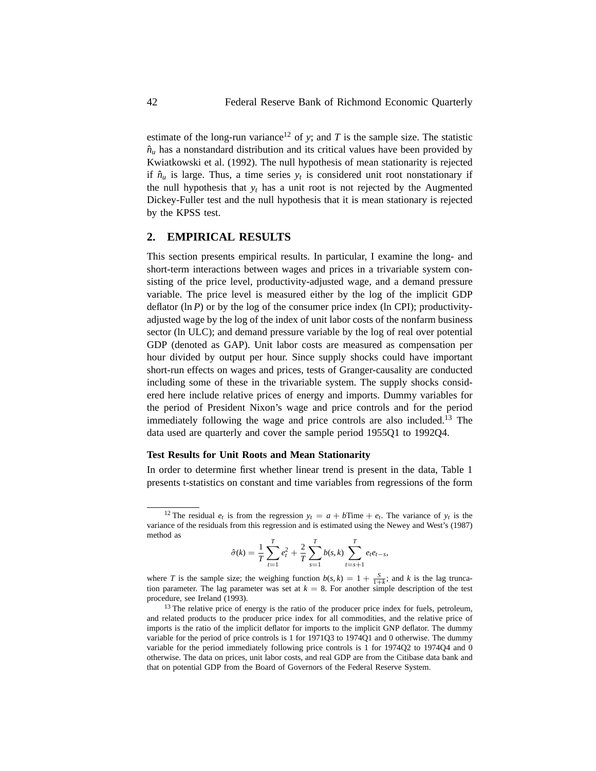estimate of the long-run variance<sup>12</sup> of *y*; and *T* is the sample size. The statistic  $\hat{n}_u$  has a nonstandard distribution and its critical values have been provided by Kwiatkowski et al. (1992). The null hypothesis of mean stationarity is rejected if  $\hat{n}_u$  is large. Thus, a time series  $y_t$  is considered unit root nonstationary if the null hypothesis that  $y_t$  has a unit root is not rejected by the Augmented Dickey-Fuller test and the null hypothesis that it is mean stationary is rejected by the KPSS test.

# **2. EMPIRICAL RESULTS**

This section presents empirical results. In particular, I examine the long- and short-term interactions between wages and prices in a trivariable system consisting of the price level, productivity-adjusted wage, and a demand pressure variable. The price level is measured either by the log of the implicit GDP deflator  $(\ln P)$  or by the log of the consumer price index  $(\ln CPI)$ ; productivityadjusted wage by the log of the index of unit labor costs of the nonfarm business sector (ln ULC); and demand pressure variable by the log of real over potential GDP (denoted as GAP). Unit labor costs are measured as compensation per hour divided by output per hour. Since supply shocks could have important short-run effects on wages and prices, tests of Granger-causality are conducted including some of these in the trivariable system. The supply shocks considered here include relative prices of energy and imports. Dummy variables for the period of President Nixon's wage and price controls and for the period immediately following the wage and price controls are also included.<sup>13</sup> The data used are quarterly and cover the sample period 1955Q1 to 1992Q4.

## **Test Results for Unit Roots and Mean Stationarity**

In order to determine first whether linear trend is present in the data, Table 1 presents t-statistics on constant and time variables from regressions of the form

$$
\hat{\sigma}(k) = \frac{1}{T} \sum_{t=1}^{T} e_t^2 + \frac{2}{T} \sum_{s=1}^{T} b(s, k) \sum_{t=s+1}^{T} e_t e_{t-s},
$$

where *T* is the sample size; the weighing function  $b(s, k) = 1 + \frac{S}{1+k}$ ; and *k* is the lag truncation parameter. The lag parameter was set at  $k = 8$ . For another simple description of the test procedure, see Ireland (1993).

<sup>&</sup>lt;sup>12</sup> The residual  $e_t$  is from the regression  $y_t = a + b$ Time +  $e_t$ . The variance of  $y_t$  is the variance of the residuals from this regression and is estimated using the Newey and West's (1987) method as

 $13$  The relative price of energy is the ratio of the producer price index for fuels, petroleum, and related products to the producer price index for all commodities, and the relative price of imports is the ratio of the implicit deflator for imports to the implicit GNP deflator. The dummy variable for the period of price controls is 1 for 1971Q3 to 1974Q1 and 0 otherwise. The dummy variable for the period immediately following price controls is 1 for 1974Q2 to 1974Q4 and 0 otherwise. The data on prices, unit labor costs, and real GDP are from the Citibase data bank and that on potential GDP from the Board of Governors of the Federal Reserve System.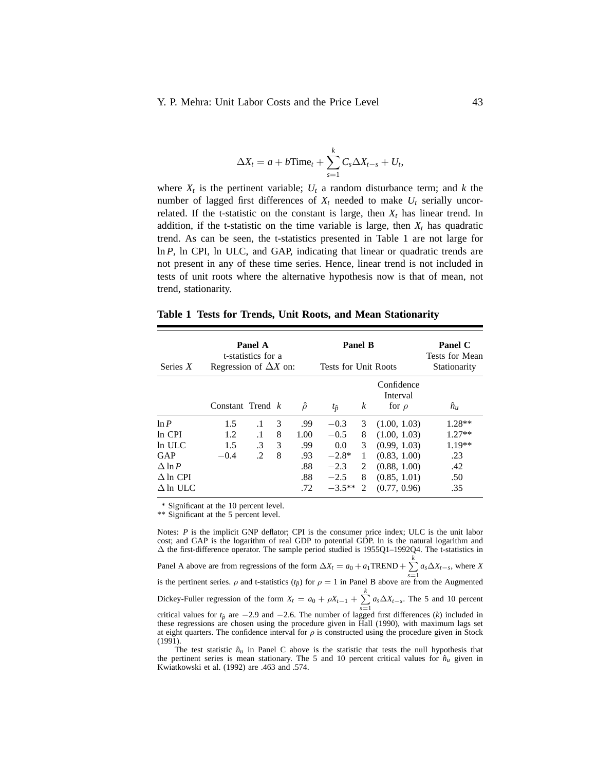$$
\Delta X_t = a + b \text{Time}_t + \sum_{s=1}^k C_s \Delta X_{t-s} + U_t,
$$

where  $X_t$  is the pertinent variable;  $U_t$  a random disturbance term; and k the number of lagged first differences of  $X_t$  needed to make  $U_t$  serially uncorrelated. If the t-statistic on the constant is large, then  $X_t$  has linear trend. In addition, if the t-statistic on the time variable is large, then  $X_t$  has quadratic trend. As can be seen, the t-statistics presented in Table 1 are not large for ln *P*, ln CPI, ln ULC, and GAP, indicating that linear or quadratic trends are not present in any of these time series. Hence, linear trend is not included in tests of unit roots where the alternative hypothesis now is that of mean, not trend, stationarity.

| Series $X$      | Regression of $\Delta X$ on: | Panel A<br>t-statistics for a |   |              | Panel B<br><b>Tests for Unit Roots</b> |                  |                                      | Panel C<br><b>Tests for Mean</b><br>Stationarity |
|-----------------|------------------------------|-------------------------------|---|--------------|----------------------------------------|------------------|--------------------------------------|--------------------------------------------------|
|                 | Constant Trend $k$           |                               |   | $\hat{\rho}$ | $t_{\hat{p}}$                          | $\boldsymbol{k}$ | Confidence<br>Interval<br>for $\rho$ | $\hat{n}_u$                                      |
| ln P            | 1.5                          | $\cdot$ 1                     | 3 | .99          | $-0.3$                                 | 3                | (1.00, 1.03)                         | $1.28**$                                         |
| In CPI          | 1.2                          | $\cdot$ 1                     | 8 | 1.00         | $-0.5$                                 | 8                | (1.00, 1.03)                         | $1.27**$                                         |
| $ln$ ULC        | 1.5                          | .3                            | 3 | .99          | 0.0                                    | 3                | (0.99, 1.03)                         | $1.19**$                                         |
| GAP             | $-0.4$                       | .2                            | 8 | .93          | $-2.8*$                                | 1                | (0.83, 1.00)                         | .23                                              |
| $\Delta$ ln P   |                              |                               |   | .88          | $-2.3$                                 | 2                | (0.88, 1.00)                         | .42                                              |
| $\Delta$ ln CPI |                              |                               |   | .88          | $-2.5$                                 | 8                | (0.85, 1.01)                         | .50                                              |
| $\Delta$ ln ULC |                              |                               |   | .72          | $-3.5**$                               | 2                | (0.77, 0.96)                         | .35                                              |

**Table 1 Tests for Trends, Unit Roots, and Mean Stationarity**

\* Significant at the 10 percent level.

\*\* Significant at the 5 percent level.

Notes: *P* is the implicit GNP deflator; CPI is the consumer price index; ULC is the unit labor cost; and GAP is the logarithm of real GDP to potential GDP. ln is the natural logarithm and ∆ the first-difference operator. The sample period studied is 1955Q1–1992Q4. The t-statistics in Panel A above are from regressions of the form  $\Delta X_t = a_0 + a_1 \text{TREND} + \sum_{s=1}^{k} a_s \Delta X_{t-s}$ , where *X* is the pertinent series. *ρ* and t-statistics ( $t_p$ ) for  $\rho = 1$  in Panel B above are from the Augmented Dickey-Fuller regression of the form  $X_t = a_0 + \rho X_{t-1} + \sum_{k=1}^{k}$  $\sum_{s=1} a_s \Delta X_{t-s}$ . The 5 and 10 percent critical values for  $t_p$  are −2.9 and −2.6. The number of lagged first differences (*k*) included in these regressions are chosen using the procedure given in Hall (1990), with maximum lags set at eight quarters. The confidence interval for  $\rho$  is constructed using the procedure given in Stock (1991).

The test statistic  $\hat{n}_u$  in Panel C above is the statistic that tests the null hypothesis that the pertinent series is mean stationary. The 5 and 10 percent critical values for  $\hat{n}_u$  given in Kwiatkowski et al. (1992) are .463 and .574.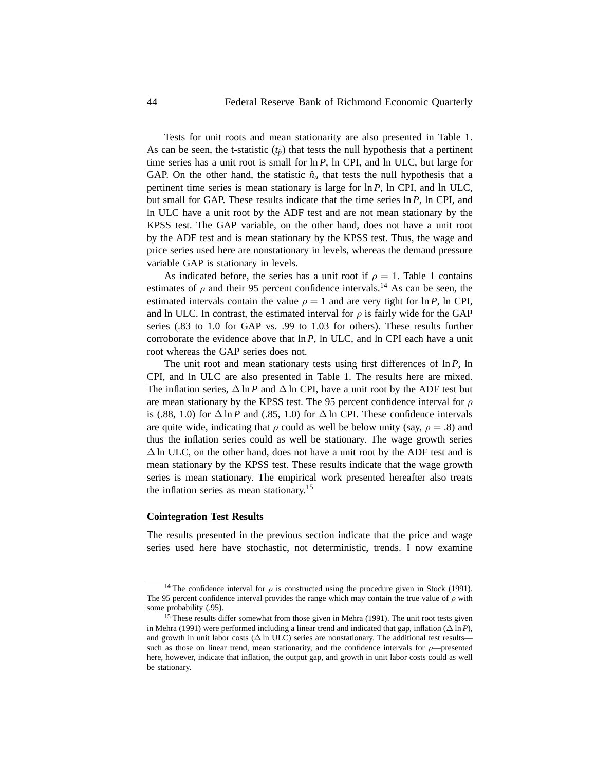Tests for unit roots and mean stationarity are also presented in Table 1. As can be seen, the t-statistic  $(t_{\hat{p}})$  that tests the null hypothesis that a pertinent time series has a unit root is small for ln *P*, ln CPI, and ln ULC, but large for GAP. On the other hand, the statistic  $\hat{n}_u$  that tests the null hypothesis that a pertinent time series is mean stationary is large for ln *P*, ln CPI, and ln ULC, but small for GAP. These results indicate that the time series ln *P*, ln CPI, and ln ULC have a unit root by the ADF test and are not mean stationary by the KPSS test. The GAP variable, on the other hand, does not have a unit root by the ADF test and is mean stationary by the KPSS test. Thus, the wage and price series used here are nonstationary in levels, whereas the demand pressure variable GAP is stationary in levels.

As indicated before, the series has a unit root if  $\rho = 1$ . Table 1 contains estimates of  $\rho$  and their 95 percent confidence intervals.<sup>14</sup> As can be seen, the estimated intervals contain the value  $\rho = 1$  and are very tight for ln *P*, ln CPI, and ln ULC. In contrast, the estimated interval for  $\rho$  is fairly wide for the GAP series (.83 to 1.0 for GAP vs. .99 to 1.03 for others). These results further corroborate the evidence above that ln *P*, ln ULC, and ln CPI each have a unit root whereas the GAP series does not.

The unit root and mean stationary tests using first differences of ln *P*, ln CPI, and ln ULC are also presented in Table 1. The results here are mixed. The inflation series,  $\Delta \ln P$  and  $\Delta \ln \text{CPI}$ , have a unit root by the ADF test but are mean stationary by the KPSS test. The 95 percent confidence interval for *ρ* is (.88, 1.0) for  $\Delta$  ln *P* and (.85, 1.0) for  $\Delta$  ln CPI. These confidence intervals are quite wide, indicating that  $\rho$  could as well be below unity (say,  $\rho = .8$ ) and thus the inflation series could as well be stationary. The wage growth series  $\Delta$  ln ULC, on the other hand, does not have a unit root by the ADF test and is mean stationary by the KPSS test. These results indicate that the wage growth series is mean stationary. The empirical work presented hereafter also treats the inflation series as mean stationary.<sup>15</sup>

### **Cointegration Test Results**

The results presented in the previous section indicate that the price and wage series used here have stochastic, not deterministic, trends. I now examine

<sup>&</sup>lt;sup>14</sup> The confidence interval for  $\rho$  is constructed using the procedure given in Stock (1991). The 95 percent confidence interval provides the range which may contain the true value of *ρ* with some probability (.95).

<sup>&</sup>lt;sup>15</sup> These results differ somewhat from those given in Mehra (1991). The unit root tests given in Mehra (1991) were performed including a linear trend and indicated that gap, inflation (∆ ln *P*), and growth in unit labor costs ( $\Delta$  ln ULC) series are nonstationary. The additional test results such as those on linear trend, mean stationarity, and the confidence intervals for  $\rho$ —presented here, however, indicate that inflation, the output gap, and growth in unit labor costs could as well be stationary.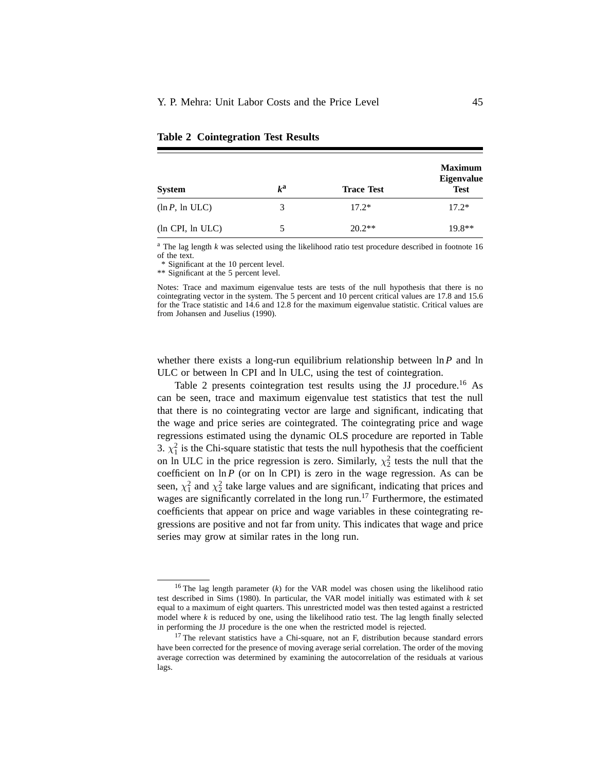| <b>System</b>             | $k^{\mathbf{a}}$ | <b>Trace Test</b> | <b>Maximum</b><br><b>Eigenvalue</b><br><b>Test</b> |
|---------------------------|------------------|-------------------|----------------------------------------------------|
| $(\ln P, \ln \text{ULC})$ | 3                | $17.2*$           | $17.2*$                                            |
| (ln CPI, ln ULC)          |                  | $20.2**$          | $19.8**$                                           |

**Table 2 Cointegration Test Results**

<sup>a</sup> The lag length *k* was selected using the likelihood ratio test procedure described in footnote 16 of the text.

\* Significant at the 10 percent level.

\*\* Significant at the 5 percent level.

Notes: Trace and maximum eigenvalue tests are tests of the null hypothesis that there is no cointegrating vector in the system. The 5 percent and 10 percent critical values are 17.8 and 15.6 for the Trace statistic and 14.6 and 12.8 for the maximum eigenvalue statistic. Critical values are from Johansen and Juselius (1990).

whether there exists a long-run equilibrium relationship between ln *P* and ln ULC or between ln CPI and ln ULC, using the test of cointegration.

Table 2 presents cointegration test results using the JJ procedure.<sup>16</sup> As can be seen, trace and maximum eigenvalue test statistics that test the null that there is no cointegrating vector are large and significant, indicating that the wage and price series are cointegrated. The cointegrating price and wage regressions estimated using the dynamic OLS procedure are reported in Table 3.  $\chi_1^2$  is the Chi-square statistic that tests the null hypothesis that the coefficient on ln ULC in the price regression is zero. Similarly,  $\chi^2$  tests the null that the coefficient on ln *P* (or on ln CPI) is zero in the wage regression. As can be seen,  $\chi_1^2$  and  $\chi_2^2$  take large values and are significant, indicating that prices and wages are significantly correlated in the long run.<sup>17</sup> Furthermore, the estimated coefficients that appear on price and wage variables in these cointegrating regressions are positive and not far from unity. This indicates that wage and price series may grow at similar rates in the long run.

<sup>16</sup> The lag length parameter (*k*) for the VAR model was chosen using the likelihood ratio test described in Sims (1980). In particular, the VAR model initially was estimated with *k* set equal to a maximum of eight quarters. This unrestricted model was then tested against a restricted model where *k* is reduced by one, using the likelihood ratio test. The lag length finally selected in performing the JJ procedure is the one when the restricted model is rejected.

 $17$  The relevant statistics have a Chi-square, not an F, distribution because standard errors have been corrected for the presence of moving average serial correlation. The order of the moving average correction was determined by examining the autocorrelation of the residuals at various lags.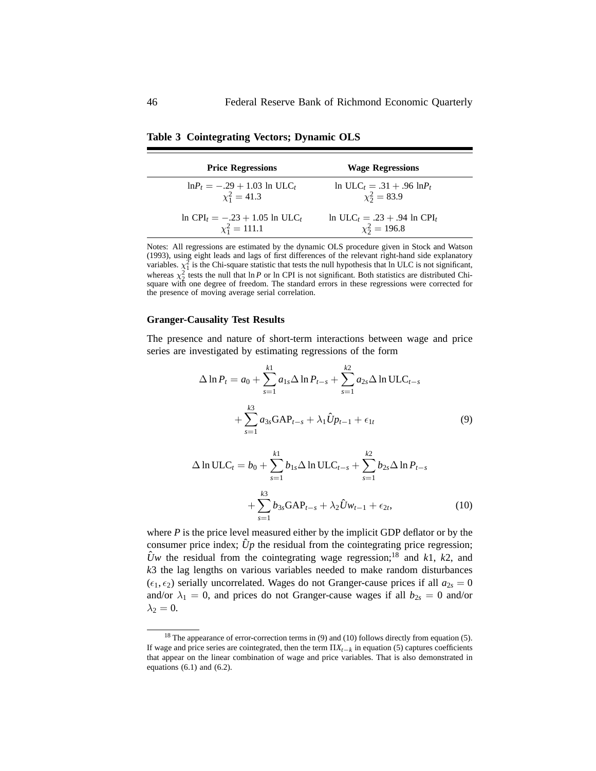| <b>Price Regressions</b>                                | <b>Wage Regressions</b>                         |
|---------------------------------------------------------|-------------------------------------------------|
| $ln P_t = -.29 + 1.03$ ln ULC <sub>t</sub>              | $ln ULC_t = .31 + .96 lnP_t$                    |
| $\chi_1^2 = 41.3$                                       | $\chi_2^2 = 83.9$                               |
| $ln$ CPI <sub>t</sub> = -.23 + 1.05 ln ULC <sub>t</sub> | $\ln \text{ULC}_t = .23 + .94 \ln \text{CPI}_t$ |
| $\chi_1^2 = 111.1$                                      | $\chi_2^2 = 196.8$                              |

**Table 3 Cointegrating Vectors; Dynamic OLS**

Notes: All regressions are estimated by the dynamic OLS procedure given in Stock and Watson (1993), using eight leads and lags of first differences of the relevant right-hand side explanatory variables.  $\chi_1^2$  is the Chi-square statistic that tests the null hypothesis that ln ULC is not significant, whereas  $\chi^2$  tests the null that ln *P* or ln CPI is not significant. Both statistics are distributed Chi-<br>square with one degree of freedom. The standard errors in these regressions were corrected for the presence of moving average serial correlation.

### **Granger-Causality Test Results**

The presence and nature of short-term interactions between wage and price series are investigated by estimating regressions of the form

$$
\Delta \ln P_t = a_0 + \sum_{s=1}^{k1} a_{1s} \Delta \ln P_{t-s} + \sum_{s=1}^{k2} a_{2s} \Delta \ln \text{ULC}_{t-s} + \sum_{s=1}^{k3} a_{3s} \text{GAP}_{t-s} + \lambda_1 \hat{U} p_{t-1} + \epsilon_{1t}
$$
(9)

$$
\Delta \ln \text{ULC}_t = b_0 + \sum_{s=1}^{k_1} b_{1s} \Delta \ln \text{ULC}_{t-s} + \sum_{s=1}^{k_2} b_{2s} \Delta \ln P_{t-s} + \sum_{s=1}^{k_3} b_{3s} \text{GAP}_{t-s} + \lambda_2 \hat{U} w_{t-1} + \epsilon_{2t},
$$
\n(10)

where  $P$  is the price level measured either by the implicit GDP deflator or by the consumer price index;  $\hat{U}p$  the residual from the cointegrating price regression;  $\hat{U}_W$  the residual from the cointegrating wage regression;<sup>18</sup> and *k*1, *k*2, and *k*3 the lag lengths on various variables needed to make random disturbances  $(\epsilon_1, \epsilon_2)$  serially uncorrelated. Wages do not Granger-cause prices if all  $a_{2s} = 0$ and/or  $\lambda_1 = 0$ , and prices do not Granger-cause wages if all  $b_{2s} = 0$  and/or  $\lambda_2 = 0$ .

<sup>&</sup>lt;sup>18</sup> The appearance of error-correction terms in (9) and (10) follows directly from equation (5). If wage and price series are cointegrated, then the term  $\Pi X_{t-k}$  in equation (5) captures coefficients that appear on the linear combination of wage and price variables. That is also demonstrated in equations  $(6.1)$  and  $(6.2)$ .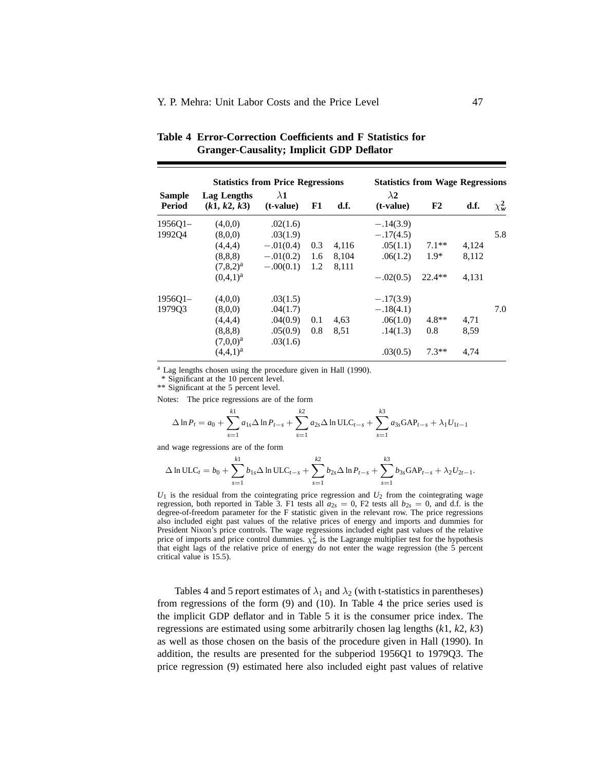| <b>Statistics from Price Regressions</b> |                             |                          |     |       | <b>Statistics from Wage Regressions</b> |          |       |              |
|------------------------------------------|-----------------------------|--------------------------|-----|-------|-----------------------------------------|----------|-------|--------------|
| <b>Sample</b><br>Period                  | Lag Lengths<br>(k1, k2, k3) | $\lambda$ 1<br>(t-value) | F1  | d.f.  | $\lambda$ 2<br>$(t-value)$              | F2       | d.f.  | $\chi^2_{w}$ |
| $1956Q1 -$                               | (4.0.0)                     | .02(1.6)                 |     |       | $-.14(3.9)$                             |          |       |              |
| 1992Q4                                   | (8.0.0)                     | .03(1.9)                 |     |       | $-.17(4.5)$                             |          |       | 5.8          |
|                                          | (4,4,4)                     | $-.01(0.4)$              | 0.3 | 4,116 | .05(1.1)                                | $7.1**$  | 4,124 |              |
|                                          | (8, 8, 8)                   | $-.01(0.2)$              | 1.6 | 8,104 | .06(1.2)                                | $1.9*$   | 8,112 |              |
|                                          | $(7,8,2)^a$                 | $-.00(0.1)$              | 1.2 | 8,111 |                                         |          |       |              |
|                                          | $(0,4,1)^{a}$               |                          |     |       | $-.02(0.5)$                             | $22.4**$ | 4.131 |              |
| $195601-$                                | (4.0.0)                     | .03(1.5)                 |     |       | $-.17(3.9)$                             |          |       |              |
| 197903                                   | (8,0,0)                     | .04(1.7)                 |     |       | $-.18(4.1)$                             |          |       | 7.0          |
|                                          | (4,4,4)                     | .04(0.9)                 | 0.1 | 4,63  | .06(1.0)                                | $4.8**$  | 4,71  |              |
|                                          | (8, 8, 8)                   | .05(0.9)                 | 0.8 | 8,51  | .14(1.3)                                | 0.8      | 8.59  |              |
|                                          | $(7,0,0)^a$                 | .03(1.6)                 |     |       |                                         |          |       |              |
|                                          | $(4,4,1)^{a}$               |                          |     |       | .03(0.5)                                | $7.3**$  | 4.74  |              |

| Table 4 Error-Correction Coefficients and F Statistics for |
|------------------------------------------------------------|
| <b>Granger-Causality; Implicit GDP Deflator</b>            |

<sup>a</sup> Lag lengths chosen using the procedure given in Hall (1990).

\* Significant at the 10 percent level.

\*\* Significant at the 5 percent level.

Notes: The price regressions are of the form

$$
\Delta \ln P_t = a_0 + \sum_{s=1}^{k1} a_{1s} \Delta \ln P_{t-s} + \sum_{s=1}^{k2} a_{2s} \Delta \ln \text{ULC}_{t-s} + \sum_{s=1}^{k3} a_{3s} \text{GAP}_{t-s} + \lambda_1 U_{1t-1}
$$

and wage regressions are of the form

$$
\Delta \ln \text{ULC}_t = b_0 + \sum_{s=1}^{k1} b_{1s} \Delta \ln \text{ULC}_{t-s} + \sum_{s=1}^{k2} b_{2s} \Delta \ln P_{t-s} + \sum_{s=1}^{k3} b_{3s} \text{GAP}_{t-s} + \lambda_2 U_{2t-1}.
$$

 $U_1$  is the residual from the cointegrating price regression and  $U_2$  from the cointegrating wage regression, both reported in Table 3. F1 tests all  $a_{2s} = 0$ , F2 tests all  $b_{2s} = 0$ , and d.f. is the degree-of-freedom parameter for the F statistic given in the relevant row. The price regressions also included eight past values of the relative prices of energy and imports and dummies for President Nixon's price controls. The wage regressions included eight past values of the relative price of imports and price control dummies.  $\chi^2_w$  is the Lagrange multiplier test for the hypothesis that eight lags of the relative price of energy do not enter the wage regression (the 5 percent critical value is 15.5).

Tables 4 and 5 report estimates of  $\lambda_1$  and  $\lambda_2$  (with t-statistics in parentheses) from regressions of the form (9) and (10). In Table 4 the price series used is the implicit GDP deflator and in Table 5 it is the consumer price index. The regressions are estimated using some arbitrarily chosen lag lengths (*k*1, *k*2, *k*3) as well as those chosen on the basis of the procedure given in Hall (1990). In addition, the results are presented for the subperiod 1956Q1 to 1979Q3. The price regression (9) estimated here also included eight past values of relative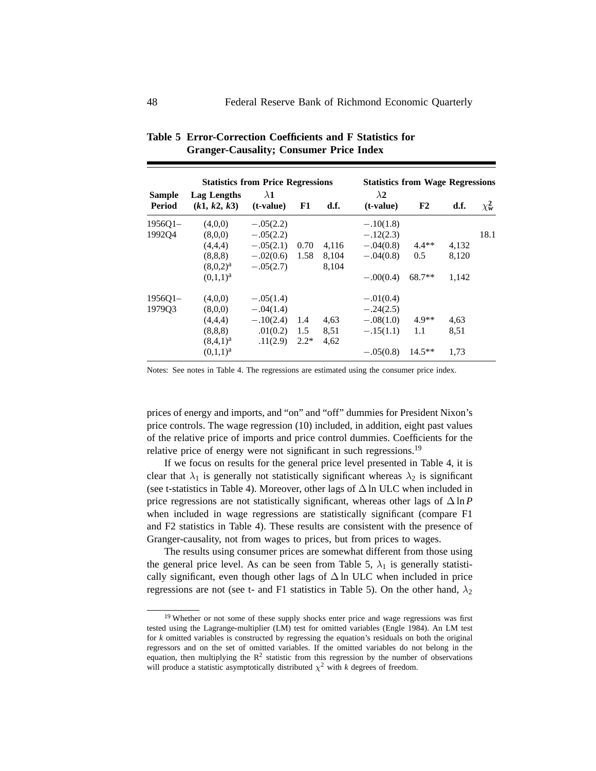| <b>Statistics from Price Regressions</b> |                                                                            |                                                                         |                      |                         | <b>Statistics from Wage Regressions</b>                                 |                            |                         |              |
|------------------------------------------|----------------------------------------------------------------------------|-------------------------------------------------------------------------|----------------------|-------------------------|-------------------------------------------------------------------------|----------------------------|-------------------------|--------------|
| <b>Sample</b><br>Period                  | Lag Lengths<br>(k1, k2, k3)                                                | $\lambda$ 1<br>(t-value)                                                | F1                   | d.f.                    | $\lambda$ 2<br>$(t-value)$                                              | F <sub>2</sub>             | d.f.                    | $\chi^2_{w}$ |
| $195601-$<br>199204                      | (4,0,0)<br>(8.0.0)<br>(4,4,4)<br>(8, 8, 8)<br>$(8.0.2)^a$<br>$(0.1.1)^a$   | $-.05(2.2)$<br>$-.05(2.2)$<br>$-.05(2.1)$<br>$-.02(0.6)$<br>$-.05(2.7)$ | 0.70<br>1.58         | 4,116<br>8,104<br>8,104 | $-.10(1.8)$<br>$-.12(2.3)$<br>$-.04(0.8)$<br>$-.04(0.8)$<br>$-.00(0.4)$ | $4.4**$<br>0.5<br>$68.7**$ | 4,132<br>8,120<br>1.142 | 18.1         |
| $195601-$<br>197903                      | (4.0.0)<br>(8,0,0)<br>(4,4,4)<br>(8, 8, 8)<br>$(8,4,1)^{a}$<br>$(0,1,1)^a$ | $-.05(1.4)$<br>$-.04(1.4)$<br>$-.10(2.4)$<br>.01(0.2)<br>.11(2.9)       | 1.4<br>1.5<br>$2.2*$ | 4,63<br>8,51<br>4,62    | $-.01(0.4)$<br>$-.24(2.5)$<br>$-.08(1.0)$<br>$-.15(1.1)$<br>$-.05(0.8)$ | $4.9**$<br>1.1<br>$14.5**$ | 4,63<br>8,51<br>1.73    |              |

**Table 5 Error-Correction Coefficients and F Statistics for Granger-Causality; Consumer Price Index**

Notes: See notes in Table 4. The regressions are estimated using the consumer price index.

prices of energy and imports, and "on" and "off" dummies for President Nixon's price controls. The wage regression (10) included, in addition, eight past values of the relative price of imports and price control dummies. Coefficients for the relative price of energy were not significant in such regressions.<sup>19</sup>

If we focus on results for the general price level presented in Table 4, it is clear that  $\lambda_1$  is generally not statistically significant whereas  $\lambda_2$  is significant (see t-statistics in Table 4). Moreover, other lags of  $\Delta$  ln ULC when included in price regressions are not statistically significant, whereas other lags of  $\Delta \ln P$ when included in wage regressions are statistically significant (compare F1 and F2 statistics in Table 4). These results are consistent with the presence of Granger-causality, not from wages to prices, but from prices to wages.

The results using consumer prices are somewhat different from those using the general price level. As can be seen from Table 5,  $\lambda_1$  is generally statistically significant, even though other lags of  $\Delta$  ln ULC when included in price regressions are not (see t- and F1 statistics in Table 5). On the other hand,  $\lambda_2$ 

<sup>&</sup>lt;sup>19</sup> Whether or not some of these supply shocks enter price and wage regressions was first tested using the Lagrange-multiplier (LM) test for omitted variables (Engle 1984). An LM test for *k* omitted variables is constructed by regressing the equation's residuals on both the original regressors and on the set of omitted variables. If the omitted variables do not belong in the equation, then multiplying the  $\mathbb{R}^2$  statistic from this regression by the number of observations will produce a statistic asymptotically distributed  $\chi^2$  with *k* degrees of freedom.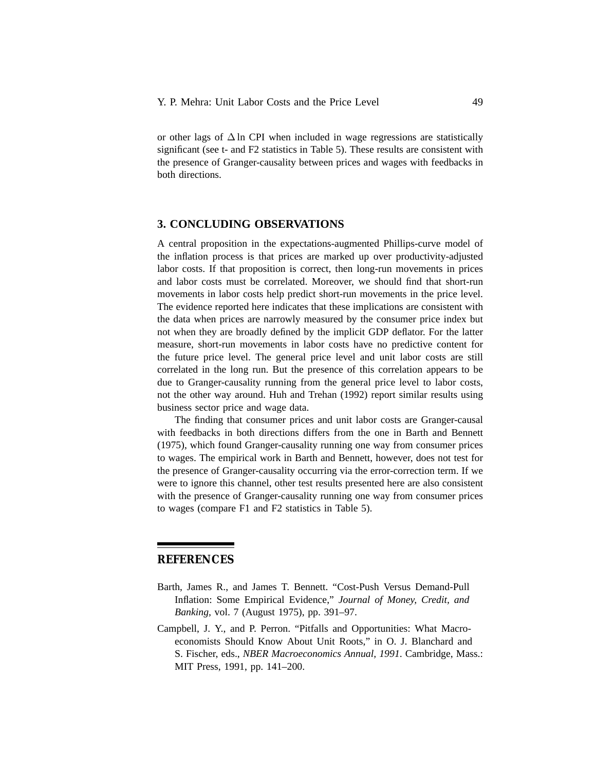or other lags of ∆ ln CPI when included in wage regressions are statistically significant (see t- and F2 statistics in Table 5). These results are consistent with the presence of Granger-causality between prices and wages with feedbacks in both directions.

# **3. CONCLUDING OBSERVATIONS**

A central proposition in the expectations-augmented Phillips-curve model of the inflation process is that prices are marked up over productivity-adjusted labor costs. If that proposition is correct, then long-run movements in prices and labor costs must be correlated. Moreover, we should find that short-run movements in labor costs help predict short-run movements in the price level. The evidence reported here indicates that these implications are consistent with the data when prices are narrowly measured by the consumer price index but not when they are broadly defined by the implicit GDP deflator. For the latter measure, short-run movements in labor costs have no predictive content for the future price level. The general price level and unit labor costs are still correlated in the long run. But the presence of this correlation appears to be due to Granger-causality running from the general price level to labor costs, not the other way around. Huh and Trehan (1992) report similar results using business sector price and wage data.

The finding that consumer prices and unit labor costs are Granger-causal with feedbacks in both directions differs from the one in Barth and Bennett (1975), which found Granger-causality running one way from consumer prices to wages. The empirical work in Barth and Bennett, however, does not test for the presence of Granger-causality occurring via the error-correction term. If we were to ignore this channel, other test results presented here are also consistent with the presence of Granger-causality running one way from consumer prices to wages (compare F1 and F2 statistics in Table 5).

# **REFERENCES**

- Barth, James R., and James T. Bennett. "Cost-Push Versus Demand-Pull Inflation: Some Empirical Evidence," *Journal of Money, Credit, and Banking,* vol. 7 (August 1975), pp. 391–97.
- Campbell, J. Y., and P. Perron. "Pitfalls and Opportunities: What Macroeconomists Should Know About Unit Roots," in O. J. Blanchard and S. Fischer, eds., *NBER Macroeconomics Annual, 1991*. Cambridge, Mass.: MIT Press, 1991, pp. 141–200.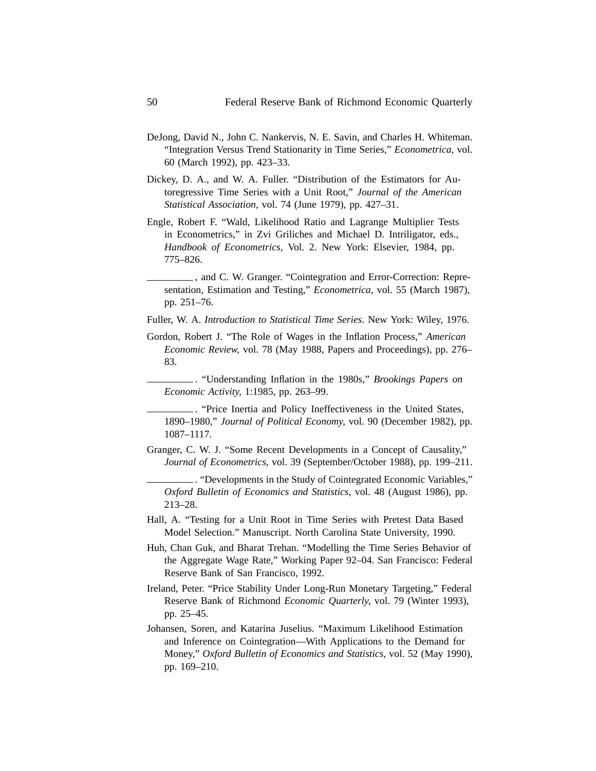- DeJong, David N., John C. Nankervis, N. E. Savin, and Charles H. Whiteman. "Integration Versus Trend Stationarity in Time Series," *Econometrica,* vol. 60 (March 1992), pp. 423–33.
- Dickey, D. A., and W. A. Fuller. "Distribution of the Estimators for Autoregressive Time Series with a Unit Root," *Journal of the American Statistical Association,* vol. 74 (June 1979), pp. 427–31.
- Engle, Robert F. "Wald, Likelihood Ratio and Lagrange Multiplier Tests in Econometrics," in Zvi Griliches and Michael D. Intriligator, eds., *Handbook of Econometrics,* Vol. 2. New York: Elsevier, 1984, pp. 775–826.

, and C. W. Granger. "Cointegration and Error-Correction: Representation, Estimation and Testing," *Econometrica,* vol. 55 (March 1987), pp. 251–76.

Fuller, W. A. *Introduction to Statistical Time Series*. New York: Wiley, 1976.

Gordon, Robert J. "The Role of Wages in the Inflation Process," *American Economic Review,* vol. 78 (May 1988, Papers and Proceedings), pp. 276– 83.

. "Understanding Inflation in the 1980s," *Brookings Papers on Economic Activity,* 1:1985, pp. 263–99.

. "Price Inertia and Policy Ineffectiveness in the United States, 1890–1980," *Journal of Political Economy,* vol. 90 (December 1982), pp. 1087–1117.

Granger, C. W. J. "Some Recent Developments in a Concept of Causality," *Journal of Econometrics,* vol. 39 (September/October 1988), pp. 199–211.

. "Developments in the Study of Cointegrated Economic Variables," *Oxford Bulletin of Economics and Statistics,* vol. 48 (August 1986), pp. 213–28.

- Hall, A. "Testing for a Unit Root in Time Series with Pretest Data Based Model Selection." Manuscript. North Carolina State University, 1990.
- Huh, Chan Guk, and Bharat Trehan. "Modelling the Time Series Behavior of the Aggregate Wage Rate," Working Paper 92–04. San Francisco: Federal Reserve Bank of San Francisco, 1992.
- Ireland, Peter. "Price Stability Under Long-Run Monetary Targeting," Federal Reserve Bank of Richmond *Economic Quarterly,* vol. 79 (Winter 1993), pp. 25–45.
- Johansen, Soren, and Katarina Juselius. "Maximum Likelihood Estimation and Inference on Cointegration—With Applications to the Demand for Money," *Oxford Bulletin of Economics and Statistics,* vol. 52 (May 1990), pp. 169–210.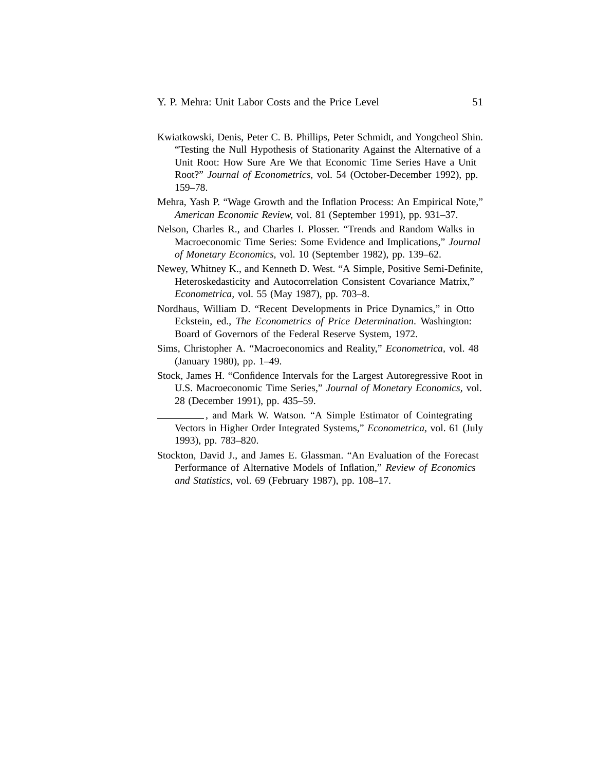- Kwiatkowski, Denis, Peter C. B. Phillips, Peter Schmidt, and Yongcheol Shin. "Testing the Null Hypothesis of Stationarity Against the Alternative of a Unit Root: How Sure Are We that Economic Time Series Have a Unit Root?" *Journal of Econometrics,* vol. 54 (October-December 1992), pp. 159–78.
- Mehra, Yash P. "Wage Growth and the Inflation Process: An Empirical Note," *American Economic Review,* vol. 81 (September 1991), pp. 931–37.
- Nelson, Charles R., and Charles I. Plosser. "Trends and Random Walks in Macroeconomic Time Series: Some Evidence and Implications," *Journal of Monetary Economics,* vol. 10 (September 1982), pp. 139–62.
- Newey, Whitney K., and Kenneth D. West. "A Simple, Positive Semi-Definite, Heteroskedasticity and Autocorrelation Consistent Covariance Matrix," *Econometrica,* vol. 55 (May 1987), pp. 703–8.
- Nordhaus, William D. "Recent Developments in Price Dynamics," in Otto Eckstein, ed., *The Econometrics of Price Determination*. Washington: Board of Governors of the Federal Reserve System, 1972.
- Sims, Christopher A. "Macroeconomics and Reality," *Econometrica,* vol. 48 (January 1980), pp. 1–49.
- Stock, James H. "Confidence Intervals for the Largest Autoregressive Root in U.S. Macroeconomic Time Series," *Journal of Monetary Economics,* vol. 28 (December 1991), pp. 435–59.
	- , and Mark W. Watson. "A Simple Estimator of Cointegrating Vectors in Higher Order Integrated Systems," *Econometrica,* vol. 61 (July 1993), pp. 783–820.
- Stockton, David J., and James E. Glassman. "An Evaluation of the Forecast Performance of Alternative Models of Inflation," *Review of Economics and Statistics,* vol. 69 (February 1987), pp. 108–17.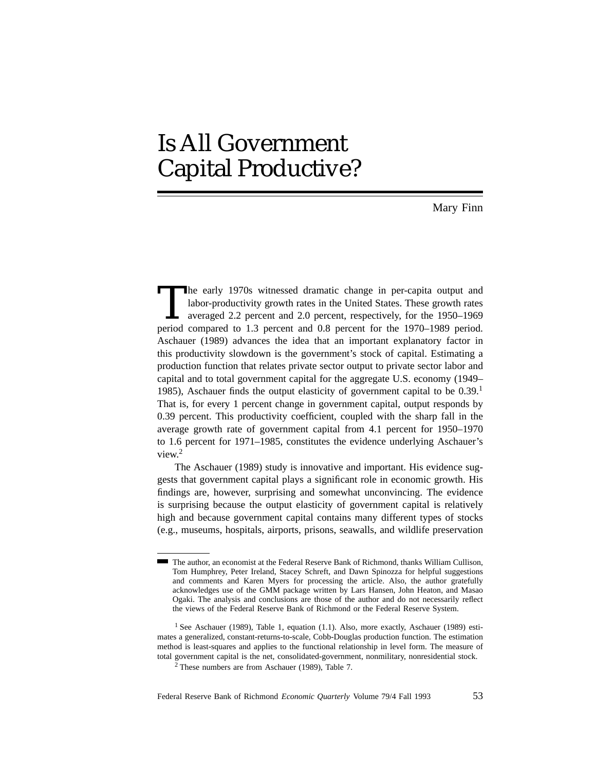# Is All Government Capital Productive?

Mary Finn

The early 1970s witnessed dramatic change in per-capita output and labor-productivity growth rates in the United States. These growth rates averaged 2.2 percent and 2.0 percent, respectively, for the 1950–1969 period.<br>
per labor-productivity growth rates in the United States. These growth rates averaged 2.2 percent and 2.0 percent, respectively, for the 1950–1969 period compared to 1.3 percent and 0.8 percent for the 1970–1989 period. Aschauer (1989) advances the idea that an important explanatory factor in this productivity slowdown is the government's stock of capital. Estimating a production function that relates private sector output to private sector labor and capital and to total government capital for the aggregate U.S. economy (1949– 1985), Aschauer finds the output elasticity of government capital to be  $0.39<sup>1</sup>$ That is, for every 1 percent change in government capital, output responds by 0.39 percent. This productivity coefficient, coupled with the sharp fall in the average growth rate of government capital from 4.1 percent for 1950–1970 to 1.6 percent for 1971–1985, constitutes the evidence underlying Aschauer's view.<sup>2</sup>

The Aschauer (1989) study is innovative and important. His evidence suggests that government capital plays a significant role in economic growth. His findings are, however, surprising and somewhat unconvincing. The evidence is surprising because the output elasticity of government capital is relatively high and because government capital contains many different types of stocks (e.g., museums, hospitals, airports, prisons, seawalls, and wildlife preservation

The author, an economist at the Federal Reserve Bank of Richmond, thanks William Cullison, Tom Humphrey, Peter Ireland, Stacey Schreft, and Dawn Spinozza for helpful suggestions and comments and Karen Myers for processing the article. Also, the author gratefully acknowledges use of the GMM package written by Lars Hansen, John Heaton, and Masao Ogaki. The analysis and conclusions are those of the author and do not necessarily reflect the views of the Federal Reserve Bank of Richmond or the Federal Reserve System.

<sup>&</sup>lt;sup>1</sup> See Aschauer (1989), Table 1, equation (1.1). Also, more exactly, Aschauer (1989) estimates a generalized, constant-returns-to-scale, Cobb-Douglas production function. The estimation method is least-squares and applies to the functional relationship in level form. The measure of total government capital is the net, consolidated-government, nonmilitary, nonresidential stock.

<sup>2</sup> These numbers are from Aschauer (1989), Table 7.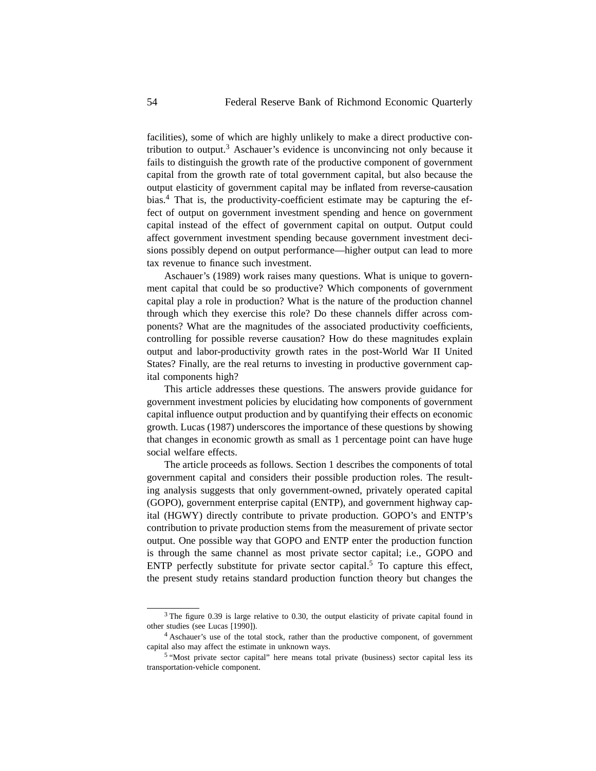facilities), some of which are highly unlikely to make a direct productive contribution to output.<sup>3</sup> Aschauer's evidence is unconvincing not only because it fails to distinguish the growth rate of the productive component of government capital from the growth rate of total government capital, but also because the output elasticity of government capital may be inflated from reverse-causation bias.4 That is, the productivity-coefficient estimate may be capturing the effect of output on government investment spending and hence on government capital instead of the effect of government capital on output. Output could affect government investment spending because government investment decisions possibly depend on output performance—higher output can lead to more tax revenue to finance such investment.

Aschauer's (1989) work raises many questions. What is unique to government capital that could be so productive? Which components of government capital play a role in production? What is the nature of the production channel through which they exercise this role? Do these channels differ across components? What are the magnitudes of the associated productivity coefficients, controlling for possible reverse causation? How do these magnitudes explain output and labor-productivity growth rates in the post-World War II United States? Finally, are the real returns to investing in productive government capital components high?

This article addresses these questions. The answers provide guidance for government investment policies by elucidating how components of government capital influence output production and by quantifying their effects on economic growth. Lucas (1987) underscores the importance of these questions by showing that changes in economic growth as small as 1 percentage point can have huge social welfare effects.

The article proceeds as follows. Section 1 describes the components of total government capital and considers their possible production roles. The resulting analysis suggests that only government-owned, privately operated capital (GOPO), government enterprise capital (ENTP), and government highway capital (HGWY) directly contribute to private production. GOPO's and ENTP's contribution to private production stems from the measurement of private sector output. One possible way that GOPO and ENTP enter the production function is through the same channel as most private sector capital; i.e., GOPO and ENTP perfectly substitute for private sector capital.<sup>5</sup> To capture this effect, the present study retains standard production function theory but changes the

 $3$  The figure 0.39 is large relative to 0.30, the output elasticity of private capital found in other studies (see Lucas [1990]).

<sup>4</sup> Aschauer's use of the total stock, rather than the productive component, of government capital also may affect the estimate in unknown ways.

<sup>5</sup> "Most private sector capital" here means total private (business) sector capital less its transportation-vehicle component.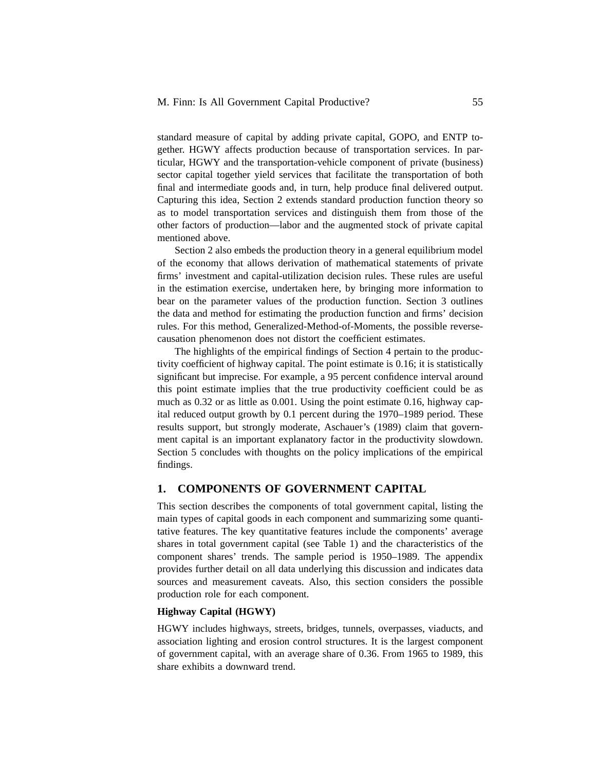standard measure of capital by adding private capital, GOPO, and ENTP together. HGWY affects production because of transportation services. In particular, HGWY and the transportation-vehicle component of private (business) sector capital together yield services that facilitate the transportation of both final and intermediate goods and, in turn, help produce final delivered output. Capturing this idea, Section 2 extends standard production function theory so as to model transportation services and distinguish them from those of the other factors of production—labor and the augmented stock of private capital mentioned above.

Section 2 also embeds the production theory in a general equilibrium model of the economy that allows derivation of mathematical statements of private firms' investment and capital-utilization decision rules. These rules are useful in the estimation exercise, undertaken here, by bringing more information to bear on the parameter values of the production function. Section 3 outlines the data and method for estimating the production function and firms' decision rules. For this method, Generalized-Method-of-Moments, the possible reversecausation phenomenon does not distort the coefficient estimates.

The highlights of the empirical findings of Section 4 pertain to the productivity coefficient of highway capital. The point estimate is 0.16; it is statistically significant but imprecise. For example, a 95 percent confidence interval around this point estimate implies that the true productivity coefficient could be as much as 0.32 or as little as 0.001. Using the point estimate 0.16, highway capital reduced output growth by 0.1 percent during the 1970–1989 period. These results support, but strongly moderate, Aschauer's (1989) claim that government capital is an important explanatory factor in the productivity slowdown. Section 5 concludes with thoughts on the policy implications of the empirical findings.

# **1. COMPONENTS OF GOVERNMENT CAPITAL**

This section describes the components of total government capital, listing the main types of capital goods in each component and summarizing some quantitative features. The key quantitative features include the components' average shares in total government capital (see Table 1) and the characteristics of the component shares' trends. The sample period is 1950–1989. The appendix provides further detail on all data underlying this discussion and indicates data sources and measurement caveats. Also, this section considers the possible production role for each component.

## **Highway Capital (HGWY)**

HGWY includes highways, streets, bridges, tunnels, overpasses, viaducts, and association lighting and erosion control structures. It is the largest component of government capital, with an average share of 0.36. From 1965 to 1989, this share exhibits a downward trend.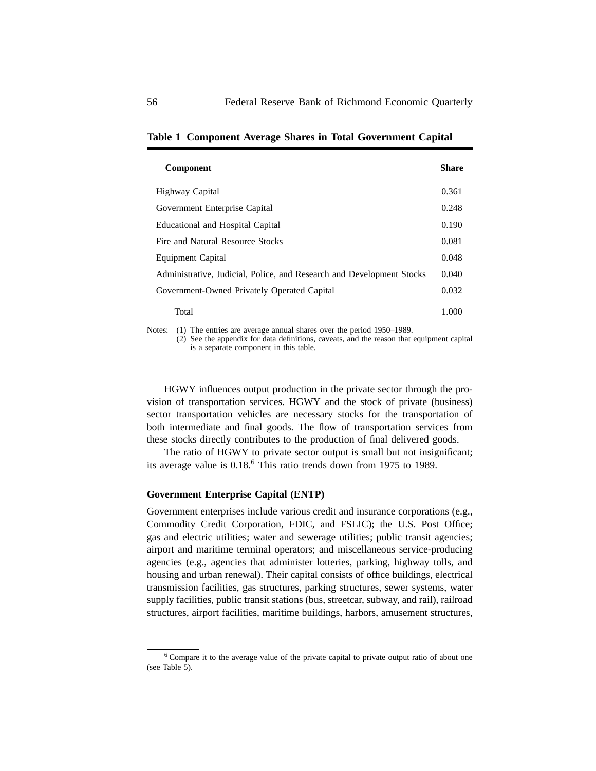| <b>Component</b>                                                      | Share |
|-----------------------------------------------------------------------|-------|
| Highway Capital                                                       | 0.361 |
| Government Enterprise Capital                                         | 0.248 |
| Educational and Hospital Capital                                      | 0.190 |
| Fire and Natural Resource Stocks                                      | 0.081 |
| Equipment Capital                                                     | 0.048 |
| Administrative, Judicial, Police, and Research and Development Stocks | 0.040 |
| Government-Owned Privately Operated Capital                           | 0.032 |
| Total                                                                 | 1.000 |

**Table 1 Component Average Shares in Total Government Capital**

Notes: (1) The entries are average annual shares over the period 1950–1989.

(2) See the appendix for data definitions, caveats, and the reason that equipment capital is a separate component in this table.

HGWY influences output production in the private sector through the provision of transportation services. HGWY and the stock of private (business) sector transportation vehicles are necessary stocks for the transportation of both intermediate and final goods. The flow of transportation services from these stocks directly contributes to the production of final delivered goods.

The ratio of HGWY to private sector output is small but not insignificant; its average value is  $0.18<sup>6</sup>$ . This ratio trends down from 1975 to 1989.

# **Government Enterprise Capital (ENTP)**

Government enterprises include various credit and insurance corporations (e.g., Commodity Credit Corporation, FDIC, and FSLIC); the U.S. Post Office; gas and electric utilities; water and sewerage utilities; public transit agencies; airport and maritime terminal operators; and miscellaneous service-producing agencies (e.g., agencies that administer lotteries, parking, highway tolls, and housing and urban renewal). Their capital consists of office buildings, electrical transmission facilities, gas structures, parking structures, sewer systems, water supply facilities, public transit stations (bus, streetcar, subway, and rail), railroad structures, airport facilities, maritime buildings, harbors, amusement structures,

<sup>6</sup> Compare it to the average value of the private capital to private output ratio of about one (see Table 5).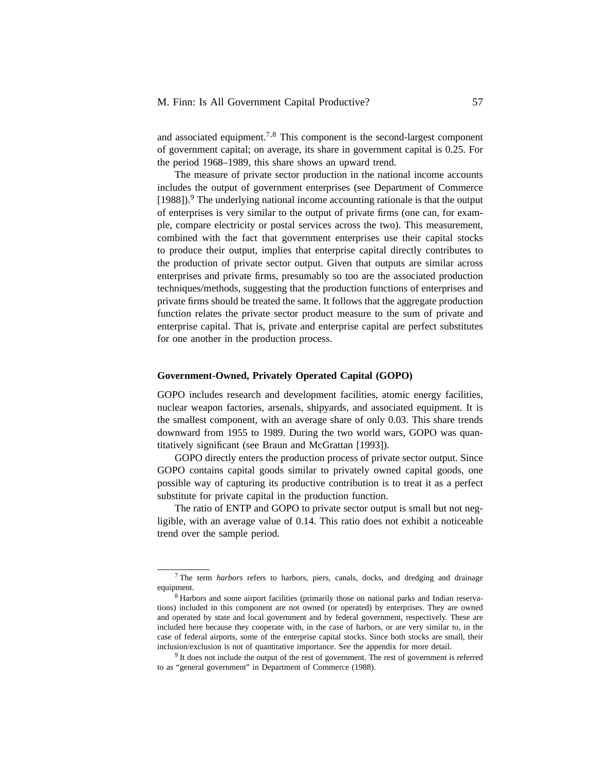and associated equipment.<sup>7,8</sup> This component is the second-largest component of government capital; on average, its share in government capital is 0.25. For the period 1968–1989, this share shows an upward trend.

The measure of private sector production in the national income accounts includes the output of government enterprises (see Department of Commerce [1988]).<sup>9</sup> The underlying national income accounting rationale is that the output of enterprises is very similar to the output of private firms (one can, for example, compare electricity or postal services across the two). This measurement, combined with the fact that government enterprises use their capital stocks to produce their output, implies that enterprise capital directly contributes to the production of private sector output. Given that outputs are similar across enterprises and private firms, presumably so too are the associated production techniques/methods, suggesting that the production functions of enterprises and private firms should be treated the same. It follows that the aggregate production function relates the private sector product measure to the sum of private and enterprise capital. That is, private and enterprise capital are perfect substitutes for one another in the production process.

## **Government-Owned, Privately Operated Capital (GOPO)**

GOPO includes research and development facilities, atomic energy facilities, nuclear weapon factories, arsenals, shipyards, and associated equipment. It is the smallest component, with an average share of only 0.03. This share trends downward from 1955 to 1989. During the two world wars, GOPO was quantitatively significant (see Braun and McGrattan [1993]).

GOPO directly enters the production process of private sector output. Since GOPO contains capital goods similar to privately owned capital goods, one possible way of capturing its productive contribution is to treat it as a perfect substitute for private capital in the production function.

The ratio of ENTP and GOPO to private sector output is small but not negligible, with an average value of 0.14. This ratio does not exhibit a noticeable trend over the sample period.

<sup>7</sup> The term *harbors* refers to harbors, piers, canals, docks, and dredging and drainage equipment.

<sup>8</sup> Harbors and some airport facilities (primarily those on national parks and Indian reservations) included in this component are not owned (or operated) by enterprises. They are owned and operated by state and local government and by federal government, respectively. These are included here because they cooperate with, in the case of harbors, or are very similar to, in the case of federal airports, some of the enterprise capital stocks. Since both stocks are small, their inclusion/exclusion is not of quantitative importance. See the appendix for more detail.

<sup>&</sup>lt;sup>9</sup> It does not include the output of the rest of government. The rest of government is referred to as "general government" in Department of Commerce (1988).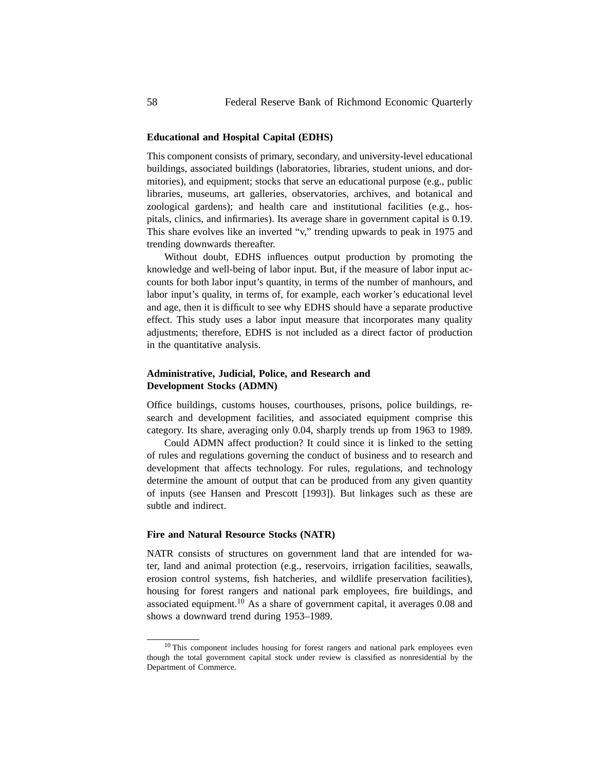## **Educational and Hospital Capital (EDHS)**

This component consists of primary, secondary, and university-level educational buildings, associated buildings (laboratories, libraries, student unions, and dormitories), and equipment; stocks that serve an educational purpose (e.g., public libraries, museums, art galleries, observatories, archives, and botanical and zoological gardens); and health care and institutional facilities (e.g., hospitals, clinics, and infirmaries). Its average share in government capital is 0.19. This share evolves like an inverted "v," trending upwards to peak in 1975 and trending downwards thereafter.

Without doubt, EDHS influences output production by promoting the knowledge and well-being of labor input. But, if the measure of labor input accounts for both labor input's quantity, in terms of the number of manhours, and labor input's quality, in terms of, for example, each worker's educational level and age, then it is difficult to see why EDHS should have a separate productive effect. This study uses a labor input measure that incorporates many quality adjustments; therefore, EDHS is not included as a direct factor of production in the quantitative analysis.

# **Administrative, Judicial, Police, and Research and Development Stocks (ADMN)**

Office buildings, customs houses, courthouses, prisons, police buildings, research and development facilities, and associated equipment comprise this category. Its share, averaging only 0.04, sharply trends up from 1963 to 1989.

Could ADMN affect production? It could since it is linked to the setting of rules and regulations governing the conduct of business and to research and development that affects technology. For rules, regulations, and technology determine the amount of output that can be produced from any given quantity of inputs (see Hansen and Prescott [1993]). But linkages such as these are subtle and indirect.

# **Fire and Natural Resource Stocks (NATR)**

NATR consists of structures on government land that are intended for water, land and animal protection (e.g., reservoirs, irrigation facilities, seawalls, erosion control systems, fish hatcheries, and wildlife preservation facilities), housing for forest rangers and national park employees, fire buildings, and associated equipment.<sup>10</sup> As a share of government capital, it averages  $0.08$  and shows a downward trend during 1953–1989.

<sup>&</sup>lt;sup>10</sup> This component includes housing for forest rangers and national park employees even though the total government capital stock under review is classified as nonresidential by the Department of Commerce.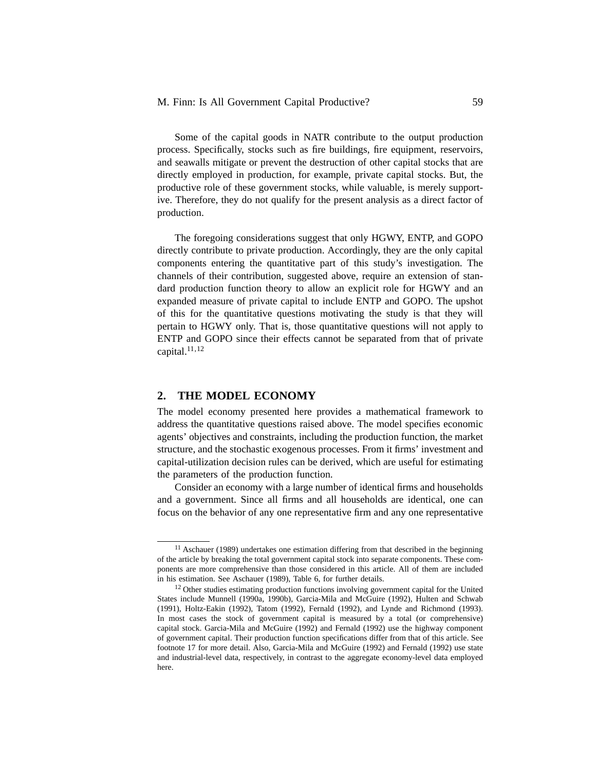Some of the capital goods in NATR contribute to the output production process. Specifically, stocks such as fire buildings, fire equipment, reservoirs, and seawalls mitigate or prevent the destruction of other capital stocks that are directly employed in production, for example, private capital stocks. But, the productive role of these government stocks, while valuable, is merely supportive. Therefore, they do not qualify for the present analysis as a direct factor of production.

The foregoing considerations suggest that only HGWY, ENTP, and GOPO directly contribute to private production. Accordingly, they are the only capital components entering the quantitative part of this study's investigation. The channels of their contribution, suggested above, require an extension of standard production function theory to allow an explicit role for HGWY and an expanded measure of private capital to include ENTP and GOPO. The upshot of this for the quantitative questions motivating the study is that they will pertain to HGWY only. That is, those quantitative questions will not apply to ENTP and GOPO since their effects cannot be separated from that of private capital. $11,12$ 

# **2. THE MODEL ECONOMY**

The model economy presented here provides a mathematical framework to address the quantitative questions raised above. The model specifies economic agents' objectives and constraints, including the production function, the market structure, and the stochastic exogenous processes. From it firms' investment and capital-utilization decision rules can be derived, which are useful for estimating the parameters of the production function.

Consider an economy with a large number of identical firms and households and a government. Since all firms and all households are identical, one can focus on the behavior of any one representative firm and any one representative

 $11$  Aschauer (1989) undertakes one estimation differing from that described in the beginning of the article by breaking the total government capital stock into separate components. These components are more comprehensive than those considered in this article. All of them are included in his estimation. See Aschauer (1989), Table 6, for further details.

<sup>&</sup>lt;sup>12</sup> Other studies estimating production functions involving government capital for the United States include Munnell (1990a, 1990b), Garcia-Mila and McGuire (1992), Hulten and Schwab (1991), Holtz-Eakin (1992), Tatom (1992), Fernald (1992), and Lynde and Richmond (1993). In most cases the stock of government capital is measured by a total (or comprehensive) capital stock. Garcia-Mila and McGuire (1992) and Fernald (1992) use the highway component of government capital. Their production function specifications differ from that of this article. See footnote 17 for more detail. Also, Garcia-Mila and McGuire (1992) and Fernald (1992) use state and industrial-level data, respectively, in contrast to the aggregate economy-level data employed here.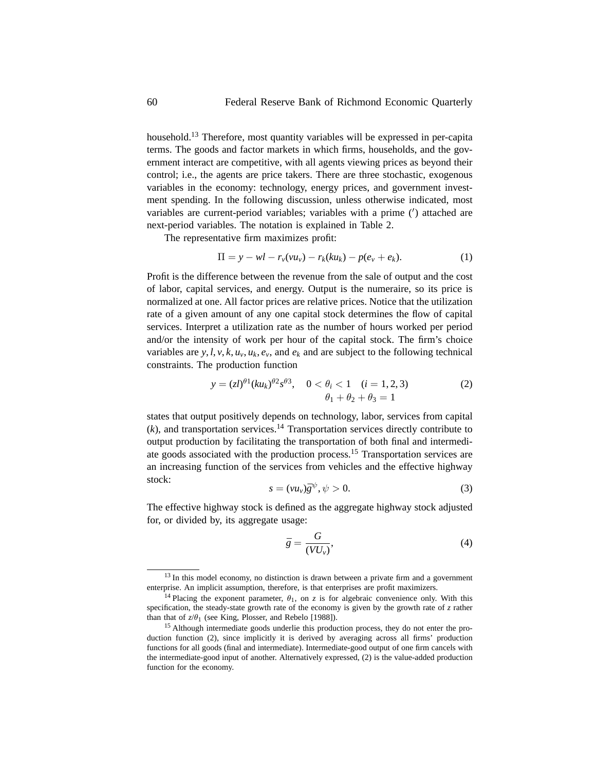household.13 Therefore, most quantity variables will be expressed in per-capita terms. The goods and factor markets in which firms, households, and the government interact are competitive, with all agents viewing prices as beyond their control; i.e., the agents are price takers. There are three stochastic, exogenous variables in the economy: technology, energy prices, and government investment spending. In the following discussion, unless otherwise indicated, most variables are current-period variables; variables with a prime ( ) attached are next-period variables. The notation is explained in Table 2.

The representative firm maximizes profit:

$$
\Pi = y - w l - r_v(v u_v) - r_k(k u_k) - p(e_v + e_k).
$$
 (1)

Profit is the difference between the revenue from the sale of output and the cost of labor, capital services, and energy. Output is the numeraire, so its price is normalized at one. All factor prices are relative prices. Notice that the utilization rate of a given amount of any one capital stock determines the flow of capital services. Interpret a utilization rate as the number of hours worked per period and/or the intensity of work per hour of the capital stock. The firm's choice variables are  $y, l, v, k, u_v, u_k, e_v$ , and  $e_k$  and are subject to the following technical constraints. The production function

$$
y = (zI)^{\theta 1} (ku_k)^{\theta 2} s^{\theta 3}, \quad 0 < \theta_i < 1 \quad (i = 1, 2, 3)
$$
  

$$
\theta_1 + \theta_2 + \theta_3 = 1
$$
 (2)

states that output positively depends on technology, labor, services from capital  $(k)$ , and transportation services.<sup>14</sup> Transportation services directly contribute to output production by facilitating the transportation of both final and intermediate goods associated with the production process.<sup>15</sup> Transportation services are an increasing function of the services from vehicles and the effective highway stock:

$$
s = (\nu u_{\nu})\bar{g}^{\psi}, \psi > 0. \tag{3}
$$

The effective highway stock is defined as the aggregate highway stock adjusted for, or divided by, its aggregate usage:

$$
\bar{g} = \frac{G}{(VU_{\nu})},\tag{4}
$$

<sup>&</sup>lt;sup>13</sup> In this model economy, no distinction is drawn between a private firm and a government enterprise. An implicit assumption, therefore, is that enterprises are profit maximizers.

<sup>&</sup>lt;sup>14</sup> Placing the exponent parameter,  $\theta_1$ , on *z* is for algebraic convenience only. With this specification, the steady-state growth rate of the economy is given by the growth rate of *z* rather than that of  $z/\theta_1$  (see King, Plosser, and Rebelo [1988]).

<sup>&</sup>lt;sup>15</sup> Although intermediate goods underlie this production process, they do not enter the production function (2), since implicitly it is derived by averaging across all firms' production functions for all goods (final and intermediate). Intermediate-good output of one firm cancels with the intermediate-good input of another. Alternatively expressed, (2) is the value-added production function for the economy.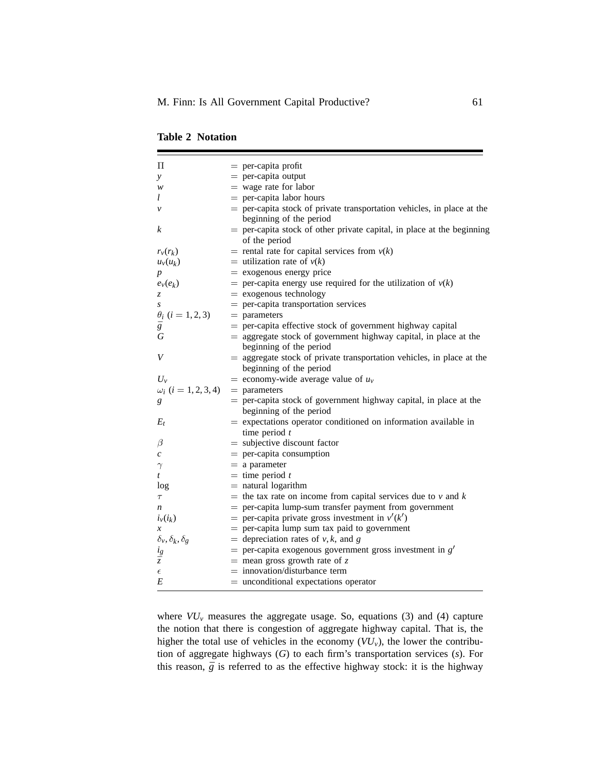| $\Pi$                                | $=$ per-capita profit                                                    |
|--------------------------------------|--------------------------------------------------------------------------|
| y                                    | $=$ per-capita output                                                    |
| w                                    | $=$ wage rate for labor                                                  |
| l                                    | $=$ per-capita labor hours                                               |
| $\mathcal V$                         | = per-capita stock of private transportation vehicles, in place at the   |
|                                      | beginning of the period                                                  |
| k                                    | $=$ per-capita stock of other private capital, in place at the beginning |
|                                      | of the period                                                            |
| $r_v(r_k)$                           | = rental rate for capital services from $v(k)$                           |
| $u_v(u_k)$                           | = utilization rate of $v(k)$                                             |
|                                      | $=$ exogenous energy price                                               |
| $e_v(e_k)$                           | = per-capita energy use required for the utilization of $v(k)$           |
| z                                    | $=$ exogenous technology                                                 |
|                                      | $=$ per-capita transportation services                                   |
| $\theta_i$ ( <i>i</i> = 1, 2, 3)     | $=$ parameters                                                           |
| $\bar{g}$                            | $=$ per-capita effective stock of government highway capital             |
| G                                    | $=$ aggregate stock of government highway capital, in place at the       |
|                                      | beginning of the period                                                  |
| V                                    | $=$ aggregate stock of private transportation vehicles, in place at the  |
|                                      | beginning of the period                                                  |
| $U_{\nu}$                            | = economy-wide average value of $u_v$                                    |
| $\omega_i$ ( <i>i</i> = 1, 2, 3, 4)  | $=$ parameters                                                           |
| g                                    | $=$ per-capita stock of government highway capital, in place at the      |
|                                      | beginning of the period                                                  |
| $E_t$                                | $=$ expectations operator conditioned on information available in        |
|                                      | time period $t$                                                          |
| $\beta$                              | $=$ subjective discount factor                                           |
| $\boldsymbol{c}$                     | $=$ per-capita consumption                                               |
| $\gamma$                             | $=$ a parameter                                                          |
| t                                    | $=$ time period t                                                        |
| log                                  | $=$ natural logarithm                                                    |
| $\tau$                               | = the tax rate on income from capital services due to $v$ and $k$        |
| n                                    | = per-capita lump-sum transfer payment from government                   |
| $i_v(i_k)$                           | = per-capita private gross investment in $v'(k')$                        |
| $\boldsymbol{x}$                     | $=$ per-capita lump sum tax paid to government                           |
| $\delta_{v}, \delta_{k}, \delta_{g}$ | = depreciation rates of $v, k$ , and g                                   |
| $\frac{i_g}{\bar{z}}$                | $=$ per-capita exogenous government gross investment in $g'$             |
|                                      | $=$ mean gross growth rate of z                                          |
| $\epsilon$                           | $=$ innovation/disturbance term                                          |
| E                                    | $=$ unconditional expectations operator                                  |

|  | <b>Table 2 Notation</b> |
|--|-------------------------|
|  |                         |

where  $VU_v$  measures the aggregate usage. So, equations (3) and (4) capture the notion that there is congestion of aggregate highway capital. That is, the higher the total use of vehicles in the economy (*VUv*), the lower the contribution of aggregate highways (*G*) to each firm's transportation services (*s*). For this reason,  $\bar{g}$  is referred to as the effective highway stock: it is the highway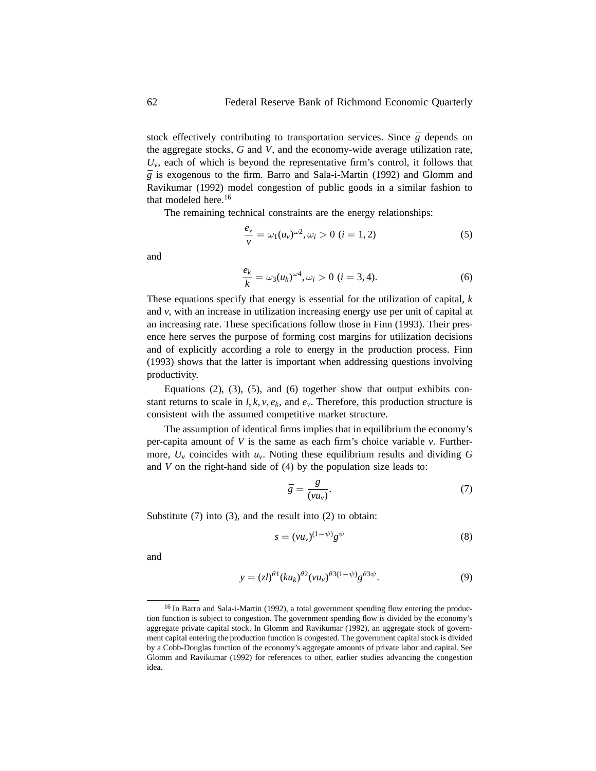stock effectively contributing to transportation services. Since  $\bar{g}$  depends on the aggregate stocks, *G* and *V*, and the economy-wide average utilization rate,  $U_{\nu}$ , each of which is beyond the representative firm's control, it follows that  $\overline{g}$  is exogenous to the firm. Barro and Sala-i-Martin (1992) and Glomm and Ravikumar (1992) model congestion of public goods in a similar fashion to that modeled here.<sup>16</sup>

The remaining technical constraints are the energy relationships:

$$
\frac{e_v}{v} = \omega_1(u_v)^{\omega^2}, \omega_i > 0 \ (i = 1, 2)
$$
 (5)

and

$$
\frac{e_k}{k} = \omega_3(u_k)^{\omega 4}, \omega_i > 0 \ (i = 3, 4).
$$
 (6)

These equations specify that energy is essential for the utilization of capital, *k* and *v*, with an increase in utilization increasing energy use per unit of capital at an increasing rate. These specifications follow those in Finn (1993). Their presence here serves the purpose of forming cost margins for utilization decisions and of explicitly according a role to energy in the production process. Finn (1993) shows that the latter is important when addressing questions involving productivity.

Equations  $(2)$ ,  $(3)$ ,  $(5)$ , and  $(6)$  together show that output exhibits constant returns to scale in  $l, k, v, e_k$ , and  $e_v$ . Therefore, this production structure is consistent with the assumed competitive market structure.

The assumption of identical firms implies that in equilibrium the economy's per-capita amount of *V* is the same as each firm's choice variable *v*. Furthermore,  $U_v$  coincides with  $u_v$ . Noting these equilibrium results and dividing G and *V* on the right-hand side of (4) by the population size leads to:

$$
\bar{g} = \frac{g}{(\nu u_{\nu})}.\tag{7}
$$

Substitute (7) into (3), and the result into (2) to obtain:

$$
s = (\nu u_{\nu})^{(1-\psi)} g^{\psi} \tag{8}
$$

and

$$
y = (zI)^{\theta 1} (ku_k)^{\theta 2} (vu_v)^{\theta 3(1-\psi)} g^{\theta 3\psi}.
$$
 (9)

<sup>&</sup>lt;sup>16</sup> In Barro and Sala-i-Martin (1992), a total government spending flow entering the production function is subject to congestion. The government spending flow is divided by the economy's aggregate private capital stock. In Glomm and Ravikumar (1992), an aggregate stock of government capital entering the production function is congested. The government capital stock is divided by a Cobb-Douglas function of the economy's aggregate amounts of private labor and capital. See Glomm and Ravikumar (1992) for references to other, earlier studies advancing the congestion idea.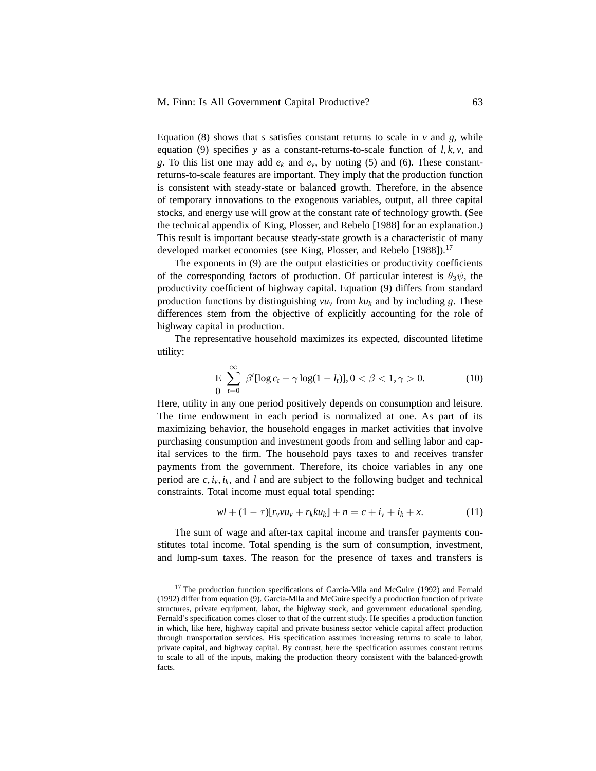Equation (8) shows that  $s$  satisfies constant returns to scale in  $v$  and  $g$ , while equation (9) specifies *y* as a constant-returns-to-scale function of *l*, *k*, *v*, and *g*. To this list one may add  $e_k$  and  $e_v$ , by noting (5) and (6). These constantreturns-to-scale features are important. They imply that the production function is consistent with steady-state or balanced growth. Therefore, in the absence of temporary innovations to the exogenous variables, output, all three capital stocks, and energy use will grow at the constant rate of technology growth. (See the technical appendix of King, Plosser, and Rebelo [1988] for an explanation.) This result is important because steady-state growth is a characteristic of many developed market economies (see King, Plosser, and Rebelo [1988]).<sup>17</sup>

The exponents in (9) are the output elasticities or productivity coefficients of the corresponding factors of production. Of particular interest is  $\theta_3\psi$ , the productivity coefficient of highway capital. Equation (9) differs from standard production functions by distinguishing  $vu_v$  from  $ku_k$  and by including g. These differences stem from the objective of explicitly accounting for the role of highway capital in production.

The representative household maximizes its expected, discounted lifetime utility:

$$
\text{E} \sum_{t=0}^{\infty} \beta^{t} [\log c_{t} + \gamma \log(1 - l_{t})], 0 < \beta < 1, \gamma > 0. \tag{10}
$$

Here, utility in any one period positively depends on consumption and leisure. The time endowment in each period is normalized at one. As part of its maximizing behavior, the household engages in market activities that involve purchasing consumption and investment goods from and selling labor and capital services to the firm. The household pays taxes to and receives transfer payments from the government. Therefore, its choice variables in any one period are  $c$ ,  $i<sub>v</sub>$ ,  $i<sub>k</sub>$ , and *l* and are subject to the following budget and technical constraints. Total income must equal total spending:

$$
wl + (1 - \tau)[r_v vu_v + r_kku_k] + n = c + i_v + i_k + x.
$$
 (11)

The sum of wage and after-tax capital income and transfer payments constitutes total income. Total spending is the sum of consumption, investment, and lump-sum taxes. The reason for the presence of taxes and transfers is

<sup>&</sup>lt;sup>17</sup> The production function specifications of Garcia-Mila and McGuire (1992) and Fernald (1992) differ from equation (9). Garcia-Mila and McGuire specify a production function of private structures, private equipment, labor, the highway stock, and government educational spending. Fernald's specification comes closer to that of the current study. He specifies a production function in which, like here, highway capital and private business sector vehicle capital affect production through transportation services. His specification assumes increasing returns to scale to labor, private capital, and highway capital. By contrast, here the specification assumes constant returns to scale to all of the inputs, making the production theory consistent with the balanced-growth facts.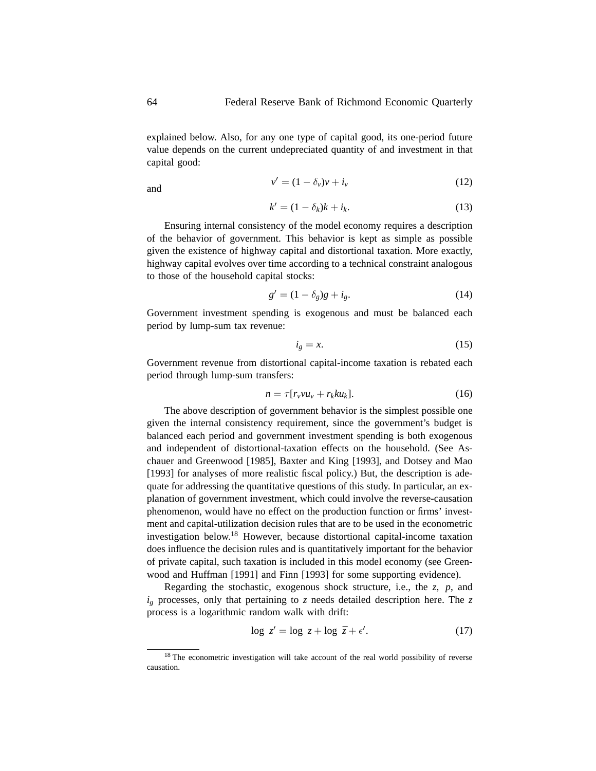explained below. Also, for any one type of capital good, its one-period future value depends on the current undepreciated quantity of and investment in that capital good:

$$
v' = (1 - \delta_v)v + i_v \tag{12}
$$

$$
k' = (1 - \delta_k)k + i_k. \tag{13}
$$

Ensuring internal consistency of the model economy requires a description of the behavior of government. This behavior is kept as simple as possible given the existence of highway capital and distortional taxation. More exactly, highway capital evolves over time according to a technical constraint analogous to those of the household capital stocks:

$$
g' = (1 - \delta_g)g + i_g. \tag{14}
$$

Government investment spending is exogenous and must be balanced each period by lump-sum tax revenue:

$$
i_g = x.\t\t(15)
$$

Government revenue from distortional capital-income taxation is rebated each period through lump-sum transfers:

$$
n = \tau[r_v v u_v + r_k k u_k]. \tag{16}
$$

The above description of government behavior is the simplest possible one given the internal consistency requirement, since the government's budget is balanced each period and government investment spending is both exogenous and independent of distortional-taxation effects on the household. (See Aschauer and Greenwood [1985], Baxter and King [1993], and Dotsey and Mao [1993] for analyses of more realistic fiscal policy.) But, the description is adequate for addressing the quantitative questions of this study. In particular, an explanation of government investment, which could involve the reverse-causation phenomenon, would have no effect on the production function or firms' investment and capital-utilization decision rules that are to be used in the econometric investigation below.<sup>18</sup> However, because distortional capital-income taxation does influence the decision rules and is quantitatively important for the behavior of private capital, such taxation is included in this model economy (see Greenwood and Huffman [1991] and Finn [1993] for some supporting evidence).

Regarding the stochastic, exogenous shock structure, i.e., the *z*, *p*, and  $i_g$  processes, only that pertaining to *z* needs detailed description here. The *z* process is a logarithmic random walk with drift:

$$
\log z' = \log z + \log \bar{z} + \epsilon'.\tag{17}
$$

<sup>&</sup>lt;sup>18</sup> The econometric investigation will take account of the real world possibility of reverse causation.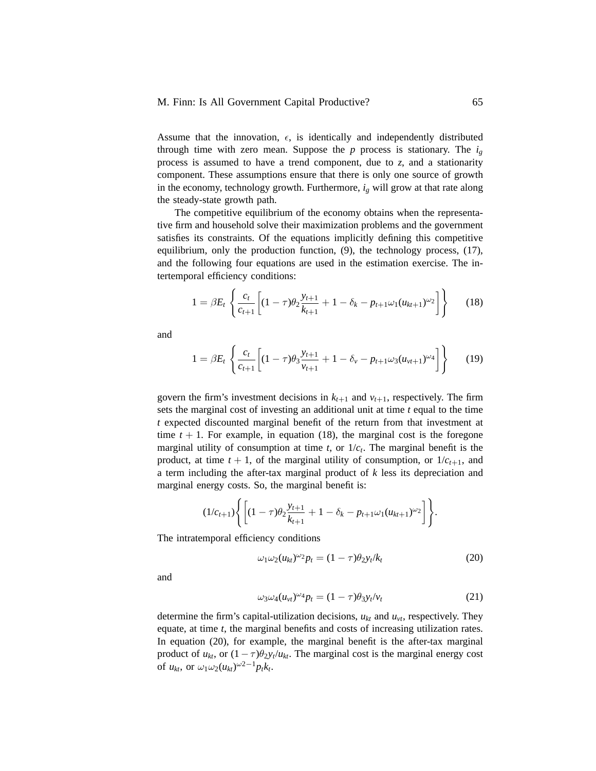Assume that the innovation,  $\epsilon$ , is identically and independently distributed through time with zero mean. Suppose the  $p$  process is stationary. The  $i<sub>g</sub>$ process is assumed to have a trend component, due to *z*, and a stationarity component. These assumptions ensure that there is only one source of growth in the economy, technology growth. Furthermore,  $i<sub>g</sub>$  will grow at that rate along the steady-state growth path.

The competitive equilibrium of the economy obtains when the representative firm and household solve their maximization problems and the government satisfies its constraints. Of the equations implicitly defining this competitive equilibrium, only the production function, (9), the technology process, (17), and the following four equations are used in the estimation exercise. The intertemporal efficiency conditions:

$$
1 = \beta E_t \left\{ \frac{c_t}{c_{t+1}} \left[ (1 - \tau) \theta_2 \frac{y_{t+1}}{k_{t+1}} + 1 - \delta_k - p_{t+1} \omega_1 (u_{kt+1})^{\omega_2} \right] \right\}
$$
(18)

and

$$
1 = \beta E_t \left\{ \frac{c_t}{c_{t+1}} \left[ (1 - \tau) \theta_3 \frac{y_{t+1}}{v_{t+1}} + 1 - \delta_v - p_{t+1} \omega_3 (u_{vt+1})^{\omega_4} \right] \right\}
$$
(19)

govern the firm's investment decisions in  $k_{t+1}$  and  $v_{t+1}$ , respectively. The firm sets the marginal cost of investing an additional unit at time *t* equal to the time *t* expected discounted marginal benefit of the return from that investment at time  $t + 1$ . For example, in equation (18), the marginal cost is the foregone marginal utility of consumption at time  $t$ , or  $1/c<sub>t</sub>$ . The marginal benefit is the product, at time  $t + 1$ , of the marginal utility of consumption, or  $1/c_{t+1}$ , and a term including the after-tax marginal product of *k* less its depreciation and marginal energy costs. So, the marginal benefit is:

$$
(1/c_{t+1})\Biggl\{ \Biggl[(1-\tau)\theta_2\frac{y_{t+1}}{k_{t+1}}+1-\delta_k-p_{t+1}\omega_1(u_{kt+1})^{\omega_2}\Biggr]\Biggr\}.
$$

The intratemporal efficiency conditions

$$
\omega_1 \omega_2 (u_{kt})^{\omega_2} p_t = (1 - \tau) \theta_2 y_t / k_t \tag{20}
$$

and

$$
\omega_3 \omega_4 (u_{vt})^{\omega_4} p_t = (1 - \tau) \theta_3 y_t / v_t \tag{21}
$$

determine the firm's capital-utilization decisions,  $u_{kt}$  and  $u_{vt}$ , respectively. They equate, at time *t*, the marginal benefits and costs of increasing utilization rates. In equation (20), for example, the marginal benefit is the after-tax marginal product of  $u_{kt}$ , or  $(1 - \tau)\theta_2 y_t/u_{kt}$ . The marginal cost is the marginal energy cost of  $u_{kt}$ , or  $\omega_1 \omega_2 (u_{kt})^{\omega_2-1} p_t k_t$ .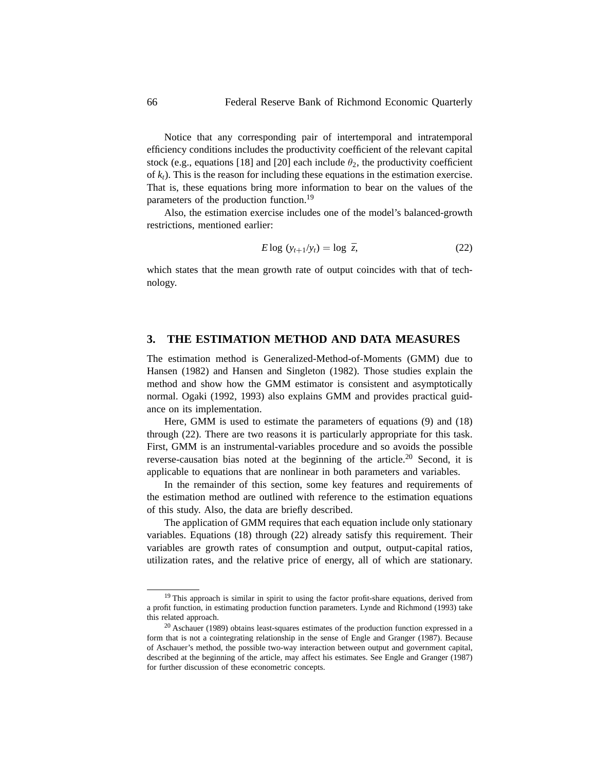Notice that any corresponding pair of intertemporal and intratemporal efficiency conditions includes the productivity coefficient of the relevant capital stock (e.g., equations [18] and [20] each include  $\theta_2$ , the productivity coefficient of  $k_t$ ). This is the reason for including these equations in the estimation exercise. That is, these equations bring more information to bear on the values of the parameters of the production function.<sup>19</sup>

Also, the estimation exercise includes one of the model's balanced-growth restrictions, mentioned earlier:

$$
E \log (y_{t+1}/y_t) = \log \bar{z}, \qquad (22)
$$

which states that the mean growth rate of output coincides with that of technology.

## **3. THE ESTIMATION METHOD AND DATA MEASURES**

The estimation method is Generalized-Method-of-Moments (GMM) due to Hansen (1982) and Hansen and Singleton (1982). Those studies explain the method and show how the GMM estimator is consistent and asymptotically normal. Ogaki (1992, 1993) also explains GMM and provides practical guidance on its implementation.

Here, GMM is used to estimate the parameters of equations (9) and (18) through (22). There are two reasons it is particularly appropriate for this task. First, GMM is an instrumental-variables procedure and so avoids the possible reverse-causation bias noted at the beginning of the article.<sup>20</sup> Second, it is applicable to equations that are nonlinear in both parameters and variables.

In the remainder of this section, some key features and requirements of the estimation method are outlined with reference to the estimation equations of this study. Also, the data are briefly described.

The application of GMM requires that each equation include only stationary variables. Equations (18) through (22) already satisfy this requirement. Their variables are growth rates of consumption and output, output-capital ratios, utilization rates, and the relative price of energy, all of which are stationary.

<sup>&</sup>lt;sup>19</sup> This approach is similar in spirit to using the factor profit-share equations, derived from a profit function, in estimating production function parameters. Lynde and Richmond (1993) take this related approach.

<sup>&</sup>lt;sup>20</sup> Aschauer (1989) obtains least-squares estimates of the production function expressed in a form that is not a cointegrating relationship in the sense of Engle and Granger (1987). Because of Aschauer's method, the possible two-way interaction between output and government capital, described at the beginning of the article, may affect his estimates. See Engle and Granger (1987) for further discussion of these econometric concepts.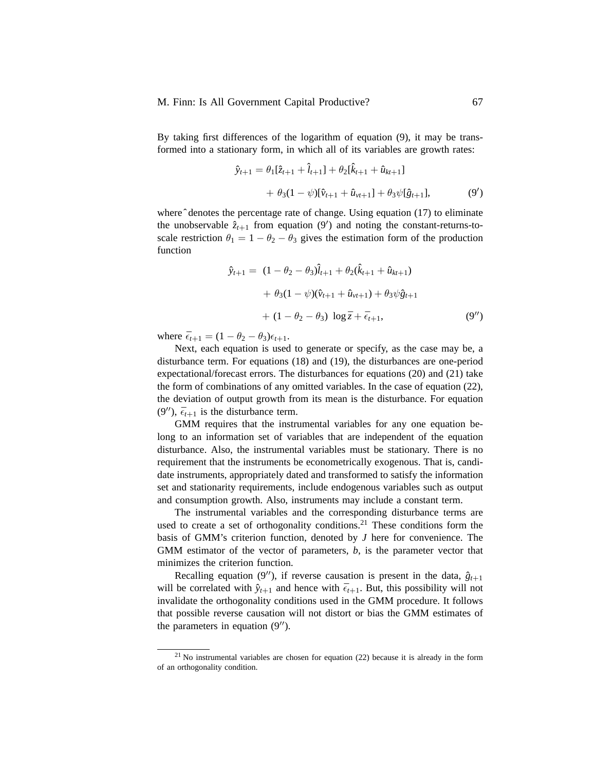By taking first differences of the logarithm of equation (9), it may be transformed into a stationary form, in which all of its variables are growth rates:

$$
\hat{y}_{t+1} = \theta_1[\hat{z}_{t+1} + \hat{l}_{t+1}] + \theta_2[\hat{k}_{t+1} + \hat{u}_{kt+1}] \n+ \theta_3(1 - \psi)[\hat{v}_{t+1} + \hat{u}_{vt+1}] + \theta_3\psi[\hat{g}_{t+1}],
$$
\n(9')

where  $\hat{ }$  denotes the percentage rate of change. Using equation (17) to eliminate the unobservable  $\hat{z}_{t+1}$  from equation  $(9')$  and noting the constant-returns-toscale restriction  $\theta_1 = 1 - \theta_2 - \theta_3$  gives the estimation form of the production function

$$
\hat{y}_{t+1} = (1 - \theta_2 - \theta_3)\hat{l}_{t+1} + \theta_2(\hat{k}_{t+1} + \hat{u}_{kt+1})
$$
  
+  $\theta_3(1 - \psi)(\hat{v}_{t+1} + \hat{u}_{vt+1}) + \theta_3\psi\hat{g}_{t+1}$   
+  $(1 - \theta_2 - \theta_3) \log \bar{z} + \bar{\epsilon}_{t+1}$ , (9")

where  $\bar{\epsilon}_{t+1} = (1 - \theta_2 - \theta_3)\epsilon_{t+1}$ .

Next, each equation is used to generate or specify, as the case may be, a disturbance term. For equations (18) and (19), the disturbances are one-period expectational/forecast errors. The disturbances for equations (20) and (21) take the form of combinations of any omitted variables. In the case of equation (22), the deviation of output growth from its mean is the disturbance. For equation  $(9'')$ ,  $\bar{\epsilon}_{t+1}$  is the disturbance term.

GMM requires that the instrumental variables for any one equation belong to an information set of variables that are independent of the equation disturbance. Also, the instrumental variables must be stationary. There is no requirement that the instruments be econometrically exogenous. That is, candidate instruments, appropriately dated and transformed to satisfy the information set and stationarity requirements, include endogenous variables such as output and consumption growth. Also, instruments may include a constant term.

The instrumental variables and the corresponding disturbance terms are used to create a set of orthogonality conditions.<sup>21</sup> These conditions form the basis of GMM's criterion function, denoted by *J* here for convenience. The GMM estimator of the vector of parameters, *b*, is the parameter vector that minimizes the criterion function.

Recalling equation (9"), if reverse causation is present in the data,  $\hat{g}_{t+1}$ will be correlated with  $\hat{y}_{t+1}$  and hence with  $\bar{\epsilon}_{t+1}$ . But, this possibility will not invalidate the orthogonality conditions used in the GMM procedure. It follows that possible reverse causation will not distort or bias the GMM estimates of the parameters in equation  $(9'')$ .

<sup>21</sup> No instrumental variables are chosen for equation (22) because it is already in the form of an orthogonality condition.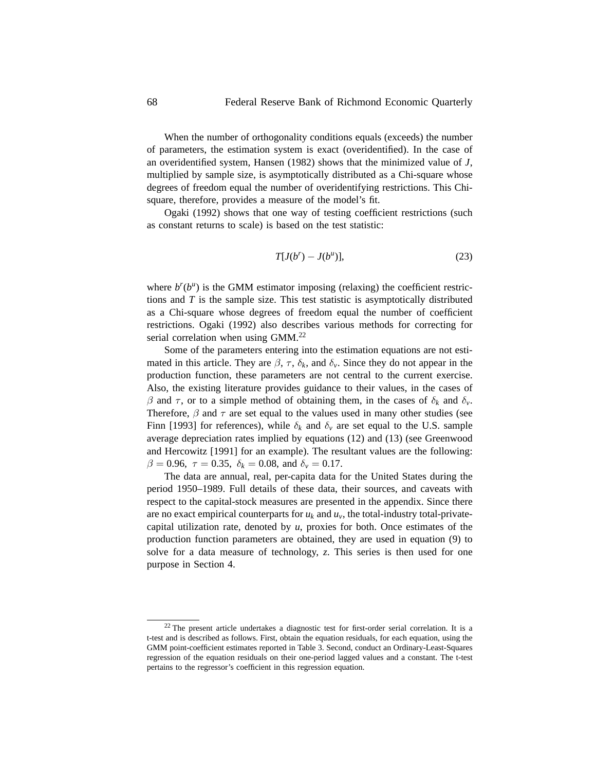When the number of orthogonality conditions equals (exceeds) the number of parameters, the estimation system is exact (overidentified). In the case of an overidentified system, Hansen (1982) shows that the minimized value of *J*, multiplied by sample size, is asymptotically distributed as a Chi-square whose degrees of freedom equal the number of overidentifying restrictions. This Chisquare, therefore, provides a measure of the model's fit.

Ogaki (1992) shows that one way of testing coefficient restrictions (such as constant returns to scale) is based on the test statistic:

$$
T[J(b^r) - J(b^u)],\tag{23}
$$

where  $b^{r}(b^{u})$  is the GMM estimator imposing (relaxing) the coefficient restrictions and *T* is the sample size. This test statistic is asymptotically distributed as a Chi-square whose degrees of freedom equal the number of coefficient restrictions. Ogaki (1992) also describes various methods for correcting for serial correlation when using GMM.<sup>22</sup>

Some of the parameters entering into the estimation equations are not estimated in this article. They are  $\beta$ ,  $\tau$ ,  $\delta_k$ , and  $\delta_{\nu}$ . Since they do not appear in the production function, these parameters are not central to the current exercise. Also, the existing literature provides guidance to their values, in the cases of *β* and *τ*, or to a simple method of obtaining them, in the cases of  $δ<sub>k</sub>$  and  $δ<sub>ν</sub>$ . Therefore, *β* and *τ* are set equal to the values used in many other studies (see Finn [1993] for references), while  $\delta_k$  and  $\delta_v$  are set equal to the U.S. sample average depreciation rates implied by equations (12) and (13) (see Greenwood and Hercowitz [1991] for an example). The resultant values are the following:  $β = 0.96, τ = 0.35, δ<sub>k</sub> = 0.08, and δ<sub>ν</sub> = 0.17.$ 

The data are annual, real, per-capita data for the United States during the period 1950–1989. Full details of these data, their sources, and caveats with respect to the capital-stock measures are presented in the appendix. Since there are no exact empirical counterparts for  $u_k$  and  $u_v$ , the total-industry total-privatecapital utilization rate, denoted by *u*, proxies for both. Once estimates of the production function parameters are obtained, they are used in equation (9) to solve for a data measure of technology, *z*. This series is then used for one purpose in Section 4.

 $22$  The present article undertakes a diagnostic test for first-order serial correlation. It is a t-test and is described as follows. First, obtain the equation residuals, for each equation, using the GMM point-coefficient estimates reported in Table 3. Second, conduct an Ordinary-Least-Squares regression of the equation residuals on their one-period lagged values and a constant. The t-test pertains to the regressor's coefficient in this regression equation.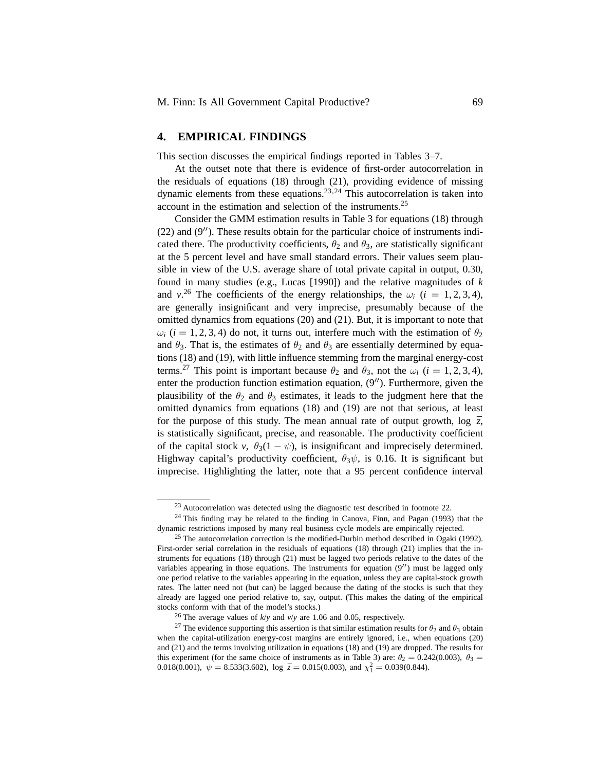### **4. EMPIRICAL FINDINGS**

This section discusses the empirical findings reported in Tables 3–7.

At the outset note that there is evidence of first-order autocorrelation in the residuals of equations (18) through (21), providing evidence of missing dynamic elements from these equations.<sup>23,24</sup> This autocorrelation is taken into account in the estimation and selection of the instruments.<sup>25</sup>

Consider the GMM estimation results in Table 3 for equations (18) through  $(22)$  and  $(9'')$ . These results obtain for the particular choice of instruments indicated there. The productivity coefficients,  $\theta_2$  and  $\theta_3$ , are statistically significant at the 5 percent level and have small standard errors. Their values seem plausible in view of the U.S. average share of total private capital in output, 0.30, found in many studies (e.g., Lucas [1990]) and the relative magnitudes of *k* and *v*<sup>26</sup> The coefficients of the energy relationships, the  $\omega_i$  (*i* = 1, 2, 3, 4), are generally insignificant and very imprecise, presumably because of the omitted dynamics from equations (20) and (21). But, it is important to note that  $ω$ *i* (*i* = 1, 2, 3, 4) do not, it turns out, interfere much with the estimation of  $θ$ <sub>2</sub> and  $\theta_3$ . That is, the estimates of  $\theta_2$  and  $\theta_3$  are essentially determined by equations (18) and (19), with little influence stemming from the marginal energy-cost terms.<sup>27</sup> This point is important because  $\theta_2$  and  $\theta_3$ , not the  $\omega_i$  (*i* = 1, 2, 3, 4), enter the production function estimation equation,  $(9'')$ . Furthermore, given the plausibility of the  $\theta_2$  and  $\theta_3$  estimates, it leads to the judgment here that the omitted dynamics from equations (18) and (19) are not that serious, at least for the purpose of this study. The mean annual rate of output growth,  $\log \overline{z}$ , is statistically significant, precise, and reasonable. The productivity coefficient of the capital stock *v*,  $\theta_3(1 - \psi)$ , is insignificant and imprecisely determined. Highway capital's productivity coefficient,  $\theta_3\psi$ , is 0.16. It is significant but imprecise. Highlighting the latter, note that a 95 percent confidence interval

<sup>&</sup>lt;sup>23</sup> Autocorrelation was detected using the diagnostic test described in footnote 22.

 $24$  This finding may be related to the finding in Canova, Finn, and Pagan (1993) that the dynamic restrictions imposed by many real business cycle models are empirically rejected.

 $25$  The autocorrelation correction is the modified-Durbin method described in Ogaki (1992). First-order serial correlation in the residuals of equations (18) through (21) implies that the instruments for equations (18) through (21) must be lagged two periods relative to the dates of the variables appearing in those equations. The instruments for equation  $(9'')$  must be lagged only one period relative to the variables appearing in the equation, unless they are capital-stock growth rates. The latter need not (but can) be lagged because the dating of the stocks is such that they already are lagged one period relative to, say, output. (This makes the dating of the empirical stocks conform with that of the model's stocks.)

<sup>26</sup> The average values of *k*/*y* and *v*/*y* are 1.06 and 0.05, respectively.

<sup>&</sup>lt;sup>27</sup> The evidence supporting this assertion is that similar estimation results for  $\theta_2$  and  $\theta_3$  obtain when the capital-utilization energy-cost margins are entirely ignored, i.e., when equations (20) and (21) and the terms involving utilization in equations (18) and (19) are dropped. The results for this experiment (for the same choice of instruments as in Table 3) are:  $\theta_2 = 0.242(0.003)$ ,  $\theta_3 =$ 0.018(0.001),  $\psi = 8.533(3.602)$ , log  $\bar{z} = 0.015(0.003)$ , and  $\chi_1^2 = 0.039(0.844)$ .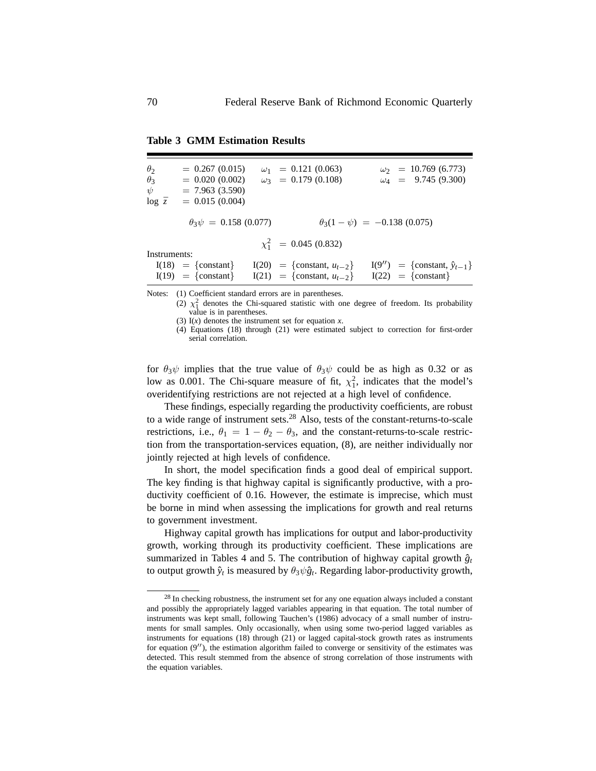| $\theta_2$<br>$\theta_3$<br>ψ<br>$\log \bar{z}$ | $= 0.267(0.015)$<br>$= 0.020(0.002)$<br>$= 7.963(3.590)$<br>$= 0.015(0.004)$ | $\omega_1$ = 0.121 (0.063)<br>$\omega_3 = 0.179(0.108)$              | $\omega_2 = 10.769(6.773)$<br>$\omega_4 = 9.745(9.300)$                  |
|-------------------------------------------------|------------------------------------------------------------------------------|----------------------------------------------------------------------|--------------------------------------------------------------------------|
|                                                 | $\theta_3\psi = 0.158(0.077)$                                                |                                                                      | $\theta_3(1-\psi) = -0.138(0.075)$                                       |
| Instruments:                                    |                                                                              | $\chi_1^2$ = 0.045 (0.832)                                           |                                                                          |
|                                                 | $I(18) = \{constant\}$<br>$I(19) = \{constant\}$                             | $I(20) = \{constant, u_{t-2}\}\$<br>$I(21) = \{constant, u_{t-2}\}\$ | $I(9'') = \{\text{constant}, \hat{y}_{t-1}\}\$<br>$I(22) = \{constant\}$ |

**Table 3 GMM Estimation Results**

Notes: (1) Coefficient standard errors are in parentheses.

(2)  $\chi^2$  denotes the Chi-squared statistic with one degree of freedom. Its probability value is in parentheses.

(3)  $I(x)$  denotes the instrument set for equation  $x$ .

(4) Equations (18) through (21) were estimated subject to correction for first-order serial correlation.

for  $\theta_3\psi$  implies that the true value of  $\theta_3\psi$  could be as high as 0.32 or as low as 0.001. The Chi-square measure of fit,  $\chi_1^2$ , indicates that the model's overidentifying restrictions are not rejected at a high level of confidence.

These findings, especially regarding the productivity coefficients, are robust to a wide range of instrument sets.<sup>28</sup> Also, tests of the constant-returns-to-scale restrictions, i.e.,  $\theta_1 = 1 - \theta_2 - \theta_3$ , and the constant-returns-to-scale restriction from the transportation-services equation, (8), are neither individually nor jointly rejected at high levels of confidence.

In short, the model specification finds a good deal of empirical support. The key finding is that highway capital is significantly productive, with a productivity coefficient of 0.16. However, the estimate is imprecise, which must be borne in mind when assessing the implications for growth and real returns to government investment.

Highway capital growth has implications for output and labor-productivity growth, working through its productivity coefficient. These implications are summarized in Tables 4 and 5. The contribution of highway capital growth  $\hat{g}_t$ to output growth  $\hat{y}_t$  is measured by  $\theta_3 \psi \hat{g}_t$ . Regarding labor-productivity growth,

 $28$  In checking robustness, the instrument set for any one equation always included a constant and possibly the appropriately lagged variables appearing in that equation. The total number of instruments was kept small, following Tauchen's (1986) advocacy of a small number of instruments for small samples. Only occasionally, when using some two-period lagged variables as instruments for equations (18) through (21) or lagged capital-stock growth rates as instruments for equation  $(9'')$ , the estimation algorithm failed to converge or sensitivity of the estimates was detected. This result stemmed from the absence of strong correlation of those instruments with the equation variables.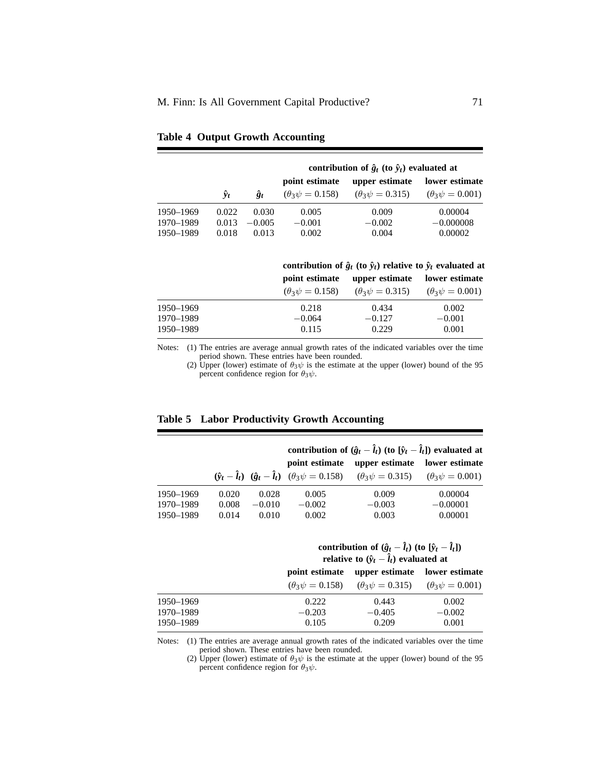|           |                      |             | contribution of $\hat{g}_t$ (to $\hat{y}_t$ ) evaluated at |                           |                           |  |  |
|-----------|----------------------|-------------|------------------------------------------------------------|---------------------------|---------------------------|--|--|
|           |                      |             | point estimate                                             | upper estimate            | lower estimate            |  |  |
|           | $\hat{\mathbf{y}}_t$ | $\hat{g}_t$ | $(\theta_3 \psi = 0.158)$                                  | $(\theta_3 \psi = 0.315)$ | $(\theta_3 \psi = 0.001)$ |  |  |
| 1950–1969 | 0.022                | 0.030       | 0.005                                                      | 0.009                     | 0.00004                   |  |  |
| 1970–1989 | 0.013                | $-0.005$    | $-0.001$                                                   | $-0.002$                  | $-0.000008$               |  |  |
| 1950–1989 | 0.018                | 0.013       | 0.002                                                      | 0.004                     | 0.00002                   |  |  |

|  |  |  | <b>Table 4 Output Growth Accounting</b> |
|--|--|--|-----------------------------------------|
|--|--|--|-----------------------------------------|

|           | contribution of $\hat{g}_t$ (to $\hat{v}_t$ ) relative to $\hat{v}_t$ evaluated at |                                                     |                           |  |
|-----------|------------------------------------------------------------------------------------|-----------------------------------------------------|---------------------------|--|
|           | point estimate                                                                     | upper estimate                                      | lower estimate            |  |
|           |                                                                                    | $(\theta_3 \psi = 0.158)$ $(\theta_3 \psi = 0.315)$ | $(\theta_3 \psi = 0.001)$ |  |
| 1950–1969 | 0.218                                                                              | 0.434                                               | 0.002                     |  |
| 1970–1989 | $-0.064$                                                                           | $-0.127$                                            | $-0.001$                  |  |
| 1950–1989 | 0.115                                                                              | 0.229                                               | 0.001                     |  |

Notes: (1) The entries are average annual growth rates of the indicated variables over the time period shown. These entries have been rounded.

(2) Upper (lower) estimate of  $\theta_3\psi$  is the estimate at the upper (lower) bound of the 95 percent confidence region for  $\theta_3\psi$ .

|           |       |          | contribution of $(\hat{g}_t - \hat{l}_t)$ (to $[\hat{y}_t - \hat{l}_t]$ ) evaluated at |                                                                                                                                                                       |            |  |
|-----------|-------|----------|----------------------------------------------------------------------------------------|-----------------------------------------------------------------------------------------------------------------------------------------------------------------------|------------|--|
|           |       |          | point estimate                                                                         | upper estimate lower estimate                                                                                                                                         |            |  |
|           |       |          |                                                                                        | $(\hat{\mathbf{y}}_t - \hat{\mathbf{l}}_t)$ $(\hat{\mathbf{g}}_t - \hat{\mathbf{l}}_t)$ $(\theta_3 \psi = 0.158)$ $(\theta_3 \psi = 0.315)$ $(\theta_3 \psi = 0.001)$ |            |  |
| 1950–1969 | 0.020 | 0.028    | 0.005                                                                                  | 0.009                                                                                                                                                                 | 0.00004    |  |
| 1970–1989 | 0.008 | $-0.010$ | $-0.002$                                                                               | $-0.003$                                                                                                                                                              | $-0.00001$ |  |
| 1950–1989 | 0.014 | 0.010    | 0.002                                                                                  | 0.003                                                                                                                                                                 | 0.00001    |  |

| contribution of $(\hat{g}_t - \hat{l}_t)$ (to $[\hat{y}_t - \hat{l}_t]$ ) |  |
|---------------------------------------------------------------------------|--|
| relative to $(\hat{y}_t - \hat{l}_t)$ evaluated at                        |  |

|           | point estimate            | upper estimate lower estimate                       |          |  |
|-----------|---------------------------|-----------------------------------------------------|----------|--|
|           | $(\theta_3 \psi = 0.158)$ | $(\theta_3 \psi = 0.315)$ $(\theta_3 \psi = 0.001)$ |          |  |
| 1950–1969 | 0.222                     | 0.443                                               | 0.002    |  |
| 1970–1989 | $-0.203$                  | $-0.405$                                            | $-0.002$ |  |
| 1950–1989 | 0.105                     | 0.209                                               | 0.001    |  |

Notes: (1) The entries are average annual growth rates of the indicated variables over the time period shown. These entries have been rounded.

(2) Upper (lower) estimate of  $\theta_3\psi$  is the estimate at the upper (lower) bound of the 95 percent confidence region for  $\theta_3\psi$ .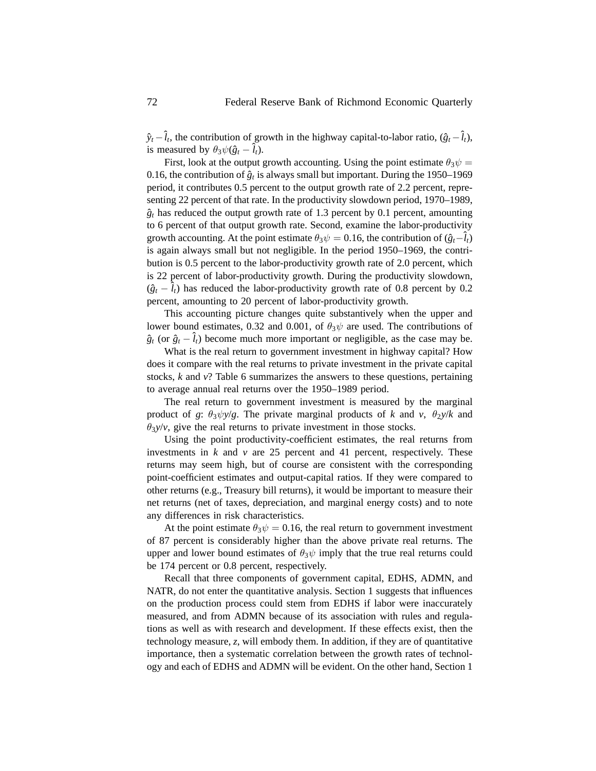$\hat{y}_t - \hat{l}_t$ , the contribution of growth in the highway capital-to-labor ratio,  $(\hat{g}_t - \hat{l}_t)$ , is measured by  $\theta_3 \psi(\hat{g}_t - \hat{l}_t)$ .

First, look at the output growth accounting. Using the point estimate  $\theta_3 \psi =$ 0.16, the contribution of  $\hat{g}_t$  is always small but important. During the 1950–1969 period, it contributes 0.5 percent to the output growth rate of 2.2 percent, representing 22 percent of that rate. In the productivity slowdown period, 1970–1989,  $\hat{g}_t$  has reduced the output growth rate of 1.3 percent by 0.1 percent, amounting to 6 percent of that output growth rate. Second, examine the labor-productivity growth accounting. At the point estimate  $\theta_3\psi = 0.16$ , the contribution of  $(\hat{g}_t-\hat{l}_t)$ is again always small but not negligible. In the period 1950–1969, the contribution is 0.5 percent to the labor-productivity growth rate of 2.0 percent, which is 22 percent of labor-productivity growth. During the productivity slowdown,  $(\hat{g}_t - \hat{l}_t)$  has reduced the labor-productivity growth rate of 0.8 percent by 0.2 percent, amounting to 20 percent of labor-productivity growth.

This accounting picture changes quite substantively when the upper and lower bound estimates, 0.32 and 0.001, of  $\theta_3\psi$  are used. The contributions of  $\hat{g}_t$  (or  $\hat{g}_t - \hat{l}_t$ ) become much more important or negligible, as the case may be.

What is the real return to government investment in highway capital? How does it compare with the real returns to private investment in the private capital stocks, *k* and *v*? Table 6 summarizes the answers to these questions, pertaining to average annual real returns over the 1950–1989 period.

The real return to government investment is measured by the marginal product of *g*:  $\theta_3 \psi y/g$ . The private marginal products of *k* and *v*,  $\theta_2 y/k$  and  $\theta_3$ *y*/*v*, give the real returns to private investment in those stocks.

Using the point productivity-coefficient estimates, the real returns from investments in  $k$  and  $\nu$  are 25 percent and 41 percent, respectively. These returns may seem high, but of course are consistent with the corresponding point-coefficient estimates and output-capital ratios. If they were compared to other returns (e.g., Treasury bill returns), it would be important to measure their net returns (net of taxes, depreciation, and marginal energy costs) and to note any differences in risk characteristics.

At the point estimate  $\theta_3\psi = 0.16$ , the real return to government investment of 87 percent is considerably higher than the above private real returns. The upper and lower bound estimates of  $\theta_3\psi$  imply that the true real returns could be 174 percent or 0.8 percent, respectively.

Recall that three components of government capital, EDHS, ADMN, and NATR, do not enter the quantitative analysis. Section 1 suggests that influences on the production process could stem from EDHS if labor were inaccurately measured, and from ADMN because of its association with rules and regulations as well as with research and development. If these effects exist, then the technology measure, *z*, will embody them. In addition, if they are of quantitative importance, then a systematic correlation between the growth rates of technology and each of EDHS and ADMN will be evident. On the other hand, Section 1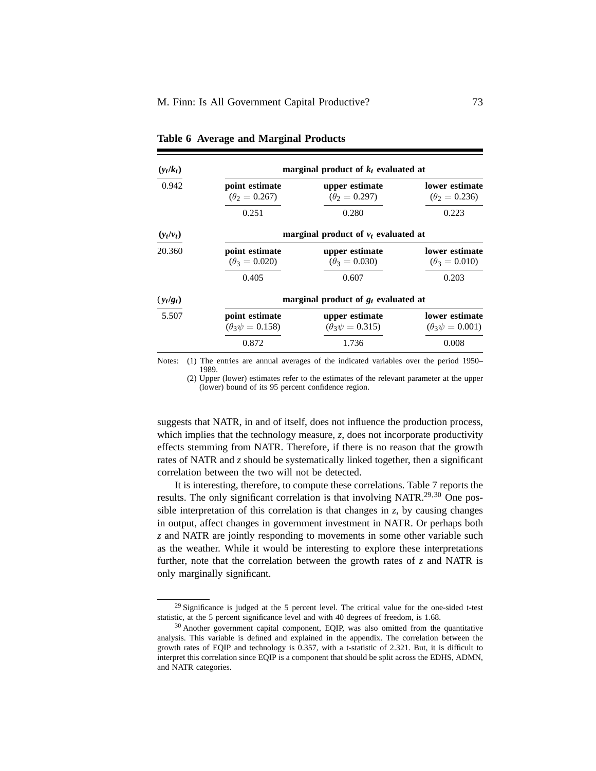| $(y_t/k_t)$ | marginal product of $k_t$ evaluated at      |                                             |                                             |  |
|-------------|---------------------------------------------|---------------------------------------------|---------------------------------------------|--|
| 0.942       | point estimate<br>$(\theta_2 = 0.267)$      | upper estimate<br>$(\theta_2 = 0.297)$      | lower estimate<br>$(\theta_2 = 0.236)$      |  |
|             | 0.251                                       | 0.280                                       | 0.223                                       |  |
| $(y_t/v_t)$ | marginal product of $v_t$ evaluated at      |                                             |                                             |  |
| 20.360      | point estimate<br>$(\theta_3 = 0.020)$      | upper estimate<br>$(\theta_3 = 0.030)$      | lower estimate<br>$(\theta_3 = 0.010)$      |  |
|             | 0.405                                       | 0.607                                       | 0.203                                       |  |
| $(y_t/g_t)$ | marginal product of $g_t$ evaluated at      |                                             |                                             |  |
| 5.507       | point estimate<br>$(\theta_3 \psi = 0.158)$ | upper estimate<br>$(\theta_3 \psi = 0.315)$ | lower estimate<br>$(\theta_3 \psi = 0.001)$ |  |
|             | 0.872                                       | 1.736                                       | 0.008                                       |  |

**Table 6 Average and Marginal Products**

Notes: (1) The entries are annual averages of the indicated variables over the period 1950– 1989.

(2) Upper (lower) estimates refer to the estimates of the relevant parameter at the upper (lower) bound of its 95 percent confidence region.

suggests that NATR, in and of itself, does not influence the production process, which implies that the technology measure, *z*, does not incorporate productivity effects stemming from NATR. Therefore, if there is no reason that the growth rates of NATR and *z* should be systematically linked together, then a significant correlation between the two will not be detected.

It is interesting, therefore, to compute these correlations. Table 7 reports the results. The only significant correlation is that involving NATR.<sup>29,30</sup> One possible interpretation of this correlation is that changes in  $z$ , by causing changes in output, affect changes in government investment in NATR. Or perhaps both *z* and NATR are jointly responding to movements in some other variable such as the weather. While it would be interesting to explore these interpretations further, note that the correlation between the growth rates of *z* and NATR is only marginally significant.

 $29$  Significance is judged at the 5 percent level. The critical value for the one-sided t-test statistic, at the 5 percent significance level and with 40 degrees of freedom, is 1.68.

<sup>&</sup>lt;sup>30</sup> Another government capital component, EQIP, was also omitted from the quantitative analysis. This variable is defined and explained in the appendix. The correlation between the growth rates of EQIP and technology is 0.357, with a t-statistic of 2.321. But, it is difficult to interpret this correlation since EQIP is a component that should be split across the EDHS, ADMN, and NATR categories.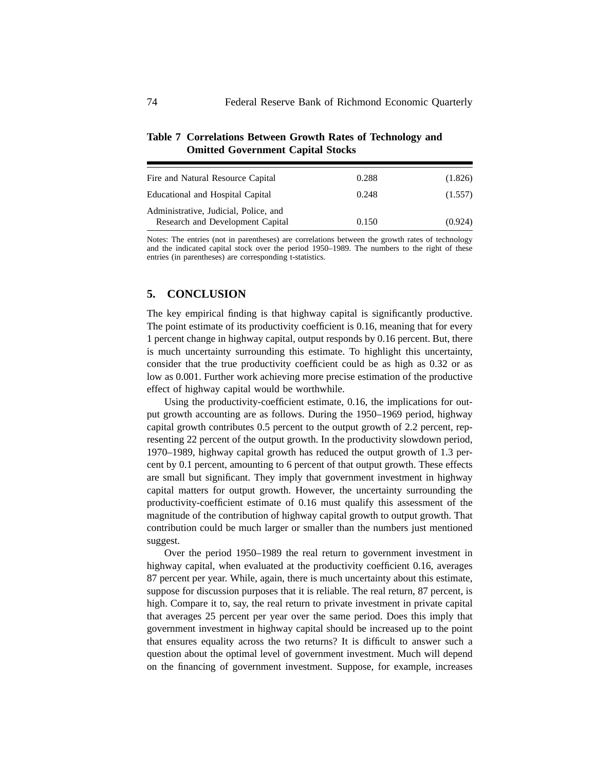| Fire and Natural Resource Capital                                         | 0.288 | (1.826) |
|---------------------------------------------------------------------------|-------|---------|
| Educational and Hospital Capital                                          | 0.248 | (1.557) |
| Administrative, Judicial, Police, and<br>Research and Development Capital | 0.150 | (0.924) |

## **Table 7 Correlations Between Growth Rates of Technology and Omitted Government Capital Stocks**

Notes: The entries (not in parentheses) are correlations between the growth rates of technology and the indicated capital stock over the period 1950–1989. The numbers to the right of these entries (in parentheses) are corresponding t-statistics.

## **5. CONCLUSION**

The key empirical finding is that highway capital is significantly productive. The point estimate of its productivity coefficient is 0.16, meaning that for every 1 percent change in highway capital, output responds by 0.16 percent. But, there is much uncertainty surrounding this estimate. To highlight this uncertainty, consider that the true productivity coefficient could be as high as 0.32 or as low as 0.001. Further work achieving more precise estimation of the productive effect of highway capital would be worthwhile.

Using the productivity-coefficient estimate, 0.16, the implications for output growth accounting are as follows. During the 1950–1969 period, highway capital growth contributes 0.5 percent to the output growth of 2.2 percent, representing 22 percent of the output growth. In the productivity slowdown period, 1970–1989, highway capital growth has reduced the output growth of 1.3 percent by 0.1 percent, amounting to 6 percent of that output growth. These effects are small but significant. They imply that government investment in highway capital matters for output growth. However, the uncertainty surrounding the productivity-coefficient estimate of 0.16 must qualify this assessment of the magnitude of the contribution of highway capital growth to output growth. That contribution could be much larger or smaller than the numbers just mentioned suggest.

Over the period 1950–1989 the real return to government investment in highway capital, when evaluated at the productivity coefficient 0.16, averages 87 percent per year. While, again, there is much uncertainty about this estimate, suppose for discussion purposes that it is reliable. The real return, 87 percent, is high. Compare it to, say, the real return to private investment in private capital that averages 25 percent per year over the same period. Does this imply that government investment in highway capital should be increased up to the point that ensures equality across the two returns? It is difficult to answer such a question about the optimal level of government investment. Much will depend on the financing of government investment. Suppose, for example, increases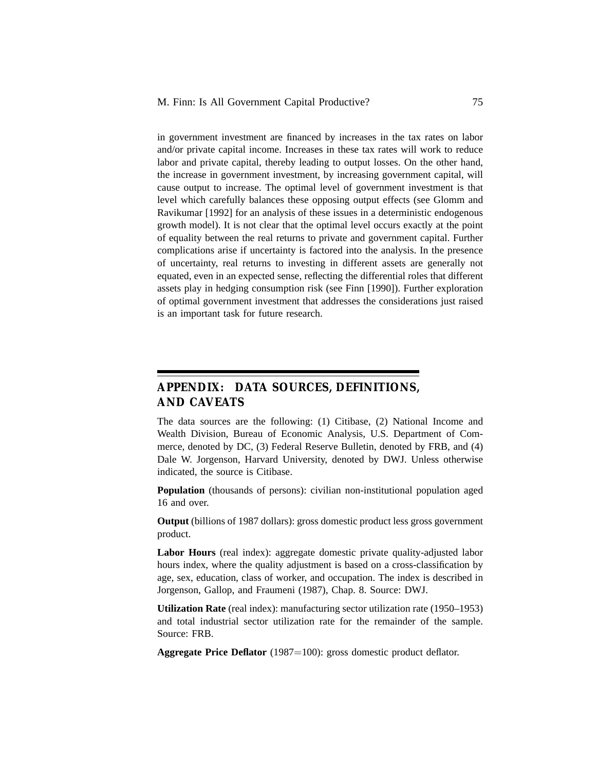in government investment are financed by increases in the tax rates on labor and/or private capital income. Increases in these tax rates will work to reduce labor and private capital, thereby leading to output losses. On the other hand, the increase in government investment, by increasing government capital, will cause output to increase. The optimal level of government investment is that level which carefully balances these opposing output effects (see Glomm and Ravikumar [1992] for an analysis of these issues in a deterministic endogenous growth model). It is not clear that the optimal level occurs exactly at the point of equality between the real returns to private and government capital. Further complications arise if uncertainty is factored into the analysis. In the presence of uncertainty, real returns to investing in different assets are generally not equated, even in an expected sense, reflecting the differential roles that different assets play in hedging consumption risk (see Finn [1990]). Further exploration of optimal government investment that addresses the considerations just raised is an important task for future research.

# **APPENDIX: DATA SOURCES, DEFINITIONS, AND CAVEATS**

The data sources are the following: (1) Citibase, (2) National Income and Wealth Division, Bureau of Economic Analysis, U.S. Department of Commerce, denoted by DC, (3) Federal Reserve Bulletin, denoted by FRB, and (4) Dale W. Jorgenson, Harvard University, denoted by DWJ. Unless otherwise indicated, the source is Citibase.

**Population** (thousands of persons): civilian non-institutional population aged 16 and over.

**Output** (billions of 1987 dollars): gross domestic product less gross government product.

**Labor Hours** (real index): aggregate domestic private quality-adjusted labor hours index, where the quality adjustment is based on a cross-classification by age, sex, education, class of worker, and occupation. The index is described in Jorgenson, Gallop, and Fraumeni (1987), Chap. 8. Source: DWJ.

**Utilization Rate** (real index): manufacturing sector utilization rate (1950–1953) and total industrial sector utilization rate for the remainder of the sample. Source: FRB.

**Aggregate Price Deflator** (1987=100): gross domestic product deflator.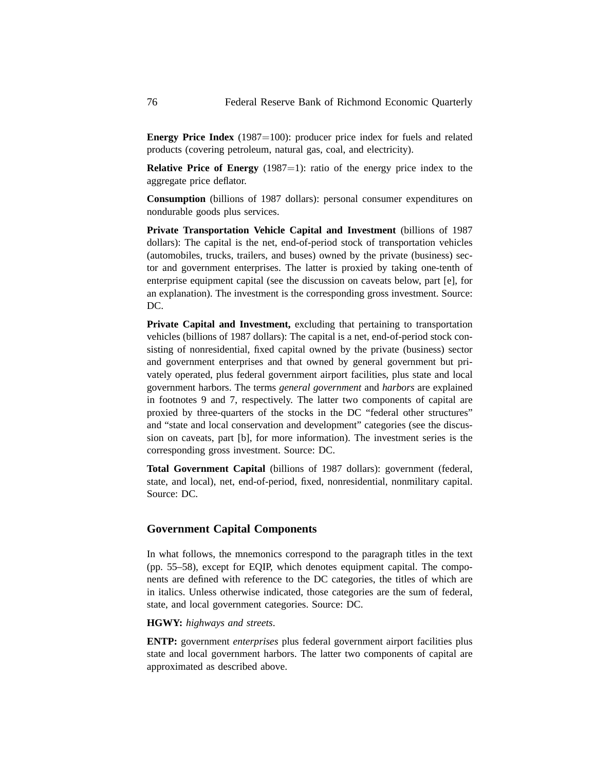**Energy Price Index** (1987=100): producer price index for fuels and related products (covering petroleum, natural gas, coal, and electricity).

**Relative Price of Energy** (1987=1): ratio of the energy price index to the aggregate price deflator.

**Consumption** (billions of 1987 dollars): personal consumer expenditures on nondurable goods plus services.

**Private Transportation Vehicle Capital and Investment** (billions of 1987 dollars): The capital is the net, end-of-period stock of transportation vehicles (automobiles, trucks, trailers, and buses) owned by the private (business) sector and government enterprises. The latter is proxied by taking one-tenth of enterprise equipment capital (see the discussion on caveats below, part [e], for an explanation). The investment is the corresponding gross investment. Source: DC.

**Private Capital and Investment,** excluding that pertaining to transportation vehicles (billions of 1987 dollars): The capital is a net, end-of-period stock consisting of nonresidential, fixed capital owned by the private (business) sector and government enterprises and that owned by general government but privately operated, plus federal government airport facilities, plus state and local government harbors. The terms *general government* and *harbors* are explained in footnotes 9 and 7, respectively. The latter two components of capital are proxied by three-quarters of the stocks in the DC "federal other structures" and "state and local conservation and development" categories (see the discussion on caveats, part [b], for more information). The investment series is the corresponding gross investment. Source: DC.

**Total Government Capital** (billions of 1987 dollars): government (federal, state, and local), net, end-of-period, fixed, nonresidential, nonmilitary capital. Source: DC.

## **Government Capital Components**

In what follows, the mnemonics correspond to the paragraph titles in the text (pp. 55–58), except for EQIP, which denotes equipment capital. The components are defined with reference to the DC categories, the titles of which are in italics. Unless otherwise indicated, those categories are the sum of federal, state, and local government categories. Source: DC.

#### **HGWY:** *highways and streets*.

**ENTP:** government *enterprises* plus federal government airport facilities plus state and local government harbors. The latter two components of capital are approximated as described above.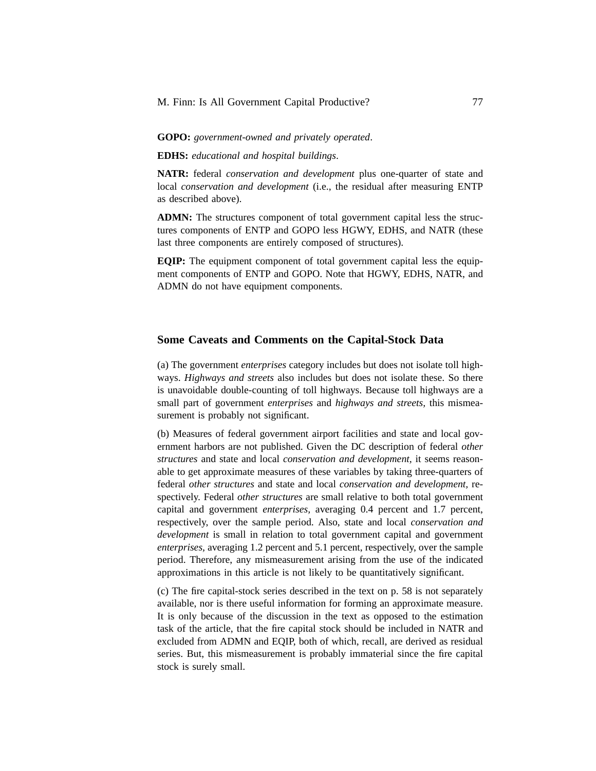#### **GOPO:** *government-owned and privately operated*.

**EDHS:** *educational and hospital buildings*.

**NATR:** federal *conservation and development* plus one-quarter of state and local *conservation and development* (i.e., the residual after measuring ENTP as described above).

**ADMN:** The structures component of total government capital less the structures components of ENTP and GOPO less HGWY, EDHS, and NATR (these last three components are entirely composed of structures).

**EQIP:** The equipment component of total government capital less the equipment components of ENTP and GOPO. Note that HGWY, EDHS, NATR, and ADMN do not have equipment components.

### **Some Caveats and Comments on the Capital-Stock Data**

(a) The government *enterprises* category includes but does not isolate toll highways. *Highways and streets* also includes but does not isolate these. So there is unavoidable double-counting of toll highways. Because toll highways are a small part of government *enterprises* and *highways and streets,* this mismeasurement is probably not significant.

(b) Measures of federal government airport facilities and state and local government harbors are not published. Given the DC description of federal *other structures* and state and local *conservation and development,* it seems reasonable to get approximate measures of these variables by taking three-quarters of federal *other structures* and state and local *conservation and development,* respectively. Federal *other structures* are small relative to both total government capital and government *enterprises,* averaging 0.4 percent and 1.7 percent, respectively, over the sample period. Also, state and local *conservation and development* is small in relation to total government capital and government *enterprises,* averaging 1.2 percent and 5.1 percent, respectively, over the sample period. Therefore, any mismeasurement arising from the use of the indicated approximations in this article is not likely to be quantitatively significant.

(c) The fire capital-stock series described in the text on p. 58 is not separately available, nor is there useful information for forming an approximate measure. It is only because of the discussion in the text as opposed to the estimation task of the article, that the fire capital stock should be included in NATR and excluded from ADMN and EQIP, both of which, recall, are derived as residual series. But, this mismeasurement is probably immaterial since the fire capital stock is surely small.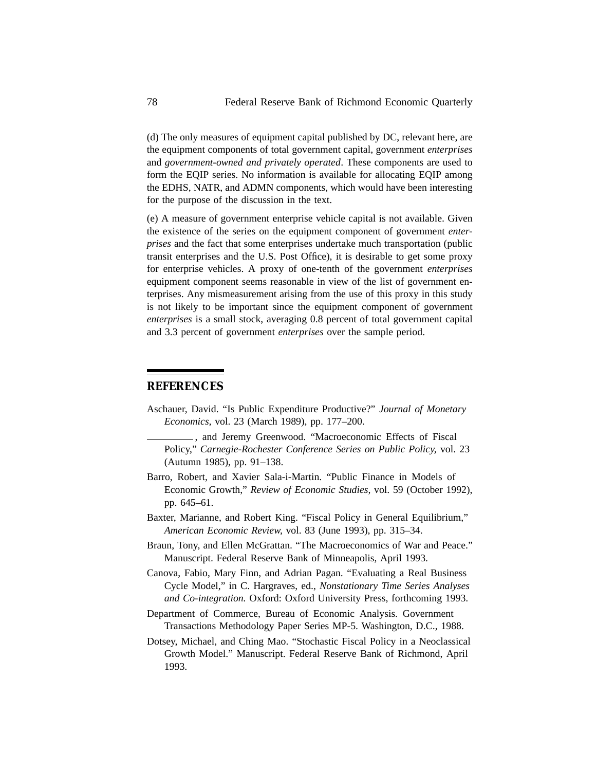(d) The only measures of equipment capital published by DC, relevant here, are the equipment components of total government capital, government *enterprises* and *government-owned and privately operated*. These components are used to form the EQIP series. No information is available for allocating EQIP among the EDHS, NATR, and ADMN components, which would have been interesting for the purpose of the discussion in the text.

(e) A measure of government enterprise vehicle capital is not available. Given the existence of the series on the equipment component of government *enterprises* and the fact that some enterprises undertake much transportation (public transit enterprises and the U.S. Post Office), it is desirable to get some proxy for enterprise vehicles. A proxy of one-tenth of the government *enterprises* equipment component seems reasonable in view of the list of government enterprises. Any mismeasurement arising from the use of this proxy in this study is not likely to be important since the equipment component of government *enterprises* is a small stock, averaging 0.8 percent of total government capital and 3.3 percent of government *enterprises* over the sample period.

## **REFERENCES**

- Aschauer, David. "Is Public Expenditure Productive?" *Journal of Monetary Economics,* vol. 23 (March 1989), pp. 177–200.
	- , and Jeremy Greenwood. "Macroeconomic Effects of Fiscal Policy," *Carnegie-Rochester Conference Series on Public Policy,* vol. 23 (Autumn 1985), pp. 91–138.
- Barro, Robert, and Xavier Sala-i-Martin. "Public Finance in Models of Economic Growth," *Review of Economic Studies,* vol. 59 (October 1992), pp. 645–61.
- Baxter, Marianne, and Robert King. "Fiscal Policy in General Equilibrium," *American Economic Review,* vol. 83 (June 1993), pp. 315–34.
- Braun, Tony, and Ellen McGrattan. "The Macroeconomics of War and Peace." Manuscript. Federal Reserve Bank of Minneapolis, April 1993.
- Canova, Fabio, Mary Finn, and Adrian Pagan. "Evaluating a Real Business Cycle Model," in C. Hargraves, ed., *Nonstationary Time Series Analyses and Co-integration.* Oxford: Oxford University Press, forthcoming 1993.
- Department of Commerce, Bureau of Economic Analysis. Government Transactions Methodology Paper Series MP-5. Washington, D.C., 1988.
- Dotsey, Michael, and Ching Mao. "Stochastic Fiscal Policy in a Neoclassical Growth Model." Manuscript. Federal Reserve Bank of Richmond, April 1993.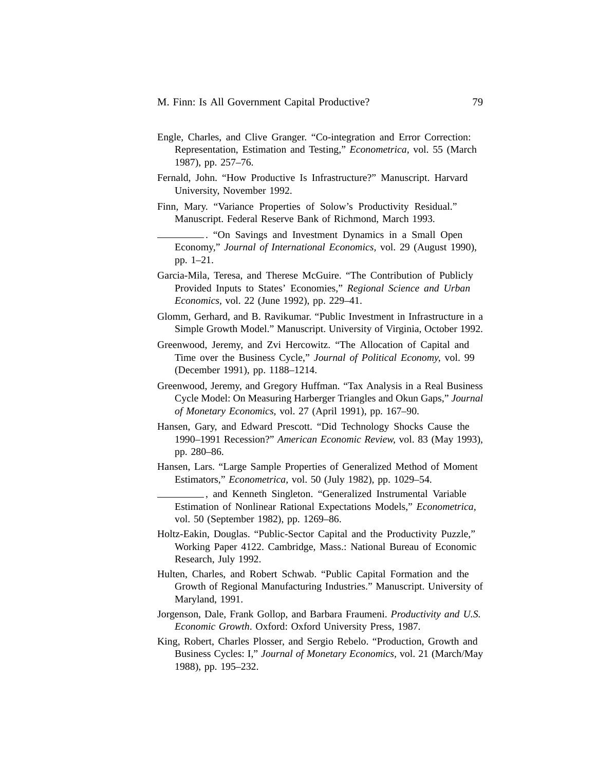- Engle, Charles, and Clive Granger. "Co-integration and Error Correction: Representation, Estimation and Testing," *Econometrica,* vol. 55 (March 1987), pp. 257–76.
- Fernald, John. "How Productive Is Infrastructure?" Manuscript. Harvard University, November 1992.

Finn, Mary. "Variance Properties of Solow's Productivity Residual." Manuscript. Federal Reserve Bank of Richmond, March 1993.

. "On Savings and Investment Dynamics in a Small Open Economy," *Journal of International Economics,* vol. 29 (August 1990), pp. 1–21.

- Garcia-Mila, Teresa, and Therese McGuire. "The Contribution of Publicly Provided Inputs to States' Economies," *Regional Science and Urban Economics,* vol. 22 (June 1992), pp. 229–41.
- Glomm, Gerhard, and B. Ravikumar. "Public Investment in Infrastructure in a Simple Growth Model." Manuscript. University of Virginia, October 1992.
- Greenwood, Jeremy, and Zvi Hercowitz. "The Allocation of Capital and Time over the Business Cycle," *Journal of Political Economy,* vol. 99 (December 1991), pp. 1188–1214.
- Greenwood, Jeremy, and Gregory Huffman. "Tax Analysis in a Real Business Cycle Model: On Measuring Harberger Triangles and Okun Gaps," *Journal of Monetary Economics,* vol. 27 (April 1991), pp. 167–90.
- Hansen, Gary, and Edward Prescott. "Did Technology Shocks Cause the 1990–1991 Recession?" *American Economic Review,* vol. 83 (May 1993), pp. 280–86.
- Hansen, Lars. "Large Sample Properties of Generalized Method of Moment Estimators," *Econometrica,* vol. 50 (July 1982), pp. 1029–54.
	- , and Kenneth Singleton. "Generalized Instrumental Variable Estimation of Nonlinear Rational Expectations Models," *Econometrica,* vol. 50 (September 1982), pp. 1269–86.
- Holtz-Eakin, Douglas. "Public-Sector Capital and the Productivity Puzzle," Working Paper 4122. Cambridge, Mass.: National Bureau of Economic Research, July 1992.
- Hulten, Charles, and Robert Schwab. "Public Capital Formation and the Growth of Regional Manufacturing Industries." Manuscript. University of Maryland, 1991.
- Jorgenson, Dale, Frank Gollop, and Barbara Fraumeni. *Productivity and U.S. Economic Growth*. Oxford: Oxford University Press, 1987.
- King, Robert, Charles Plosser, and Sergio Rebelo. "Production, Growth and Business Cycles: I," *Journal of Monetary Economics,* vol. 21 (March/May 1988), pp. 195–232.